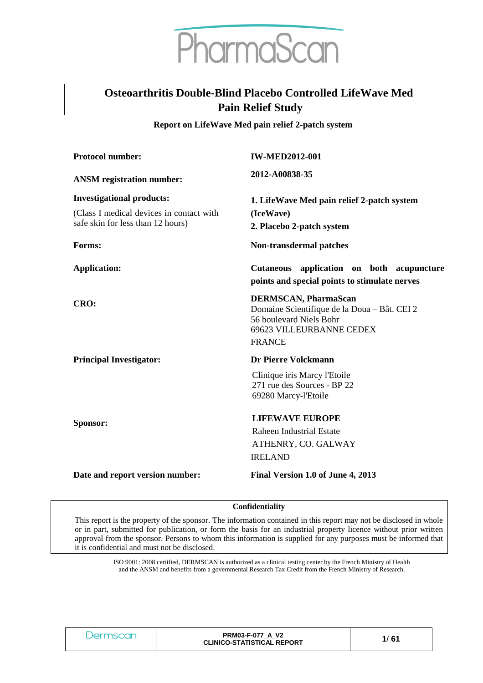# PharmaScan

# **Osteoarthritis Double-Blind Placebo Controlled LifeWave Med Pain Relief Study**

#### **Report on LifeWave Med pain relief 2-patch system**

| <b>Protocol number:</b>                  | <b>IW-MED2012-001</b>                                                   |  |
|------------------------------------------|-------------------------------------------------------------------------|--|
| <b>ANSM</b> registration number:         | 2012-A00838-35                                                          |  |
| <b>Investigational products:</b>         | 1. LifeWave Med pain relief 2-patch system                              |  |
| (Class I medical devices in contact with | (IceWave)                                                               |  |
| safe skin for less than 12 hours)        | 2. Placebo 2-patch system                                               |  |
| Forms:                                   | Non-transdermal patches                                                 |  |
| <b>Application:</b>                      | Cutaneous application on both acupuncture                               |  |
|                                          | points and special points to stimulate nerves                           |  |
| CRO:                                     | <b>DERMSCAN, PharmaScan</b>                                             |  |
|                                          | Domaine Scientifique de la Doua - Bât. CEI 2<br>56 boulevard Niels Bohr |  |
|                                          | 69623 VILLEURBANNE CEDEX                                                |  |
|                                          | <b>FRANCE</b>                                                           |  |
| <b>Principal Investigator:</b>           | <b>Dr Pierre Volckmann</b>                                              |  |
|                                          | Clinique iris Marcy l'Etoile                                            |  |
|                                          | 271 rue des Sources - BP 22<br>69280 Marcy-l'Etoile                     |  |
|                                          |                                                                         |  |
| Sponsor:                                 | <b>LIFEWAVE EUROPE</b>                                                  |  |
|                                          | Raheen Industrial Estate                                                |  |
|                                          | ATHENRY, CO. GALWAY                                                     |  |
|                                          | <b>IRELAND</b>                                                          |  |
| Date and report version number:          | Final Version 1.0 of June 4, 2013                                       |  |

#### **Confidentiality**

This report is the property of the sponsor. The information contained in this report may not be disclosed in whole or in part, submitted for publication, or form the basis for an industrial property licence without prior written approval from the sponsor. Persons to whom this information is supplied for any purposes must be informed that it is confidential and must not be disclosed.

> ISO 9001: 2008 certified, DERMSCAN is authorized as a clinical testing center by the French Ministry of Health and the ANSM and benefits from a governmental Research Tax Credit from the French Ministry of Research.

| ΞT | <b>PRM03-F-077 A V2</b><br><b>CLINICO-STATISTICAL REPORT</b> | ั 61 |
|----|--------------------------------------------------------------|------|
|----|--------------------------------------------------------------|------|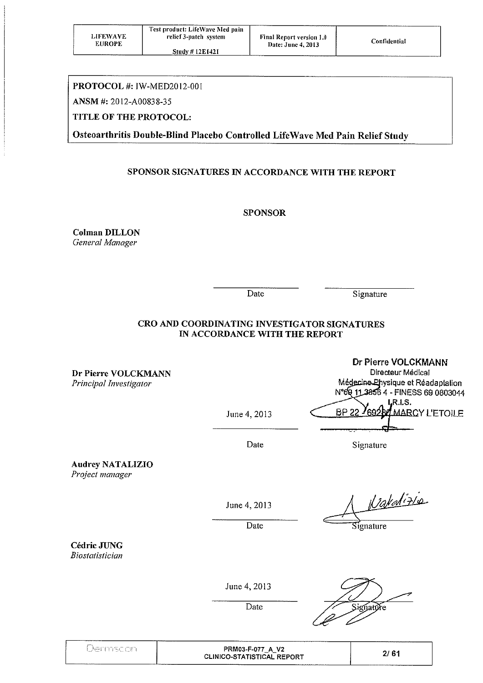| <b>LIFEWAVE</b><br><b>EUROPE</b> | Test product: LifeWave Med pain<br>relief 3-patch system<br><b>Study #12E1421</b> | <b>Final Report version 1.0</b><br>Date: June 4, 2013 | Confidential |
|----------------------------------|-----------------------------------------------------------------------------------|-------------------------------------------------------|--------------|
|                                  |                                                                                   |                                                       |              |

## PROTOCOL #: IW-MED2012-001

ANSM #: 2012-A00838-35

## TITLE OF THE PROTOCOL:

Osteoarthritis Double-Blind Placebo Controlled LifeWave Med Pain Relief Study

## SPONSOR SIGNATURES IN ACCORDANCE WITH THE REPORT

## **SPONSOR**

**Colman DILLON** General Manager

Date

Signature

## CRO AND COORDINATING INVESTIGATOR SIGNATURES IN ACCORDANCE WITH THE REPORT

Dr Pierre VOLCKMANN Principal Investigator

Dr Pierre VOLCKMANN Directeur Médical Mégecine Physique et Réadaptation N°69 11 3856 4 - FINESS 69 0803044 LR.LS. **BP 22 MARCY L'ETOILE** 

Date

June 4, 2013

Signature

**Audrey NATALIZIO** Project manager

June 4, 2013

Date

Valalizio

Signature

**Cédric JUNG Biostatistician** 

June 4, 2013

Date

íatúre

| $16 - 20$ | V <sub>2</sub><br>PRM03-F-077<br>A.<br>- -<br><b>CLINICO-STATISTICAL REPORT</b> | . .<br>o.<br>£., |
|-----------|---------------------------------------------------------------------------------|------------------|
|           | ___________________                                                             |                  |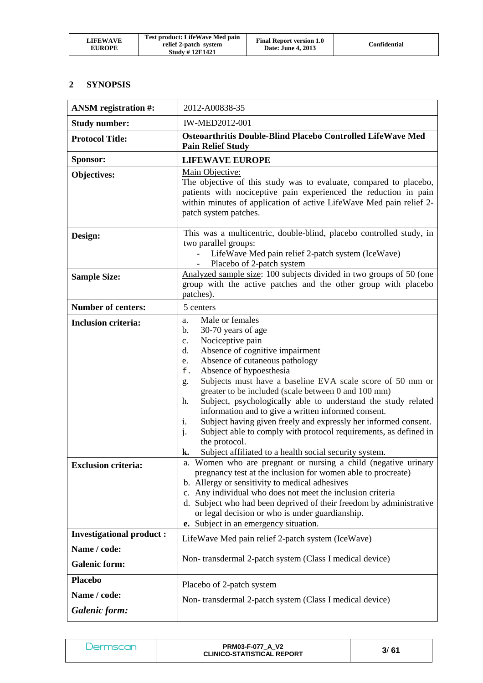| <b>LIFEWAVE</b><br><b>EUROPE</b> | Test product: LifeWave Med pain<br>relief 2-patch system<br><b>Study #12E1421</b> | <b>Final Report version 1.0</b><br>Date: June 4, 2013 | Confidential |
|----------------------------------|-----------------------------------------------------------------------------------|-------------------------------------------------------|--------------|
|----------------------------------|-----------------------------------------------------------------------------------|-------------------------------------------------------|--------------|

## **2 SYNOPSIS**

| <b>ANSM</b> registration #:                                   | 2012-A00838-35                                                                                                                                                                                                                                                                                                                                                                                                                                                                                                                                                                                                                                                                                        |
|---------------------------------------------------------------|-------------------------------------------------------------------------------------------------------------------------------------------------------------------------------------------------------------------------------------------------------------------------------------------------------------------------------------------------------------------------------------------------------------------------------------------------------------------------------------------------------------------------------------------------------------------------------------------------------------------------------------------------------------------------------------------------------|
| <b>Study number:</b>                                          | <b>IW-MED2012-001</b>                                                                                                                                                                                                                                                                                                                                                                                                                                                                                                                                                                                                                                                                                 |
| <b>Protocol Title:</b>                                        | Osteoarthritis Double-Blind Placebo Controlled LifeWave Med<br><b>Pain Relief Study</b>                                                                                                                                                                                                                                                                                                                                                                                                                                                                                                                                                                                                               |
| Sponsor:                                                      | <b>LIFEWAVE EUROPE</b>                                                                                                                                                                                                                                                                                                                                                                                                                                                                                                                                                                                                                                                                                |
| Objectives:                                                   | Main Objective:<br>The objective of this study was to evaluate, compared to placebo,<br>patients with nociceptive pain experienced the reduction in pain<br>within minutes of application of active LifeWave Med pain relief 2-<br>patch system patches.                                                                                                                                                                                                                                                                                                                                                                                                                                              |
| Design:                                                       | This was a multicentric, double-blind, placebo controlled study, in<br>two parallel groups:<br>LifeWave Med pain relief 2-patch system (IceWave)<br>Placebo of 2-patch system                                                                                                                                                                                                                                                                                                                                                                                                                                                                                                                         |
| <b>Sample Size:</b>                                           | Analyzed sample size: 100 subjects divided in two groups of 50 (one<br>group with the active patches and the other group with placebo<br>patches).                                                                                                                                                                                                                                                                                                                                                                                                                                                                                                                                                    |
| <b>Number of centers:</b>                                     | 5 centers                                                                                                                                                                                                                                                                                                                                                                                                                                                                                                                                                                                                                                                                                             |
| <b>Inclusion criteria:</b>                                    | Male or females<br>a.<br>30-70 years of age<br>b.<br>Nociceptive pain<br>$\mathbf{c}$ .<br>Absence of cognitive impairment<br>d.<br>Absence of cutaneous pathology<br>e.<br>Absence of hypoesthesia<br>f.<br>Subjects must have a baseline EVA scale score of 50 mm or<br>g.<br>greater to be included (scale between 0 and 100 mm)<br>Subject, psychologically able to understand the study related<br>h.<br>information and to give a written informed consent.<br>Subject having given freely and expressly her informed consent.<br>1.<br>Subject able to comply with protocol requirements, as defined in<br>j.<br>the protocol.<br>Subject affiliated to a health social security system.<br>k. |
| <b>Exclusion criteria:</b><br><b>Investigational product:</b> | a. Women who are pregnant or nursing a child (negative urinary<br>pregnancy test at the inclusion for women able to procreate)<br>b. Allergy or sensitivity to medical adhesives<br>c. Any individual who does not meet the inclusion criteria<br>d. Subject who had been deprived of their freedom by administrative<br>or legal decision or who is under guardianship.<br>e. Subject in an emergency situation.                                                                                                                                                                                                                                                                                     |
| Name / code:<br><b>Galenic form:</b>                          | LifeWave Med pain relief 2-patch system (IceWave)<br>Non-transdermal 2-patch system (Class I medical device)                                                                                                                                                                                                                                                                                                                                                                                                                                                                                                                                                                                          |
| <b>Placebo</b><br>Name / code:<br>Galenic form:               | Placebo of 2-patch system<br>Non-transdermal 2-patch system (Class I medical device)                                                                                                                                                                                                                                                                                                                                                                                                                                                                                                                                                                                                                  |

| Jermscan | <b>PRM03-F-077 A V2</b><br><b>CLINICO-STATISTICAL REPORT</b> | 3/61 |
|----------|--------------------------------------------------------------|------|
|----------|--------------------------------------------------------------|------|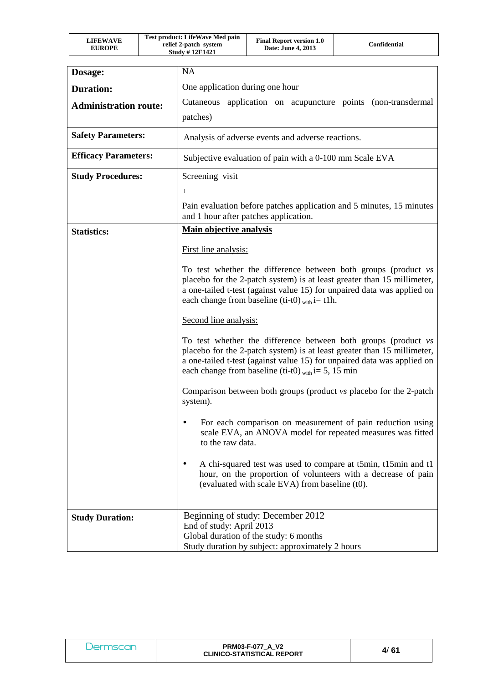| LIFEWAVE<br><b>EUROPE</b> | Test product: LifeWave Med pain<br>relief 2-patch system<br><b>Study #12E1421</b> | <b>Final Report version 1.0</b><br>Date: June 4, 2013 | Confidential |
|---------------------------|-----------------------------------------------------------------------------------|-------------------------------------------------------|--------------|
|---------------------------|-----------------------------------------------------------------------------------|-------------------------------------------------------|--------------|

| Dosage:                      | <b>NA</b>                                                                                                                                                                                                                                                                               |
|------------------------------|-----------------------------------------------------------------------------------------------------------------------------------------------------------------------------------------------------------------------------------------------------------------------------------------|
| <b>Duration:</b>             | One application during one hour                                                                                                                                                                                                                                                         |
| <b>Administration route:</b> | Cutaneous application on acupuncture points (non-transdermal                                                                                                                                                                                                                            |
|                              | patches)                                                                                                                                                                                                                                                                                |
| <b>Safety Parameters:</b>    | Analysis of adverse events and adverse reactions.                                                                                                                                                                                                                                       |
| <b>Efficacy Parameters:</b>  | Subjective evaluation of pain with a 0-100 mm Scale EVA                                                                                                                                                                                                                                 |
| <b>Study Procedures:</b>     | Screening visit                                                                                                                                                                                                                                                                         |
|                              | $^{+}$                                                                                                                                                                                                                                                                                  |
|                              | Pain evaluation before patches application and 5 minutes, 15 minutes<br>and 1 hour after patches application.                                                                                                                                                                           |
| <b>Statistics:</b>           | <b>Main objective analysis</b>                                                                                                                                                                                                                                                          |
|                              | First line analysis:                                                                                                                                                                                                                                                                    |
|                              | To test whether the difference between both groups (product vs<br>placebo for the 2-patch system) is at least greater than 15 millimeter,<br>a one-tailed t-test (against value 15) for unpaired data was applied on<br>each change from baseline (ti-t0) $_{\text{with}}$ i= t1h.      |
|                              | Second line analysis:                                                                                                                                                                                                                                                                   |
|                              | To test whether the difference between both groups (product vs<br>placebo for the 2-patch system) is at least greater than 15 millimeter,<br>a one-tailed t-test (against value 15) for unpaired data was applied on<br>each change from baseline (ti-t0) $_{\text{with}}$ i= 5, 15 min |
|                              | Comparison between both groups (product vs placebo for the 2-patch<br>system).                                                                                                                                                                                                          |
|                              | For each comparison on measurement of pain reduction using<br>scale EVA, an ANOVA model for repeated measures was fitted<br>to the raw data.                                                                                                                                            |
|                              | A chi-squared test was used to compare at t5min, t15min and t1<br>hour, on the proportion of volunteers with a decrease of pain<br>(evaluated with scale EVA) from baseline (t0).                                                                                                       |
| <b>Study Duration:</b>       | Beginning of study: December 2012<br>End of study: April 2013<br>Global duration of the study: 6 months<br>Study duration by subject: approximately 2 hours                                                                                                                             |

| Dermscan | <b>PRM03-F-077 A V2</b><br><b>CLINICO-STATISTICAL REPORT</b> | 4/61 |
|----------|--------------------------------------------------------------|------|
|----------|--------------------------------------------------------------|------|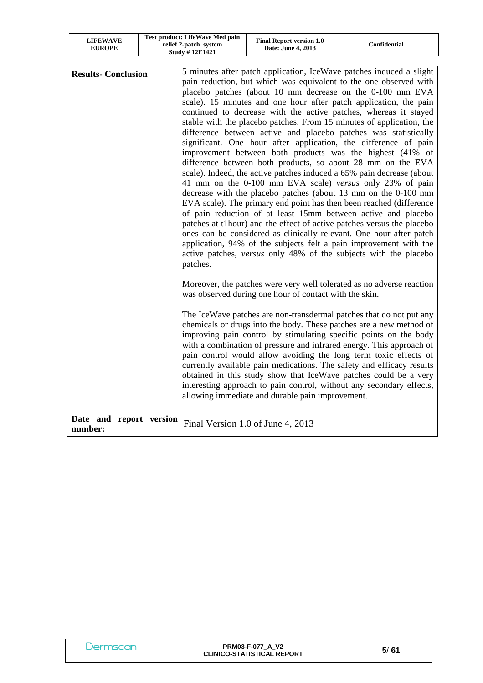| LIFEWAVE<br><b>EUROPE</b> | <b>Test product: LifeWave Med pain</b><br>relief 2-patch system<br><b>Study #12E1421</b> | <b>Final Report version 1.0</b><br>Date: June 4, 2013 | Confidential |
|---------------------------|------------------------------------------------------------------------------------------|-------------------------------------------------------|--------------|
|---------------------------|------------------------------------------------------------------------------------------|-------------------------------------------------------|--------------|

 $\overline{\phantom{a}}$ 

| <b>Results- Conclusion</b>         | 5 minutes after patch application, IceWave patches induced a slight<br>pain reduction, but which was equivalent to the one observed with<br>placebo patches (about 10 mm decrease on the 0-100 mm EVA<br>scale). 15 minutes and one hour after patch application, the pain<br>continued to decrease with the active patches, whereas it stayed<br>stable with the placebo patches. From 15 minutes of application, the<br>difference between active and placebo patches was statistically<br>significant. One hour after application, the difference of pain<br>improvement between both products was the highest (41% of<br>difference between both products, so about 28 mm on the EVA<br>scale). Indeed, the active patches induced a 65% pain decrease (about<br>41 mm on the 0-100 mm EVA scale) versus only 23% of pain<br>decrease with the placebo patches (about 13 mm on the 0-100 mm<br>EVA scale). The primary end point has then been reached (difference<br>of pain reduction of at least 15mm between active and placebo<br>patches at t1hour) and the effect of active patches versus the placebo<br>ones can be considered as clinically relevant. One hour after patch<br>application, 94% of the subjects felt a pain improvement with the<br>active patches, versus only 48% of the subjects with the placebo<br>patches. |
|------------------------------------|-----------------------------------------------------------------------------------------------------------------------------------------------------------------------------------------------------------------------------------------------------------------------------------------------------------------------------------------------------------------------------------------------------------------------------------------------------------------------------------------------------------------------------------------------------------------------------------------------------------------------------------------------------------------------------------------------------------------------------------------------------------------------------------------------------------------------------------------------------------------------------------------------------------------------------------------------------------------------------------------------------------------------------------------------------------------------------------------------------------------------------------------------------------------------------------------------------------------------------------------------------------------------------------------------------------------------------------------------|
|                                    | Moreover, the patches were very well tolerated as no adverse reaction<br>was observed during one hour of contact with the skin.                                                                                                                                                                                                                                                                                                                                                                                                                                                                                                                                                                                                                                                                                                                                                                                                                                                                                                                                                                                                                                                                                                                                                                                                               |
|                                    | The IceWave patches are non-transdermal patches that do not put any<br>chemicals or drugs into the body. These patches are a new method of<br>improving pain control by stimulating specific points on the body<br>with a combination of pressure and infrared energy. This approach of<br>pain control would allow avoiding the long term toxic effects of<br>currently available pain medications. The safety and efficacy results<br>obtained in this study show that IceWave patches could be a very<br>interesting approach to pain control, without any secondary effects,<br>allowing immediate and durable pain improvement.                                                                                                                                                                                                                                                                                                                                                                                                                                                                                                                                                                                                                                                                                                          |
| Date and report version<br>number: | Final Version 1.0 of June 4, 2013                                                                                                                                                                                                                                                                                                                                                                                                                                                                                                                                                                                                                                                                                                                                                                                                                                                                                                                                                                                                                                                                                                                                                                                                                                                                                                             |

|  | <b>PRM03-F-077 A V2</b><br><b>CLINICO-STATISTICAL REPORT</b> | 5/61 |
|--|--------------------------------------------------------------|------|
|--|--------------------------------------------------------------|------|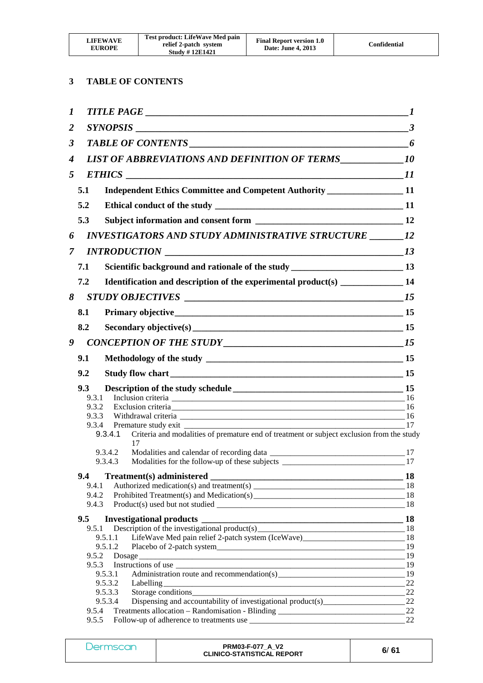| <b>LIFEWAVE</b><br><b>EUROPE</b> | Test product: LifeWave Med pain<br>relief 2-patch system<br><b>Study #12E1421</b> | <b>Final Report version 1.0</b><br>Date: June 4, 2013 | Confidential |
|----------------------------------|-----------------------------------------------------------------------------------|-------------------------------------------------------|--------------|
|----------------------------------|-----------------------------------------------------------------------------------|-------------------------------------------------------|--------------|

## **3 TABLE OF CONTENTS**

| $\boldsymbol{I}$ |                |                                                                                                                                                                         | -1  |
|------------------|----------------|-------------------------------------------------------------------------------------------------------------------------------------------------------------------------|-----|
| $\overline{2}$   |                |                                                                                                                                                                         |     |
| 3                |                |                                                                                                                                                                         |     |
| $\boldsymbol{4}$ |                |                                                                                                                                                                         |     |
| 5                |                | <b>ETHICS</b><br>$\overline{\phantom{a}11}$                                                                                                                             |     |
|                  | 5.1            | Independent Ethics Committee and Competent Authority _______________________11                                                                                          |     |
|                  | 5.2            |                                                                                                                                                                         |     |
|                  | 5.3            |                                                                                                                                                                         |     |
| 6                |                | INVESTIGATORS AND STUDY ADMINISTRATIVE STRUCTURE _________ 12                                                                                                           |     |
| $\mathcal{I}$    |                |                                                                                                                                                                         |     |
|                  | 7.1            |                                                                                                                                                                         |     |
|                  |                | Scientific background and rationale of the study ________________________________13                                                                                     |     |
|                  | 7.2            | Identification and description of the experimental product(s) ___________________ 14                                                                                    |     |
| 8                |                |                                                                                                                                                                         |     |
|                  | 8.1            |                                                                                                                                                                         |     |
|                  | 8.2            | Secondary objective(s) 15                                                                                                                                               |     |
| 9                |                |                                                                                                                                                                         |     |
|                  | 9.1            |                                                                                                                                                                         |     |
|                  | 9.2            |                                                                                                                                                                         |     |
|                  | 9.3            |                                                                                                                                                                         |     |
|                  | 9.3.1          |                                                                                                                                                                         |     |
|                  | 9.3.2          |                                                                                                                                                                         |     |
|                  | 9.3.3          |                                                                                                                                                                         | 17  |
|                  |                | Criteria and modalities of premature end of treatment or subject exclusion from the study<br>9.3.4.1<br>17<br>9.3.4.2<br>Modalities for the follow-up of these subjects |     |
|                  |                | 9.3.4.3                                                                                                                                                                 | 17  |
|                  | 9.4            |                                                                                                                                                                         | -18 |
|                  | 9.4.1          |                                                                                                                                                                         |     |
|                  | 9.4.2<br>9.4.3 |                                                                                                                                                                         |     |
|                  | 9.5            |                                                                                                                                                                         |     |
|                  | 9.5.1          |                                                                                                                                                                         |     |
|                  |                | 9.5.1.1                                                                                                                                                                 |     |
|                  |                | 9.5.1.2                                                                                                                                                                 |     |
|                  | 9.5.2          |                                                                                                                                                                         |     |
|                  | 9.5.3          |                                                                                                                                                                         |     |
|                  |                | Administration route and recommendation(s) 19<br>9.5.3.1                                                                                                                |     |
|                  |                |                                                                                                                                                                         | 22  |
|                  |                | 9.5.3.3<br>Storage conditions                                                                                                                                           | 22  |
|                  | 9.5.4          | 9.5.3.4                                                                                                                                                                 |     |
|                  | 9.5.5          |                                                                                                                                                                         | 22  |
|                  |                |                                                                                                                                                                         |     |

| Dermscan | <b>PRM03-F-077 A V2</b><br><b>CLINICO-STATISTICAL REPORT</b> | 6/61 |
|----------|--------------------------------------------------------------|------|
|----------|--------------------------------------------------------------|------|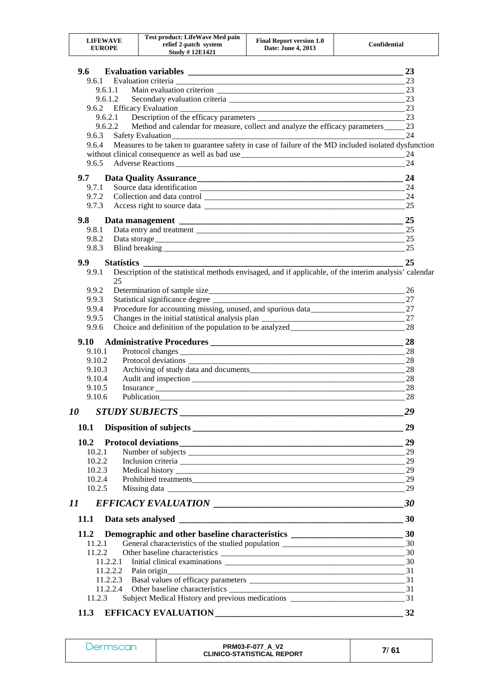| LIFEWAVE<br><b>EUROPE</b> | Test product: LifeWave Med pain<br>relief 2-patch system<br><b>Study #12E1421</b> | <b>Final Report version 1.0</b><br>Date: June 4, 2013 | Confidential |
|---------------------------|-----------------------------------------------------------------------------------|-------------------------------------------------------|--------------|
|---------------------------|-----------------------------------------------------------------------------------|-------------------------------------------------------|--------------|

| 9.6         |                                                                                                                                                                                                                                      | 23  |
|-------------|--------------------------------------------------------------------------------------------------------------------------------------------------------------------------------------------------------------------------------------|-----|
|             |                                                                                                                                                                                                                                      | 23  |
| 9.6.1.1     |                                                                                                                                                                                                                                      | 23  |
|             | 9.6.1.2                                                                                                                                                                                                                              | 23  |
|             |                                                                                                                                                                                                                                      | 23  |
|             | 9.6.2.1                                                                                                                                                                                                                              | 23  |
|             | Method and calendar for measure, collect and analyze the efficacy parameters ______ 23<br>9.6.2.2                                                                                                                                    |     |
| 9.6.3       |                                                                                                                                                                                                                                      | 24  |
| 9.6.4       | Measures to be taken to guarantee safety in case of failure of the MD included isolated dysfunction                                                                                                                                  |     |
|             |                                                                                                                                                                                                                                      | 24  |
| 9.6.5       |                                                                                                                                                                                                                                      | 24  |
| 9.7         |                                                                                                                                                                                                                                      | 24  |
| 9.7.1       |                                                                                                                                                                                                                                      | 24  |
| 9.7.2       |                                                                                                                                                                                                                                      | 24  |
| 9.7.3       |                                                                                                                                                                                                                                      | 25  |
| 9.8         |                                                                                                                                                                                                                                      | 25  |
| 9.8.1       |                                                                                                                                                                                                                                      | 25  |
| 9.8.2       |                                                                                                                                                                                                                                      | 25  |
| 9.8.3       |                                                                                                                                                                                                                                      | 25  |
|             |                                                                                                                                                                                                                                      |     |
| 9.9         |                                                                                                                                                                                                                                      | 25  |
| 9.9.1       | Description of the statistical methods envisaged, and if applicable, of the interim analysis' calendar<br>25                                                                                                                         |     |
| 9.9.2       |                                                                                                                                                                                                                                      | 26  |
| 9.9.3       | Statistical significance degree ___________                                                                                                                                                                                          | 27  |
| 9.9.4       | Procedure for accounting missing, unused, and spurious data                                                                                                                                                                          | 27  |
| 9.9.5       |                                                                                                                                                                                                                                      | 27  |
| 9.9.6       | Choice and definition of the population to be analyzed___________________________                                                                                                                                                    | 28  |
| 9.10        |                                                                                                                                                                                                                                      | 28  |
| 9.10.1      |                                                                                                                                                                                                                                      | 28  |
| 9.10.2      |                                                                                                                                                                                                                                      | 28  |
| 9.10.3      |                                                                                                                                                                                                                                      | 28  |
| 9.10.4      |                                                                                                                                                                                                                                      | -28 |
| 9.10.5      |                                                                                                                                                                                                                                      | 28  |
| 9.10.6      | Publication <b>Publication</b>                                                                                                                                                                                                       | 28  |
|             |                                                                                                                                                                                                                                      | 29  |
| 10.1        |                                                                                                                                                                                                                                      | 29  |
| 10.2        |                                                                                                                                                                                                                                      | 29  |
| 10.2.1      |                                                                                                                                                                                                                                      |     |
| 10.2.2      |                                                                                                                                                                                                                                      | 29  |
| 10.2.3      |                                                                                                                                                                                                                                      | 29  |
| 10.2.4      |                                                                                                                                                                                                                                      | 29  |
| 10.2.5      |                                                                                                                                                                                                                                      | 29  |
|             |                                                                                                                                                                                                                                      | 30  |
| <b>11.1</b> | Data sets analysed <b>the contract of the contract of the contract of the contract of the contract of the contract of the contract of the contract of the contract of the contract of the contract of the contract of the contra</b> | 30  |
| 11.2        |                                                                                                                                                                                                                                      |     |
| 11.2.1      | General characteristics of the studied population _______________________________                                                                                                                                                    | 30  |
| 11.2.2      |                                                                                                                                                                                                                                      |     |
| 11.2.2.1    |                                                                                                                                                                                                                                      |     |
| 11.2.2.2    | Pain origin                                                                                                                                                                                                                          |     |
|             |                                                                                                                                                                                                                                      |     |
|             | 11.2.2.4                                                                                                                                                                                                                             |     |
| 11.2.3      |                                                                                                                                                                                                                                      |     |
|             |                                                                                                                                                                                                                                      |     |
| <b>11.3</b> |                                                                                                                                                                                                                                      | 32  |

Dermscan **PRM03-F-077\_A\_V2 CLINICO-STATISTICAL REPORT 7**/ **61**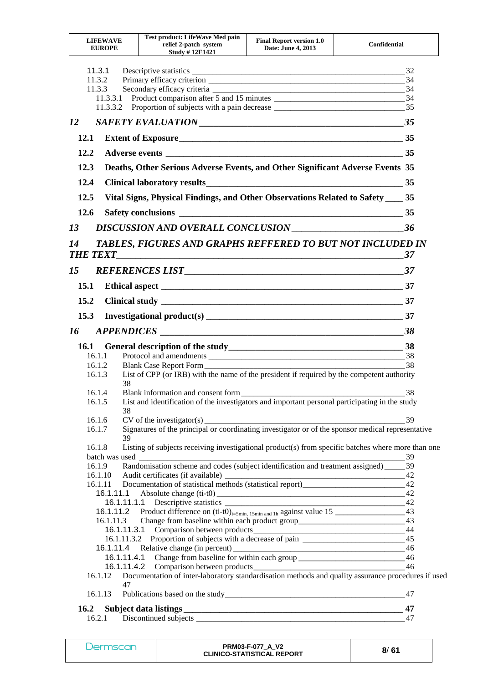| <b>LIFEWAVE</b><br><b>EUROPE</b>                   |           | Test product: LifeWave Med pain<br>relief 2-patch system<br><b>Study #12E1421</b>                  | <b>Final Report version 1.0</b><br>Date: June 4, 2013 | Confidential |
|----------------------------------------------------|-----------|----------------------------------------------------------------------------------------------------|-------------------------------------------------------|--------------|
| 11.3.1<br>11.3.2<br>11.3.3<br>11.3.3.1<br>11.3.3.2 |           |                                                                                                    |                                                       | 34           |
| 12                                                 |           |                                                                                                    |                                                       |              |
| 12.1                                               |           |                                                                                                    |                                                       |              |
| 12.2                                               |           |                                                                                                    |                                                       |              |
| 12.3                                               |           | Deaths, Other Serious Adverse Events, and Other Significant Adverse Events 35                      |                                                       |              |
| 12.4                                               |           |                                                                                                    |                                                       |              |
| 12.5                                               |           | Vital Signs, Physical Findings, and Other Observations Related to Safety _____ 35                  |                                                       |              |
| 12.6                                               |           |                                                                                                    |                                                       |              |
|                                                    |           |                                                                                                    |                                                       |              |
| 13                                                 |           |                                                                                                    |                                                       |              |
| 14                                                 |           | TABLES, FIGURES AND GRAPHS REFFERED TO BUT NOT INCLUDED IN                                         |                                                       | 37           |
| 15                                                 |           |                                                                                                    |                                                       |              |
| 15.1                                               |           |                                                                                                    |                                                       |              |
| 15.2                                               |           |                                                                                                    |                                                       |              |
| 15.3                                               |           | Investigational product(s) $\frac{1}{2}$ 37                                                        |                                                       |              |
| 16                                                 |           |                                                                                                    |                                                       |              |
|                                                    |           | 16.1 General description of the study<br><u>16.1</u> S8                                            |                                                       |              |
| 16.1.1                                             |           |                                                                                                    |                                                       |              |
| 16.1.2                                             |           | Blank Case Report Form                                                                             |                                                       | 38           |
| 16.1.3                                             | 38        | List of CPP (or IRB) with the name of the president if required by the competent authority         |                                                       |              |
| 16.1.4                                             |           | Blank information and consent form                                                                 |                                                       | 38           |
| 16.1.5                                             |           | List and identification of the investigators and important personal participating in the study     |                                                       |              |
| 16.1.6                                             | 38        |                                                                                                    |                                                       |              |
| 16.1.7                                             |           |                                                                                                    |                                                       |              |
|                                                    | 39        |                                                                                                    |                                                       |              |
| 16.1.8                                             |           | Listing of subjects receiving investigational product(s) from specific batches where more than one |                                                       |              |
|                                                    |           |                                                                                                    |                                                       |              |
| 16.1.10                                            |           |                                                                                                    |                                                       |              |
|                                                    |           |                                                                                                    |                                                       |              |
|                                                    | 16.1.11.1 |                                                                                                    |                                                       | 42           |
|                                                    |           |                                                                                                    |                                                       |              |
|                                                    |           |                                                                                                    |                                                       |              |
|                                                    |           |                                                                                                    |                                                       |              |
|                                                    |           |                                                                                                    |                                                       |              |
|                                                    |           | 16.1.11.4.1 Change from baseline for within each group __________________________ 46               |                                                       |              |
|                                                    |           |                                                                                                    |                                                       | 46           |
| 16.1.12                                            |           | Documentation of inter-laboratory standardisation methods and quality assurance procedures if used |                                                       |              |
| 16.1.13                                            | 47        |                                                                                                    |                                                       |              |
| 16.2                                               |           |                                                                                                    |                                                       | 47           |
| 16.2.1                                             |           |                                                                                                    |                                                       | 47           |

| <b>Dermscan</b> | <b>PRM03-F-077 A V2</b><br><b>CLINICO-STATISTICAL REPORT</b> | 8/61 |
|-----------------|--------------------------------------------------------------|------|
|-----------------|--------------------------------------------------------------|------|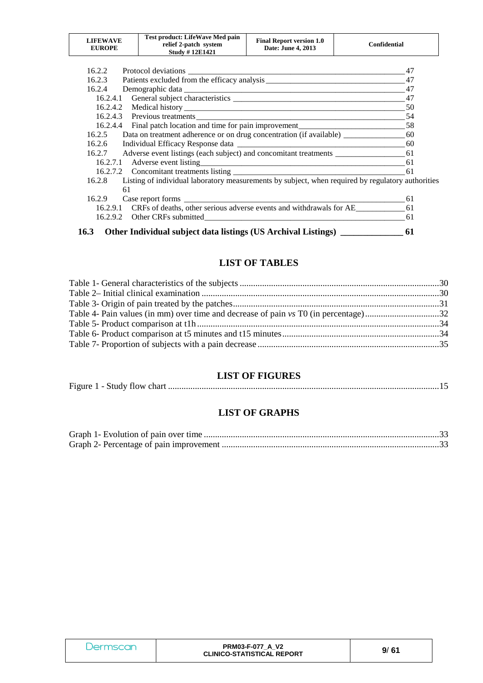| LIFEWAVE<br><b>EUROPE</b> | <b>Test product: LifeWave Med pain</b><br>relief 2-patch system<br><b>Study #12E1421</b> | <b>Final Report version 1.0</b><br>Date: June 4, 2013 | Confidential |
|---------------------------|------------------------------------------------------------------------------------------|-------------------------------------------------------|--------------|
|---------------------------|------------------------------------------------------------------------------------------|-------------------------------------------------------|--------------|

| 16.2.2 |                                                                                                               | 47  |
|--------|---------------------------------------------------------------------------------------------------------------|-----|
| 16.2.3 |                                                                                                               |     |
| 16.2.4 |                                                                                                               | 47  |
|        |                                                                                                               |     |
|        |                                                                                                               | 50  |
|        |                                                                                                               |     |
|        | 16.2.4.4 Final patch location and time for pain improvement________________________________58                 |     |
| 16.2.5 | Data on treatment adherence or on drug concentration (if available) _______________________60                 |     |
| 16.2.6 |                                                                                                               |     |
|        |                                                                                                               |     |
|        | 16.2.7.1 Adverse event listing 61.2.7.1 61.2.7.1 Adverse event listing 61.2.2.7.1 Adverse event listing 61.2. |     |
|        |                                                                                                               |     |
| 16.2.8 | Listing of individual laboratory measurements by subject, when required by regulatory authorities             |     |
|        | 61                                                                                                            |     |
|        | 16.2.9 Case report forms                                                                                      | -61 |
|        | 16.2.9.1 CRFs of deaths, other serious adverse events and withdrawals for AE 61                               |     |
|        |                                                                                                               | -61 |
|        |                                                                                                               |     |

**16.3 Other Individual subject data listings (US Archival Listings) \_\_\_\_\_\_\_\_\_\_\_\_\_\_ 61**

## **LIST OF TABLES**

## **LIST OF FIGURES**

Figure 1 - Study flow chart ......................................................................................................................... 15

## **LIST OF GRAPHS**

| Dermscan | <b>PRM03-F-077 A V2</b><br><b>CLINICO-STATISTICAL REPORT</b> | 9/61 |
|----------|--------------------------------------------------------------|------|
|----------|--------------------------------------------------------------|------|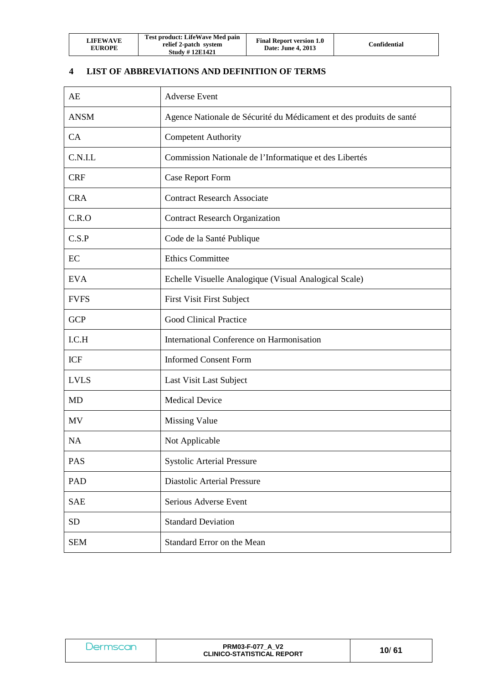| LIFEWAVE<br><b>EUROPE</b> | Test product: LifeWave Med pain<br>relief 2-patch system<br><b>Study #12E1421</b> | <b>Final Report version 1.0</b><br><b>Date: June 4, 2013</b> | Confidential |
|---------------------------|-----------------------------------------------------------------------------------|--------------------------------------------------------------|--------------|
|---------------------------|-----------------------------------------------------------------------------------|--------------------------------------------------------------|--------------|

# **4 LIST OF ABBREVIATIONS AND DEFINITION OF TERMS**

| AE          | <b>Adverse Event</b>                                                |
|-------------|---------------------------------------------------------------------|
| <b>ANSM</b> | Agence Nationale de Sécurité du Médicament et des produits de santé |
| CA          | <b>Competent Authority</b>                                          |
| C.N.I.L     | Commission Nationale de l'Informatique et des Libertés              |
| <b>CRF</b>  | <b>Case Report Form</b>                                             |
| <b>CRA</b>  | <b>Contract Research Associate</b>                                  |
| C.R.O       | <b>Contract Research Organization</b>                               |
| C.S.P       | Code de la Santé Publique                                           |
| EC          | <b>Ethics Committee</b>                                             |
| <b>EVA</b>  | Echelle Visuelle Analogique (Visual Analogical Scale)               |
| <b>FVFS</b> | <b>First Visit First Subject</b>                                    |
| <b>GCP</b>  | <b>Good Clinical Practice</b>                                       |
| I.C.H       | International Conference on Harmonisation                           |
| <b>ICF</b>  | <b>Informed Consent Form</b>                                        |
| <b>LVLS</b> | Last Visit Last Subject                                             |
| <b>MD</b>   | <b>Medical Device</b>                                               |
| MV          | <b>Missing Value</b>                                                |
| <b>NA</b>   | Not Applicable                                                      |
| PAS         | <b>Systolic Arterial Pressure</b>                                   |
| <b>PAD</b>  | <b>Diastolic Arterial Pressure</b>                                  |
| <b>SAE</b>  | Serious Adverse Event                                               |
| <b>SD</b>   | <b>Standard Deviation</b>                                           |
| <b>SEM</b>  | Standard Error on the Mean                                          |

| <i><u>Jermscar</u></i> | <b>PRM03-F-077 A V2</b><br><b>CLINICO-STATISTICAL REPORT</b> | 10/61 |
|------------------------|--------------------------------------------------------------|-------|
|                        |                                                              |       |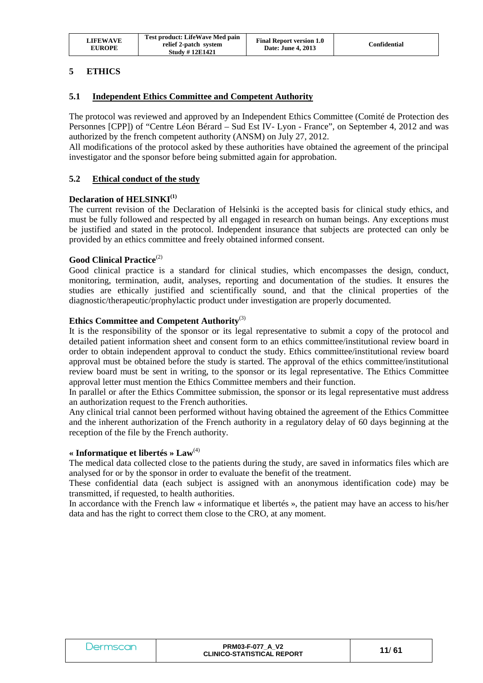| <b>LIFEWAVE</b><br><b>EUROPE</b> | Test product: LifeWave Med pain<br>relief 2-patch system<br><b>Study #12E1421</b> | <b>Final Report version 1.0</b><br>Date: June 4, 2013 | Confidential |
|----------------------------------|-----------------------------------------------------------------------------------|-------------------------------------------------------|--------------|
|----------------------------------|-----------------------------------------------------------------------------------|-------------------------------------------------------|--------------|

## **5 ETHICS**

## **5.1 Independent Ethics Committee and Competent Authority**

The protocol was reviewed and approved by an Independent Ethics Committee (Comité de Protection des Personnes [CPP]) of "Centre Léon Bérard – Sud Est IV- Lyon - France", on September 4, 2012 and was authorized by the french competent authority (ANSM) on July 27, 2012.

All modifications of the protocol asked by these authorities have obtained the agreement of the principal investigator and the sponsor before being submitted again for approbation.

## **5.2 Ethical conduct of the study**

#### **Declaration of HELSINKI(1)**

The current revision of the Declaration of Helsinki is the accepted basis for clinical study ethics, and must be fully followed and respected by all engaged in research on human beings. Any exceptions must be justified and stated in the protocol. Independent insurance that subjects are protected can only be provided by an ethics committee and freely obtained informed consent.

#### Good Clinical Practice<sup>(2)</sup>

Good clinical practice is a standard for clinical studies, which encompasses the design, conduct, monitoring, termination, audit, analyses, reporting and documentation of the studies. It ensures the studies are ethically justified and scientifically sound, and that the clinical properties of the diagnostic/therapeutic/prophylactic product under investigation are properly documented.

#### **Ethics Committee and Competent Authority**(3)

It is the responsibility of the sponsor or its legal representative to submit a copy of the protocol and detailed patient information sheet and consent form to an ethics committee/institutional review board in order to obtain independent approval to conduct the study. Ethics committee/institutional review board approval must be obtained before the study is started. The approval of the ethics committee/institutional review board must be sent in writing, to the sponsor or its legal representative. The Ethics Committee approval letter must mention the Ethics Committee members and their function.

In parallel or after the Ethics Committee submission, the sponsor or its legal representative must address an authorization request to the French authorities.

Any clinical trial cannot been performed without having obtained the agreement of the Ethics Committee and the inherent authorization of the French authority in a regulatory delay of 60 days beginning at the reception of the file by the French authority.

#### **« Informatique et libertés » Law**(4)

The medical data collected close to the patients during the study, are saved in informatics files which are analysed for or by the sponsor in order to evaluate the benefit of the treatment.

These confidential data (each subject is assigned with an anonymous identification code) may be transmitted, if requested, to health authorities.

In accordance with the French law « informatique et libertés », the patient may have an access to his/her data and has the right to correct them close to the CRO, at any moment.

| Dermscan | <b>PRM03-F-077 A V2</b><br><b>CLINICO-STATISTICAL REPORT</b> | 11/61 |
|----------|--------------------------------------------------------------|-------|
|----------|--------------------------------------------------------------|-------|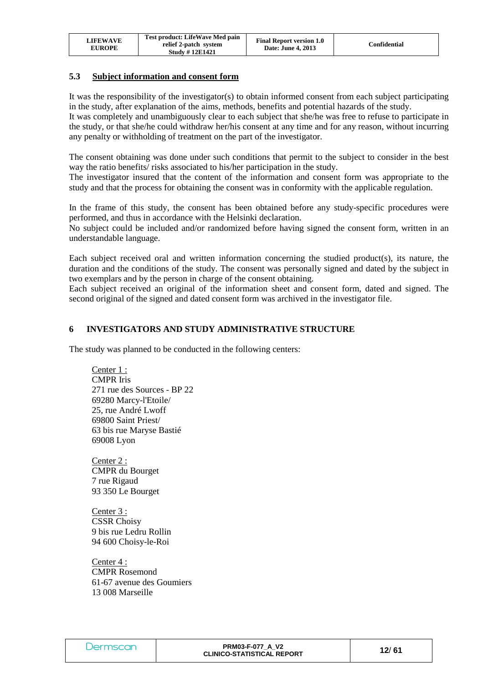| <b>LIFEWAVE</b><br><b>EUROPE</b> | Test product: LifeWave Med pain<br>relief 2-patch system<br><b>Study #12E1421</b> | <b>Final Report version 1.0</b><br>Date: June 4, 2013 | Confidential |
|----------------------------------|-----------------------------------------------------------------------------------|-------------------------------------------------------|--------------|
|----------------------------------|-----------------------------------------------------------------------------------|-------------------------------------------------------|--------------|

## **5.3 Subject information and consent form**

It was the responsibility of the investigator(s) to obtain informed consent from each subject participating in the study, after explanation of the aims, methods, benefits and potential hazards of the study.

It was completely and unambiguously clear to each subject that she/he was free to refuse to participate in the study, or that she/he could withdraw her/his consent at any time and for any reason, without incurring any penalty or withholding of treatment on the part of the investigator.

The consent obtaining was done under such conditions that permit to the subject to consider in the best way the ratio benefits/ risks associated to his/her participation in the study.

The investigator insured that the content of the information and consent form was appropriate to the study and that the process for obtaining the consent was in conformity with the applicable regulation.

In the frame of this study, the consent has been obtained before any study-specific procedures were performed, and thus in accordance with the Helsinki declaration.

No subject could be included and/or randomized before having signed the consent form, written in an understandable language.

Each subject received oral and written information concerning the studied product(s), its nature, the duration and the conditions of the study. The consent was personally signed and dated by the subject in two exemplars and by the person in charge of the consent obtaining.

Each subject received an original of the information sheet and consent form, dated and signed. The second original of the signed and dated consent form was archived in the investigator file.

#### **6 INVESTIGATORS AND STUDY ADMINISTRATIVE STRUCTURE**

The study was planned to be conducted in the following centers:

Center 1 : CMPR Iris 271 rue des Sources - BP 22 69280 Marcy-l'Etoile/ 25, rue André Lwoff 69800 Saint Priest/ 63 bis rue Maryse Bastié 69008 Lyon

Center 2 : CMPR du Bourget 7 rue Rigaud 93 350 Le Bourget

Center 3 : CSSR Choisy 9 bis rue Ledru Rollin 94 600 Choisy-le-Roi

Center 4 : CMPR Rosemond 61-67 avenue des Goumiers 13 008 Marseille

| Dermscar | <b>PRM03-F-077 A V2</b><br><b>CLINICO-STATISTICAL REPORT</b> | 12/61 |
|----------|--------------------------------------------------------------|-------|
|          |                                                              |       |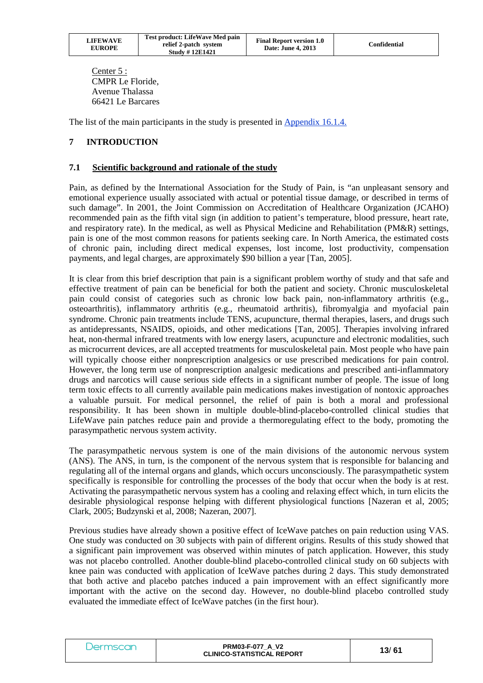| LIFEWAVE<br><b>EUROPE</b> | Test product: LifeWave Med pain<br>relief 2-patch system<br><b>Study #12E1421</b> | <b>Final Report version 1.0</b><br>Date: June 4, 2013 | Confidential |
|---------------------------|-----------------------------------------------------------------------------------|-------------------------------------------------------|--------------|
|---------------------------|-----------------------------------------------------------------------------------|-------------------------------------------------------|--------------|

Center 5 : CMPR Le Floride, Avenue Thalassa 66421 Le Barcares

The list of the main participants in the study is presented in Appendix 16.1.4.

## **7 INTRODUCTION**

#### **7.1 Scientific background and rationale of the study**

Pain, as defined by the International Association for the Study of Pain, is "an unpleasant sensory and emotional experience usually associated with actual or potential tissue damage, or described in terms of such damage". In 2001, the Joint Commission on Accreditation of Healthcare Organization (JCAHO) recommended pain as the fifth vital sign (in addition to patient's temperature, blood pressure, heart rate, and respiratory rate). In the medical, as well as Physical Medicine and Rehabilitation (PM&R) settings, pain is one of the most common reasons for patients seeking care. In North America, the estimated costs of chronic pain, including direct medical expenses, lost income, lost productivity, compensation payments, and legal charges, are approximately \$90 billion a year [Tan, 2005].

It is clear from this brief description that pain is a significant problem worthy of study and that safe and effective treatment of pain can be beneficial for both the patient and society. Chronic musculoskeletal pain could consist of categories such as chronic low back pain, non-inflammatory arthritis (e.g., osteoarthritis), inflammatory arthritis (e.g., rheumatoid arthritis), fibromyalgia and myofacial pain syndrome. Chronic pain treatments include TENS, acupuncture, thermal therapies, lasers, and drugs such as antidepressants, NSAIDS, opioids, and other medications [Tan, 2005]. Therapies involving infrared heat, non-thermal infrared treatments with low energy lasers, acupuncture and electronic modalities, such as microcurrent devices, are all accepted treatments for musculoskeletal pain. Most people who have pain will typically choose either nonprescription analgesics or use prescribed medications for pain control. However, the long term use of nonprescription analgesic medications and prescribed anti-inflammatory drugs and narcotics will cause serious side effects in a significant number of people. The issue of long term toxic effects to all currently available pain medications makes investigation of nontoxic approaches a valuable pursuit. For medical personnel, the relief of pain is both a moral and professional responsibility. It has been shown in multiple double-blind-placebo-controlled clinical studies that LifeWave pain patches reduce pain and provide a thermoregulating effect to the body, promoting the parasympathetic nervous system activity.

The parasympathetic nervous system is one of the main divisions of the autonomic nervous system (ANS). The ANS, in turn, is the component of the nervous system that is responsible for balancing and regulating all of the internal organs and glands, which occurs unconsciously. The parasympathetic system specifically is responsible for controlling the processes of the body that occur when the body is at rest. Activating the parasympathetic nervous system has a cooling and relaxing effect which, in turn elicits the desirable physiological response helping with different physiological functions [Nazeran et al, 2005; Clark, 2005; Budzynski et al, 2008; Nazeran, 2007].

Previous studies have already shown a positive effect of IceWave patches on pain reduction using VAS. One study was conducted on 30 subjects with pain of different origins. Results of this study showed that a significant pain improvement was observed within minutes of patch application. However, this study was not placebo controlled. Another double-blind placebo-controlled clinical study on 60 subjects with knee pain was conducted with application of IceWave patches during 2 days. This study demonstrated that both active and placebo patches induced a pain improvement with an effect significantly more important with the active on the second day. However, no double-blind placebo controlled study evaluated the immediate effect of IceWave patches (in the first hour).

| <b>PRM03-F-077 A V2</b><br><b>Jermscar</b><br><b>CLINICO-STATISTICAL REPORT</b> | 13/61 |
|---------------------------------------------------------------------------------|-------|
|---------------------------------------------------------------------------------|-------|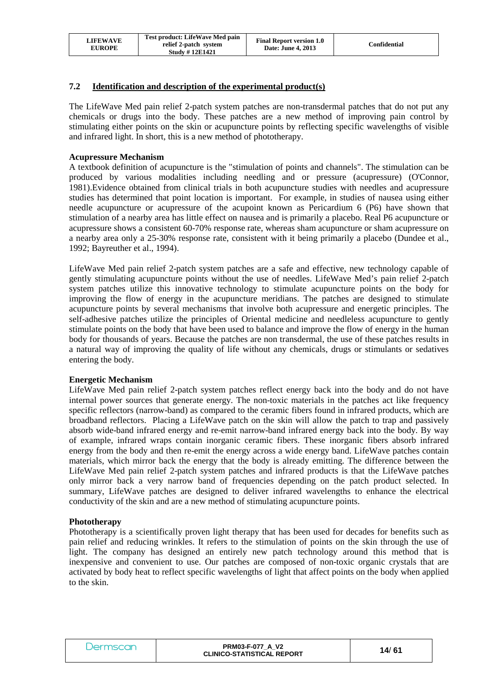| <b>LIFEWAVE</b><br><b>EUROPE</b> | <b>Test product: LifeWave Med pain</b><br>relief 2-patch system<br><b>Study #12E1421</b> | <b>Final Report version 1.0</b><br>Date: June 4, 2013 | Confidential |
|----------------------------------|------------------------------------------------------------------------------------------|-------------------------------------------------------|--------------|
|----------------------------------|------------------------------------------------------------------------------------------|-------------------------------------------------------|--------------|

#### **7.2 Identification and description of the experimental product(s)**

The LifeWave Med pain relief 2-patch system patches are non-transdermal patches that do not put any chemicals or drugs into the body. These patches are a new method of improving pain control by stimulating either points on the skin or acupuncture points by reflecting specific wavelengths of visible and infrared light. In short, this is a new method of phototherapy.

#### **Acupressure Mechanism**

A textbook definition of acupuncture is the "stimulation of points and channels". The stimulation can be produced by various modalities including needling and or pressure (acupressure) (O'Connor, 1981).Evidence obtained from clinical trials in both acupuncture studies with needles and acupressure studies has determined that point location is important. For example, in studies of nausea using either needle acupuncture or acupressure of the acupoint known as Pericardium 6 (P6) have shown that stimulation of a nearby area has little effect on nausea and is primarily a placebo. Real P6 acupuncture or acupressure shows a consistent 60-70% response rate, whereas sham acupuncture or sham acupressure on a nearby area only a 25-30% response rate, consistent with it being primarily a placebo (Dundee et al., 1992; Bayreuther et al., 1994).

LifeWave Med pain relief 2-patch system patches are a safe and effective, new technology capable of gently stimulating acupuncture points without the use of needles. LifeWave Med's pain relief 2-patch system patches utilize this innovative technology to stimulate acupuncture points on the body for improving the flow of energy in the acupuncture meridians. The patches are designed to stimulate acupuncture points by several mechanisms that involve both acupressure and energetic principles. The self-adhesive patches utilize the principles of Oriental medicine and needleless acupuncture to gently stimulate points on the body that have been used to balance and improve the flow of energy in the human body for thousands of years. Because the patches are non transdermal, the use of these patches results in a natural way of improving the quality of life without any chemicals, drugs or stimulants or sedatives entering the body.

#### **Energetic Mechanism**

LifeWave Med pain relief 2-patch system patches reflect energy back into the body and do not have internal power sources that generate energy. The non-toxic materials in the patches act like frequency specific reflectors (narrow-band) as compared to the ceramic fibers found in infrared products, which are broadband reflectors. Placing a LifeWave patch on the skin will allow the patch to trap and passively absorb wide-band infrared energy and re-emit narrow-band infrared energy back into the body. By way of example, infrared wraps contain inorganic ceramic fibers. These inorganic fibers absorb infrared energy from the body and then re-emit the energy across a wide energy band. LifeWave patches contain materials, which mirror back the energy that the body is already emitting. The difference between the LifeWave Med pain relief 2-patch system patches and infrared products is that the LifeWave patches only mirror back a very narrow band of frequencies depending on the patch product selected. In summary, LifeWave patches are designed to deliver infrared wavelengths to enhance the electrical conductivity of the skin and are a new method of stimulating acupuncture points.

#### **Phototherapy**

Phototherapy is a scientifically proven light therapy that has been used for decades for benefits such as pain relief and reducing wrinkles. It refers to the stimulation of points on the skin through the use of light. The company has designed an entirely new patch technology around this method that is inexpensive and convenient to use. Our patches are composed of non-toxic organic crystals that are activated by body heat to reflect specific wavelengths of light that affect points on the body when applied to the skin.

| Dermscan | <b>PRM03-F-077 A V2</b><br><b>CLINICO-STATISTICAL REPORT</b> | 14/61 |
|----------|--------------------------------------------------------------|-------|
|----------|--------------------------------------------------------------|-------|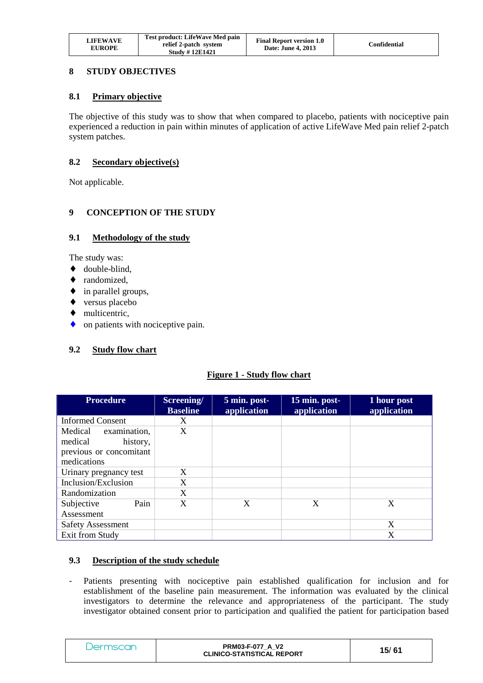| <b>LIFEWAVE</b><br><b>EUROPE</b> | <b>Test product: LifeWave Med pain</b><br>relief 2-patch system<br><b>Study #12E1421</b> | <b>Final Report version 1.0</b><br>Date: June 4, 2013 | Confidential |
|----------------------------------|------------------------------------------------------------------------------------------|-------------------------------------------------------|--------------|
|----------------------------------|------------------------------------------------------------------------------------------|-------------------------------------------------------|--------------|

## **8 STUDY OBJECTIVES**

#### **8.1 Primary objective**

The objective of this study was to show that when compared to placebo, patients with nociceptive pain experienced a reduction in pain within minutes of application of active LifeWave Med pain relief 2-patch system patches.

#### **8.2 Secondary objective(s)**

Not applicable.

## **9 CONCEPTION OF THE STUDY**

#### **9.1 Methodology of the study**

The study was:

- ♦ double-blind,
- randomized.
- ♦ in parallel groups,
- ♦ versus placebo
- ♦ multicentric,
- on patients with nociceptive pain.

## **9.2 Study flow chart**

## **Figure 1 - Study flow chart**

| <b>Procedure</b>         | Screening/<br><b>Baseline</b> | 5 min. post-<br>application | 15 min. post-<br>application | 1 hour post<br>application |
|--------------------------|-------------------------------|-----------------------------|------------------------------|----------------------------|
| <b>Informed Consent</b>  | X                             |                             |                              |                            |
| Medical examination,     | X                             |                             |                              |                            |
| medical<br>history,      |                               |                             |                              |                            |
| previous or concomitant  |                               |                             |                              |                            |
| medications              |                               |                             |                              |                            |
| Urinary pregnancy test   | X                             |                             |                              |                            |
| Inclusion/Exclusion      | X                             |                             |                              |                            |
| Randomization            | X                             |                             |                              |                            |
| Pain<br>Subjective       | X                             | X                           | X                            | X                          |
| Assessment               |                               |                             |                              |                            |
| <b>Safety Assessment</b> |                               |                             |                              | X                          |
| Exit from Study          |                               |                             |                              | X                          |

## **9.3 Description of the study schedule**

- Patients presenting with nociceptive pain established qualification for inclusion and for establishment of the baseline pain measurement. The information was evaluated by the clinical investigators to determine the relevance and appropriateness of the participant. The study investigator obtained consent prior to participation and qualified the patient for participation based

| Jermscan | <b>PRM03-F-077 A V2</b><br><b>CLINICO-STATISTICAL REPORT</b> | 15/61 |  |
|----------|--------------------------------------------------------------|-------|--|
|----------|--------------------------------------------------------------|-------|--|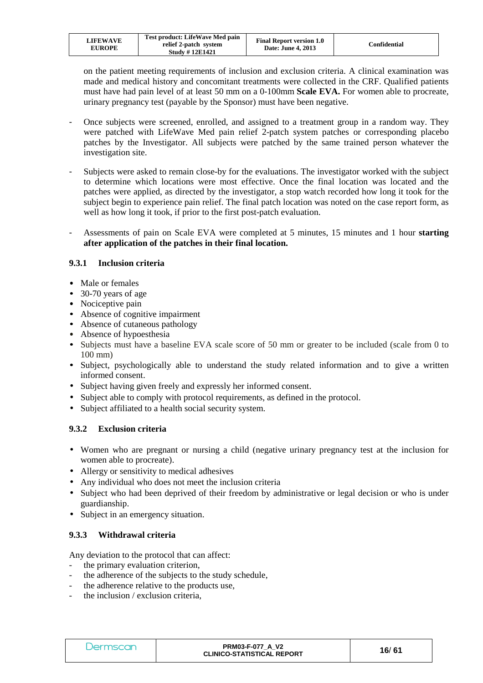| LIFEWAVE<br><b>EUROPE</b> | Test product: LifeWave Med pain<br>relief 2-patch system<br><b>Study #12E1421</b> | <b>Final Report version 1.0</b><br>Date: June 4, 2013 | Confidential |
|---------------------------|-----------------------------------------------------------------------------------|-------------------------------------------------------|--------------|
|---------------------------|-----------------------------------------------------------------------------------|-------------------------------------------------------|--------------|

on the patient meeting requirements of inclusion and exclusion criteria. A clinical examination was made and medical history and concomitant treatments were collected in the CRF. Qualified patients must have had pain level of at least 50 mm on a 0-100mm **Scale EVA.** For women able to procreate, urinary pregnancy test (payable by the Sponsor) must have been negative.

- Once subjects were screened, enrolled, and assigned to a treatment group in a random way. They were patched with LifeWave Med pain relief 2-patch system patches or corresponding placebo patches by the Investigator. All subjects were patched by the same trained person whatever the investigation site.
- Subjects were asked to remain close-by for the evaluations. The investigator worked with the subject to determine which locations were most effective. Once the final location was located and the patches were applied, as directed by the investigator, a stop watch recorded how long it took for the subject begin to experience pain relief. The final patch location was noted on the case report form, as well as how long it took, if prior to the first post-patch evaluation.
- Assessments of pain on Scale EVA were completed at 5 minutes, 15 minutes and 1 hour **starting after application of the patches in their final location.**

## **9.3.1 Inclusion criteria**

- Male or females
- 30-70 years of age
- Nociceptive pain
- Absence of cognitive impairment
- Absence of cutaneous pathology
- Absence of hypoesthesia
- Subjects must have a baseline EVA scale score of 50 mm or greater to be included (scale from 0 to 100 mm)
- Subject, psychologically able to understand the study related information and to give a written informed consent.
- Subject having given freely and expressly her informed consent.
- Subject able to comply with protocol requirements, as defined in the protocol.
- Subject affiliated to a health social security system.

## **9.3.2 Exclusion criteria**

- Women who are pregnant or nursing a child (negative urinary pregnancy test at the inclusion for women able to procreate).
- Allergy or sensitivity to medical adhesives
- Any individual who does not meet the inclusion criteria
- Subject who had been deprived of their freedom by administrative or legal decision or who is under guardianship.
- Subject in an emergency situation.

## **9.3.3 Withdrawal criteria**

Any deviation to the protocol that can affect:

- the primary evaluation criterion,
- the adherence of the subjects to the study schedule,
- the adherence relative to the products use.
- the inclusion / exclusion criteria,

| Dermscan | <b>PRM03-F-077 A V2</b><br><b>CLINICO-STATISTICAL REPORT</b> | 16/61 |
|----------|--------------------------------------------------------------|-------|
|----------|--------------------------------------------------------------|-------|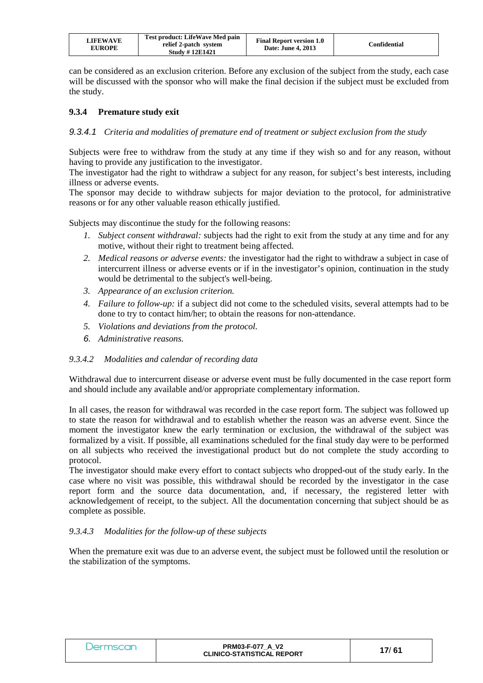| <b>LIFEWAVE</b><br><b>EUROPE</b> | Test product: LifeWave Med pain<br>relief 2-patch system<br><b>Study #12E1421</b> | <b>Final Report version 1.0</b><br>Date: June 4, 2013 | Confidential |
|----------------------------------|-----------------------------------------------------------------------------------|-------------------------------------------------------|--------------|
|----------------------------------|-----------------------------------------------------------------------------------|-------------------------------------------------------|--------------|

can be considered as an exclusion criterion. Before any exclusion of the subject from the study, each case will be discussed with the sponsor who will make the final decision if the subject must be excluded from the study.

## **9.3.4 Premature study exit**

#### 9.3.4.1 *Criteria and modalities of premature end of treatment or subject exclusion from the study*

Subjects were free to withdraw from the study at any time if they wish so and for any reason, without having to provide any justification to the investigator.

The investigator had the right to withdraw a subject for any reason, for subject's best interests, including illness or adverse events.

The sponsor may decide to withdraw subjects for major deviation to the protocol, for administrative reasons or for any other valuable reason ethically justified.

Subjects may discontinue the study for the following reasons:

- *1. Subject consent withdrawal:* subjects had the right to exit from the study at any time and for any motive, without their right to treatment being affected.
- *2. Medical reasons or adverse events:* the investigator had the right to withdraw a subject in case of intercurrent illness or adverse events or if in the investigator's opinion, continuation in the study would be detrimental to the subject's well-being.
- *3. Appearance of an exclusion criterion.*
- *4. Failure to follow-up:* if a subject did not come to the scheduled visits, several attempts had to be done to try to contact him/her; to obtain the reasons for non-attendance.
- *5. Violations and deviations from the protocol.*
- 6. *Administrative reasons.*

#### *9.3.4.2 Modalities and calendar of recording data*

Withdrawal due to intercurrent disease or adverse event must be fully documented in the case report form and should include any available and/or appropriate complementary information.

In all cases, the reason for withdrawal was recorded in the case report form. The subject was followed up to state the reason for withdrawal and to establish whether the reason was an adverse event. Since the moment the investigator knew the early termination or exclusion, the withdrawal of the subject was formalized by a visit. If possible, all examinations scheduled for the final study day were to be performed on all subjects who received the investigational product but do not complete the study according to protocol.

The investigator should make every effort to contact subjects who dropped-out of the study early. In the case where no visit was possible, this withdrawal should be recorded by the investigator in the case report form and the source data documentation, and, if necessary, the registered letter with acknowledgement of receipt, to the subject. All the documentation concerning that subject should be as complete as possible.

#### *9.3.4.3 Modalities for the follow-up of these subjects*

When the premature exit was due to an adverse event, the subject must be followed until the resolution or the stabilization of the symptoms.

| Dermscan | <b>PRM03-F-077 A V2</b><br><b>CLINICO-STATISTICAL REPORT</b> | 17/61 |
|----------|--------------------------------------------------------------|-------|
|----------|--------------------------------------------------------------|-------|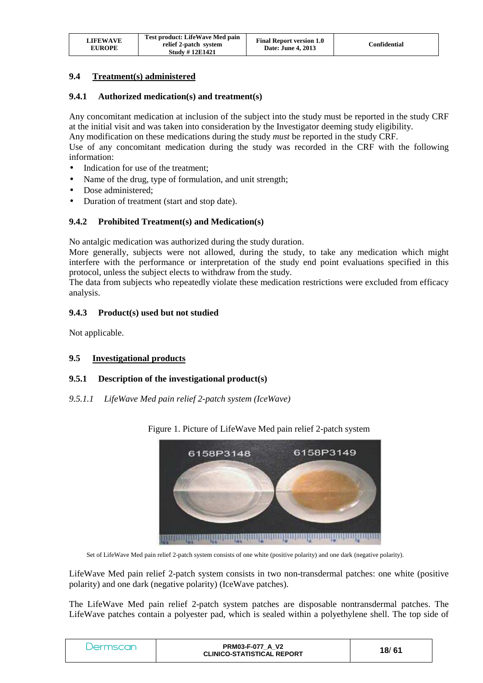| <b>LIFEWAVE</b><br><b>EUROPE</b> | Test product: LifeWave Med pain<br>relief 2-patch system<br><b>Study #12E1421</b> | <b>Final Report version 1.0</b><br><b>Date: June 4, 2013</b> | Confidential |
|----------------------------------|-----------------------------------------------------------------------------------|--------------------------------------------------------------|--------------|
|----------------------------------|-----------------------------------------------------------------------------------|--------------------------------------------------------------|--------------|

## **9.4 Treatment(s) administered**

#### **9.4.1 Authorized medication(s) and treatment(s)**

Any concomitant medication at inclusion of the subject into the study must be reported in the study CRF at the initial visit and was taken into consideration by the Investigator deeming study eligibility. Any modification on these medications during the study *must* be reported in the study CRF. Use of any concomitant medication during the study was recorded in the CRF with the following information:

- Indication for use of the treatment;
- Name of the drug, type of formulation, and unit strength;
- Dose administered;
- Duration of treatment (start and stop date).

#### **9.4.2 Prohibited Treatment(s) and Medication(s)**

No antalgic medication was authorized during the study duration.

More generally, subjects were not allowed, during the study, to take any medication which might interfere with the performance or interpretation of the study end point evaluations specified in this protocol, unless the subject elects to withdraw from the study.

The data from subjects who repeatedly violate these medication restrictions were excluded from efficacy analysis.

#### **9.4.3 Product(s) used but not studied**

Not applicable.

## **9.5 Investigational products**

#### **9.5.1 Description of the investigational product(s)**

#### *9.5.1.1 LifeWave Med pain relief 2-patch system (IceWave)*



Figure 1. Picture of LifeWave Med pain relief 2-patch system

Set of LifeWave Med pain relief 2-patch system consists of one white (positive polarity) and one dark (negative polarity).

LifeWave Med pain relief 2-patch system consists in two non-transdermal patches: one white (positive polarity) and one dark (negative polarity) (IceWave patches).

The LifeWave Med pain relief 2-patch system patches are disposable nontransdermal patches. The LifeWave patches contain a polyester pad, which is sealed within a polyethylene shell. The top side of

| <b>PRM03-F-077 A V2</b><br><b>Dermscan</b><br>18/61<br><b>CLINICO-STATISTICAL REPORT</b> |  |
|------------------------------------------------------------------------------------------|--|
|------------------------------------------------------------------------------------------|--|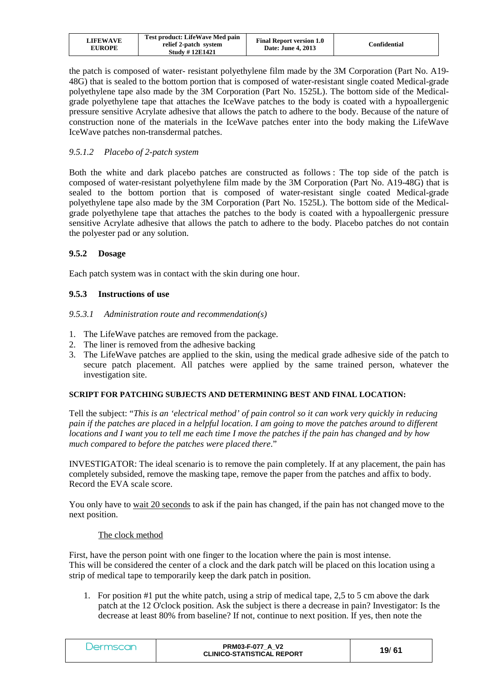| <b>LIFEWAVE</b><br><b>EUROPE</b> | Test product: LifeWave Med pain<br>relief 2-patch system<br><b>Study #12E1421</b> | <b>Final Report version 1.0</b><br>Date: June 4, 2013 | Confidential |
|----------------------------------|-----------------------------------------------------------------------------------|-------------------------------------------------------|--------------|
|----------------------------------|-----------------------------------------------------------------------------------|-------------------------------------------------------|--------------|

the patch is composed of water- resistant polyethylene film made by the 3M Corporation (Part No. A19- 48G) that is sealed to the bottom portion that is composed of water-resistant single coated Medical-grade polyethylene tape also made by the 3M Corporation (Part No. 1525L). The bottom side of the Medicalgrade polyethylene tape that attaches the IceWave patches to the body is coated with a hypoallergenic pressure sensitive Acrylate adhesive that allows the patch to adhere to the body. Because of the nature of construction none of the materials in the IceWave patches enter into the body making the LifeWave IceWave patches non-transdermal patches.

## *9.5.1.2 Placebo of 2-patch system*

Both the white and dark placebo patches are constructed as follows : The top side of the patch is composed of water-resistant polyethylene film made by the 3M Corporation (Part No. A19-48G) that is sealed to the bottom portion that is composed of water-resistant single coated Medical-grade polyethylene tape also made by the 3M Corporation (Part No. 1525L). The bottom side of the Medicalgrade polyethylene tape that attaches the patches to the body is coated with a hypoallergenic pressure sensitive Acrylate adhesive that allows the patch to adhere to the body. Placebo patches do not contain the polyester pad or any solution.

## **9.5.2 Dosage**

Each patch system was in contact with the skin during one hour.

## **9.5.3 Instructions of use**

#### *9.5.3.1 Administration route and recommendation(s)*

- 1. The LifeWave patches are removed from the package.
- 2. The liner is removed from the adhesive backing
- 3. The LifeWave patches are applied to the skin, using the medical grade adhesive side of the patch to secure patch placement. All patches were applied by the same trained person, whatever the investigation site.

#### **SCRIPT FOR PATCHING SUBJECTS AND DETERMINING BEST AND FINAL LOCATION:**

Tell the subject: "*This is an 'electrical method' of pain control so it can work very quickly in reducing pain if the patches are placed in a helpful location. I am going to move the patches around to different locations and I want you to tell me each time I move the patches if the pain has changed and by how much compared to before the patches were placed there*."

INVESTIGATOR: The ideal scenario is to remove the pain completely. If at any placement, the pain has completely subsided, remove the masking tape, remove the paper from the patches and affix to body. Record the EVA scale score.

You only have to wait 20 seconds to ask if the pain has changed, if the pain has not changed move to the next position.

#### The clock method

First, have the person point with one finger to the location where the pain is most intense. This will be considered the center of a clock and the dark patch will be placed on this location using a strip of medical tape to temporarily keep the dark patch in position.

1. For position #1 put the white patch, using a strip of medical tape, 2,5 to 5 cm above the dark patch at the 12 O'clock position. Ask the subject is there a decrease in pain? Investigator: Is the decrease at least 80% from baseline? If not, continue to next position. If yes, then note the

| mscar<br>. Jerr | <b>PRM03-F-077 A V2</b><br><b>CLINICO-STATISTICAL REPORT</b> | 19/ 61 |
|-----------------|--------------------------------------------------------------|--------|
|-----------------|--------------------------------------------------------------|--------|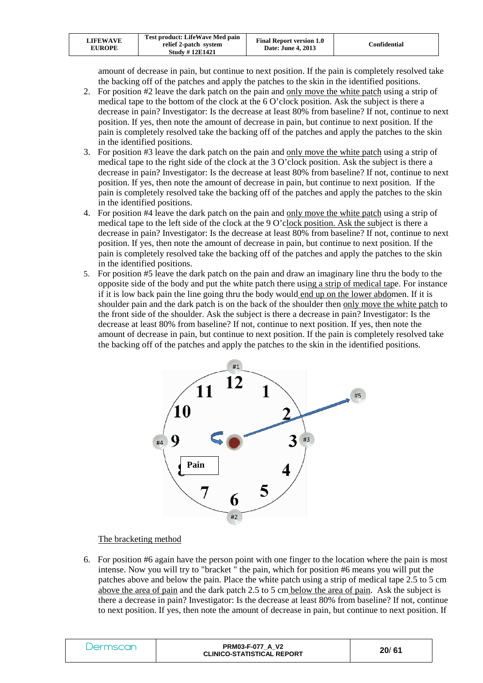| <b>LIFEWAVE</b><br><b>EUROPE</b> | Test product: LifeWave Med pain<br>relief 2-patch system<br><b>Study #12E1421</b> | <b>Final Report version 1.0</b><br><b>Date: June 4, 2013</b> | Confidential |
|----------------------------------|-----------------------------------------------------------------------------------|--------------------------------------------------------------|--------------|
|----------------------------------|-----------------------------------------------------------------------------------|--------------------------------------------------------------|--------------|

amount of decrease in pain, but continue to next position. If the pain is completely resolved take the backing off of the patches and apply the patches to the skin in the identified positions.

- 2. For position #2 leave the dark patch on the pain and only move the white patch using a strip of medical tape to the bottom of the clock at the 6 O'clock position. Ask the subject is there a decrease in pain? Investigator: Is the decrease at least 80% from baseline? If not, continue to next position. If yes, then note the amount of decrease in pain, but continue to next position. If the pain is completely resolved take the backing off of the patches and apply the patches to the skin in the identified positions.
- 3. For position #3 leave the dark patch on the pain and only move the white patch using a strip of medical tape to the right side of the clock at the 3 O'clock position. Ask the subject is there a decrease in pain? Investigator: Is the decrease at least 80% from baseline? If not, continue to next position. If yes, then note the amount of decrease in pain, but continue to next position. If the pain is completely resolved take the backing off of the patches and apply the patches to the skin in the identified positions.
- 4. For position #4 leave the dark patch on the pain and only move the white patch using a strip of medical tape to the left side of the clock at the 9 O'clock position. Ask the subject is there a decrease in pain? Investigator: Is the decrease at least 80% from baseline? If not, continue to next position. If yes, then note the amount of decrease in pain, but continue to next position. If the pain is completely resolved take the backing off of the patches and apply the patches to the skin in the identified positions.
- 5. For position #5 leave the dark patch on the pain and draw an imaginary line thru the body to the opposite side of the body and put the white patch there using a strip of medical tape. For instance if it is low back pain the line going thru the body would end up on the lower abdomen. If it is shoulder pain and the dark patch is on the back of the shoulder then only move the white patch to the front side of the shoulder. Ask the subject is there a decrease in pain? Investigator: Is the decrease at least 80% from baseline? If not, continue to next position. If yes, then note the amount of decrease in pain, but continue to next position. If the pain is completely resolved take the backing off of the patches and apply the patches to the skin in the identified positions.



## The bracketing method

6. For position #6 again have the person point with one finger to the location where the pain is most intense. Now you will try to "bracket " the pain, which for position #6 means you will put the patches above and below the pain. Place the white patch using a strip of medical tape 2.5 to 5 cm above the area of pain and the dark patch 2.5 to 5 cm below the area of pain. Ask the subject is there a decrease in pain? Investigator: Is the decrease at least 80% from baseline? If not, continue to next position. If yes, then note the amount of decrease in pain, but continue to next position. If

| iscar<br>Jermsc | <b>PRM03-F-077 A V2</b><br><b>CLINICO-STATISTICAL REPORT</b> | 20/61 |  |
|-----------------|--------------------------------------------------------------|-------|--|
|-----------------|--------------------------------------------------------------|-------|--|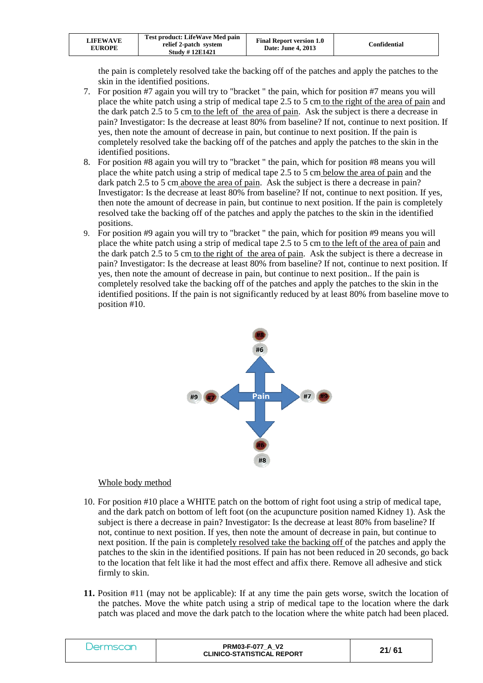| LIFEWAVE<br><b>EUROPE</b> | Test product: LifeWave Med pain<br>relief 2-patch system<br><b>Study #12E1421</b> | <b>Final Report version 1.0</b><br>Date: June 4, 2013 | Confidential |
|---------------------------|-----------------------------------------------------------------------------------|-------------------------------------------------------|--------------|
|---------------------------|-----------------------------------------------------------------------------------|-------------------------------------------------------|--------------|

the pain is completely resolved take the backing off of the patches and apply the patches to the skin in the identified positions.

- 7. For position #7 again you will try to "bracket " the pain, which for position #7 means you will place the white patch using a strip of medical tape 2.5 to 5 cm to the right of the area of pain and the dark patch 2.5 to 5 cm to the left of the area of pain. Ask the subject is there a decrease in pain? Investigator: Is the decrease at least 80% from baseline? If not, continue to next position. If yes, then note the amount of decrease in pain, but continue to next position. If the pain is completely resolved take the backing off of the patches and apply the patches to the skin in the identified positions.
- 8. For position #8 again you will try to "bracket " the pain, which for position #8 means you will place the white patch using a strip of medical tape 2.5 to 5 cm below the area of pain and the dark patch 2.5 to 5 cm above the area of pain. Ask the subject is there a decrease in pain? Investigator: Is the decrease at least 80% from baseline? If not, continue to next position. If yes, then note the amount of decrease in pain, but continue to next position. If the pain is completely resolved take the backing off of the patches and apply the patches to the skin in the identified positions.
- 9. For position #9 again you will try to "bracket " the pain, which for position #9 means you will place the white patch using a strip of medical tape 2.5 to 5 cm to the left of the area of pain and the dark patch 2.5 to 5 cm to the right of the area of pain. Ask the subject is there a decrease in pain? Investigator: Is the decrease at least 80% from baseline? If not, continue to next position. If yes, then note the amount of decrease in pain, but continue to next position.. If the pain is completely resolved take the backing off of the patches and apply the patches to the skin in the identified positions. If the pain is not significantly reduced by at least 80% from baseline move to position #10.



#### Whole body method

- 10. For position #10 place a WHITE patch on the bottom of right foot using a strip of medical tape, and the dark patch on bottom of left foot (on the acupuncture position named Kidney 1). Ask the subject is there a decrease in pain? Investigator: Is the decrease at least 80% from baseline? If not, continue to next position. If yes, then note the amount of decrease in pain, but continue to next position. If the pain is completely resolved take the backing off of the patches and apply the patches to the skin in the identified positions. If pain has not been reduced in 20 seconds, go back to the location that felt like it had the most effect and affix there. Remove all adhesive and stick firmly to skin.
- **11.** Position #11 (may not be applicable): If at any time the pain gets worse, switch the location of the patches. Move the white patch using a strip of medical tape to the location where the dark patch was placed and move the dark patch to the location where the white patch had been placed.

| mscan<br>er | <b>PRM03-F-077 A V2</b><br><b>CLINICO-STATISTICAL REPORT</b> | 21/61 |
|-------------|--------------------------------------------------------------|-------|
|-------------|--------------------------------------------------------------|-------|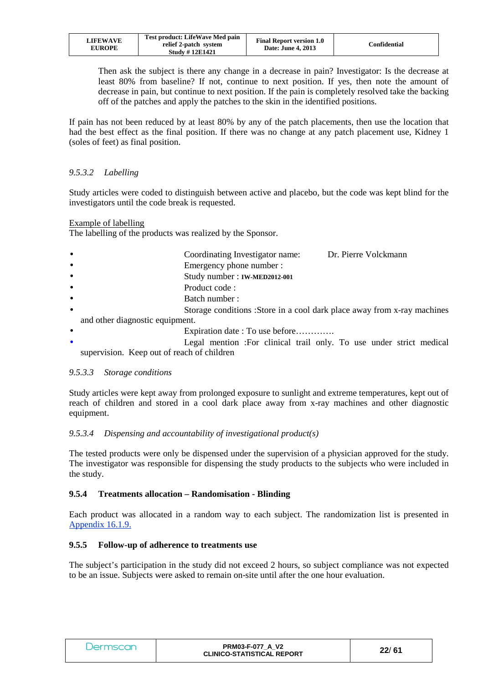| LIFEWAVE<br><b>EUROPE</b> | Test product: LifeWave Med pain<br>relief 2-patch system<br><b>Study #12E1421</b> | <b>Final Report version 1.0</b><br>Date: June 4, 2013 | Confidential |
|---------------------------|-----------------------------------------------------------------------------------|-------------------------------------------------------|--------------|
|---------------------------|-----------------------------------------------------------------------------------|-------------------------------------------------------|--------------|

Then ask the subject is there any change in a decrease in pain? Investigator: Is the decrease at least 80% from baseline? If not, continue to next position. If yes, then note the amount of decrease in pain, but continue to next position. If the pain is completely resolved take the backing off of the patches and apply the patches to the skin in the identified positions.

If pain has not been reduced by at least 80% by any of the patch placements, then use the location that had the best effect as the final position. If there was no change at any patch placement use, Kidney 1 (soles of feet) as final position.

## *9.5.3.2 Labelling*

Study articles were coded to distinguish between active and placebo, but the code was kept blind for the investigators until the code break is requested.

Example of labelling

The labelling of the products was realized by the Sponsor.

- Coordinating Investigator name: Dr. Pierre Volckmann
- **Emergency phone number :**
- Study number : **IW-MED2012-001**
- Product code :
- Batch number :
- Storage conditions : Store in a cool dark place away from x-ray machines and other diagnostic equipment.
- Expiration date : To use before………….
- Legal mention :For clinical trail only. To use under strict medical supervision. Keep out of reach of children

## *9.5.3.3 Storage conditions*

Study articles were kept away from prolonged exposure to sunlight and extreme temperatures, kept out of reach of children and stored in a cool dark place away from x-ray machines and other diagnostic equipment.

## *9.5.3.4 Dispensing and accountability of investigational product(s)*

The tested products were only be dispensed under the supervision of a physician approved for the study. The investigator was responsible for dispensing the study products to the subjects who were included in the study.

## **9.5.4 Treatments allocation – Randomisation - Blinding**

Each product was allocated in a random way to each subject. The randomization list is presented in Appendix 16.1.9.

## **9.5.5 Follow-up of adherence to treatments use**

The subject's participation in the study did not exceed 2 hours, so subject compliance was not expected to be an issue. Subjects were asked to remain on-site until after the one hour evaluation.

| Jermscan | <b>PRM03-F-077 A V2</b><br><b>CLINICO-STATISTICAL REPORT</b> | 22/61 |
|----------|--------------------------------------------------------------|-------|
|----------|--------------------------------------------------------------|-------|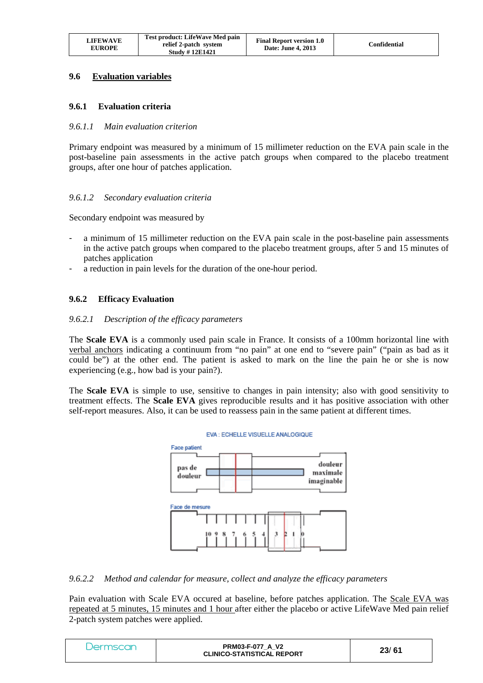| LIFEWAVE<br><b>EUROPE</b> | Test product: LifeWave Med pain<br>relief 2-patch system<br><b>Study #12E1421</b> | <b>Final Report version 1.0</b><br><b>Date: June 4, 2013</b> | Confidential |
|---------------------------|-----------------------------------------------------------------------------------|--------------------------------------------------------------|--------------|
|---------------------------|-----------------------------------------------------------------------------------|--------------------------------------------------------------|--------------|

## **9.6 Evaluation variables**

#### **9.6.1 Evaluation criteria**

#### *9.6.1.1 Main evaluation criterion*

Primary endpoint was measured by a minimum of 15 millimeter reduction on the EVA pain scale in the post-baseline pain assessments in the active patch groups when compared to the placebo treatment groups, after one hour of patches application.

#### *9.6.1.2 Secondary evaluation criteria*

Secondary endpoint was measured by

- a minimum of 15 millimeter reduction on the EVA pain scale in the post-baseline pain assessments in the active patch groups when compared to the placebo treatment groups, after 5 and 15 minutes of patches application
- a reduction in pain levels for the duration of the one-hour period.

#### **9.6.2 Efficacy Evaluation**

#### *9.6.2.1 Description of the efficacy parameters*

The **Scale EVA** is a commonly used pain scale in France. It consists of a 100mm horizontal line with verbal anchors indicating a continuum from "no pain" at one end to "severe pain" ("pain as bad as it could be") at the other end. The patient is asked to mark on the line the pain he or she is now experiencing (e.g., how bad is your pain?).

The **Scale EVA** is simple to use, sensitive to changes in pain intensity; also with good sensitivity to treatment effects. The **Scale EVA** gives reproducible results and it has positive association with other self-report measures. Also, it can be used to reassess pain in the same patient at different times.



#### *9.6.2.2 Method and calendar for measure, collect and analyze the efficacy parameters*

Pain evaluation with Scale EVA occured at baseline, before patches application. The Scale EVA was repeated at 5 minutes, 15 minutes and 1 hour after either the placebo or active LifeWave Med pain relief 2-patch system patches were applied.

| Jermscar | <b>PRM03-F-077 A V2</b><br><b>CLINICO-STATISTICAL REPORT</b> | 23/61 |
|----------|--------------------------------------------------------------|-------|
|----------|--------------------------------------------------------------|-------|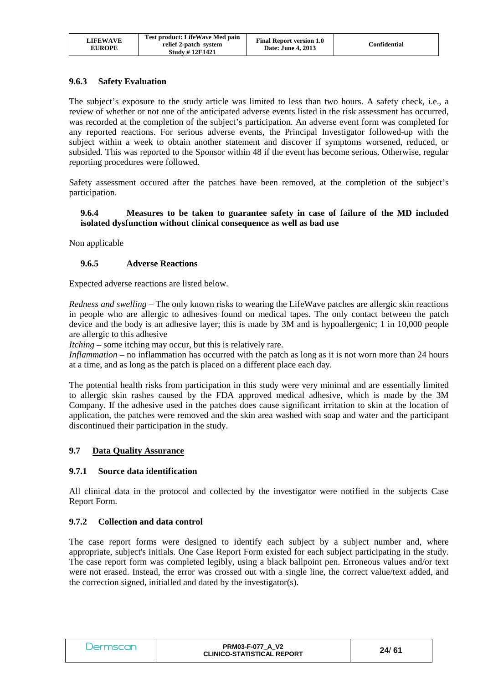| LIFEWAVE<br><b>EUROPE</b> | Test product: LifeWave Med pain<br>relief 2-patch system<br><b>Study #12E1421</b> | <b>Final Report version 1.0</b><br>Date: June 4, 2013 | Confidential |
|---------------------------|-----------------------------------------------------------------------------------|-------------------------------------------------------|--------------|
|---------------------------|-----------------------------------------------------------------------------------|-------------------------------------------------------|--------------|

#### **9.6.3 Safety Evaluation**

The subject's exposure to the study article was limited to less than two hours. A safety check, i.e., a review of whether or not one of the anticipated adverse events listed in the risk assessment has occurred, was recorded at the completion of the subject's participation. An adverse event form was completed for any reported reactions. For serious adverse events, the Principal Investigator followed-up with the subject within a week to obtain another statement and discover if symptoms worsened, reduced, or subsided. This was reported to the Sponsor within 48 if the event has become serious. Otherwise, regular reporting procedures were followed.

Safety assessment occured after the patches have been removed, at the completion of the subject's participation.

#### **9.6.4 Measures to be taken to guarantee safety in case of failure of the MD included isolated dysfunction without clinical consequence as well as bad use**

Non applicable

#### **9.6.5 Adverse Reactions**

Expected adverse reactions are listed below.

*Redness and swelling* – The only known risks to wearing the LifeWave patches are allergic skin reactions in people who are allergic to adhesives found on medical tapes. The only contact between the patch device and the body is an adhesive layer; this is made by 3M and is hypoallergenic; 1 in 10,000 people are allergic to this adhesive

*Itching* – some itching may occur, but this is relatively rare.

*Inflammation* – no inflammation has occurred with the patch as long as it is not worn more than 24 hours at a time, and as long as the patch is placed on a different place each day.

The potential health risks from participation in this study were very minimal and are essentially limited to allergic skin rashes caused by the FDA approved medical adhesive, which is made by the 3M Company. If the adhesive used in the patches does cause significant irritation to skin at the location of application, the patches were removed and the skin area washed with soap and water and the participant discontinued their participation in the study.

## **9.7 Data Quality Assurance**

## **9.7.1 Source data identification**

All clinical data in the protocol and collected by the investigator were notified in the subjects Case Report Form.

#### **9.7.2 Collection and data control**

The case report forms were designed to identify each subject by a subject number and, where appropriate, subject's initials. One Case Report Form existed for each subject participating in the study. The case report form was completed legibly, using a black ballpoint pen. Erroneous values and/or text were not erased. Instead, the error was crossed out with a single line, the correct value/text added, and the correction signed, initialled and dated by the investigator(s).

| Jermscan | <b>PRM03-F-077 A V2</b><br><b>CLINICO-STATISTICAL REPORT</b> | 24/61 |
|----------|--------------------------------------------------------------|-------|
|----------|--------------------------------------------------------------|-------|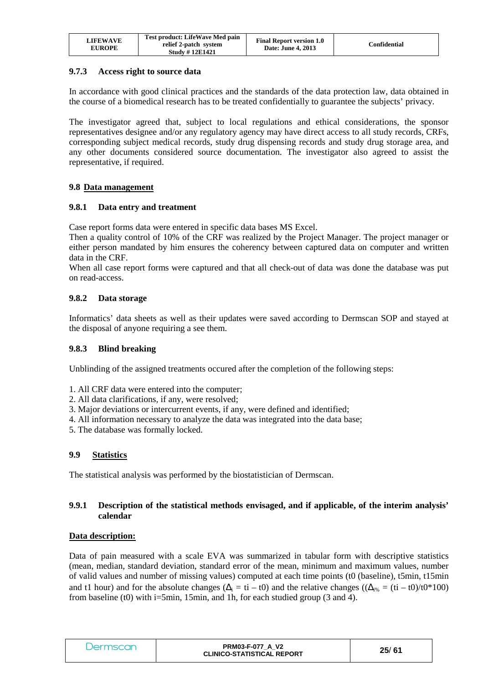| LIFEWAVE<br><b>EUROPE</b> | Test product: LifeWave Med pain<br>relief 2-patch system<br><b>Study #12E1421</b> | <b>Final Report version 1.0</b><br>Date: June 4, 2013 | Confidential |
|---------------------------|-----------------------------------------------------------------------------------|-------------------------------------------------------|--------------|
|---------------------------|-----------------------------------------------------------------------------------|-------------------------------------------------------|--------------|

## **9.7.3 Access right to source data**

In accordance with good clinical practices and the standards of the data protection law, data obtained in the course of a biomedical research has to be treated confidentially to guarantee the subjects' privacy.

The investigator agreed that, subject to local regulations and ethical considerations, the sponsor representatives designee and/or any regulatory agency may have direct access to all study records, CRFs, corresponding subject medical records, study drug dispensing records and study drug storage area, and any other documents considered source documentation. The investigator also agreed to assist the representative, if required.

## **9.8 Data management**

#### **9.8.1 Data entry and treatment**

Case report forms data were entered in specific data bases MS Excel.

Then a quality control of 10% of the CRF was realized by the Project Manager. The project manager or either person mandated by him ensures the coherency between captured data on computer and written data in the CRF.

When all case report forms were captured and that all check-out of data was done the database was put on read-access.

#### **9.8.2 Data storage**

Informatics' data sheets as well as their updates were saved according to Dermscan SOP and stayed at the disposal of anyone requiring a see them.

#### **9.8.3 Blind breaking**

Unblinding of the assigned treatments occured after the completion of the following steps:

- 1. All CRF data were entered into the computer;
- 2. All data clarifications, if any, were resolved;
- 3. Major deviations or intercurrent events, if any, were defined and identified;
- 4. All information necessary to analyze the data was integrated into the data base;
- 5. The database was formally locked.

## **9.9 Statistics**

The statistical analysis was performed by the biostatistician of Dermscan.

#### **9.9.1 Description of the statistical methods envisaged, and if applicable, of the interim analysis' calendar**

#### **Data description:**

Data of pain measured with a scale EVA was summarized in tabular form with descriptive statistics (mean, median, standard deviation, standard error of the mean, minimum and maximum values, number of valid values and number of missing values) computed at each time points (t0 (baseline), t5min, t15min and t1 hour) and for the absolute changes ( $\Delta_i = ti - t0$ ) and the relative changes (( $\Delta_{i\%} = (ti - t0)/t0*100$ ) from baseline (t0) with i=5min, 15min, and 1h, for each studied group  $(3 \text{ and } 4)$ .

| Jermscar | <b>PRM03-F-077 A V2</b><br><b>CLINICO-STATISTICAL REPORT</b> | 25/61 |
|----------|--------------------------------------------------------------|-------|
|----------|--------------------------------------------------------------|-------|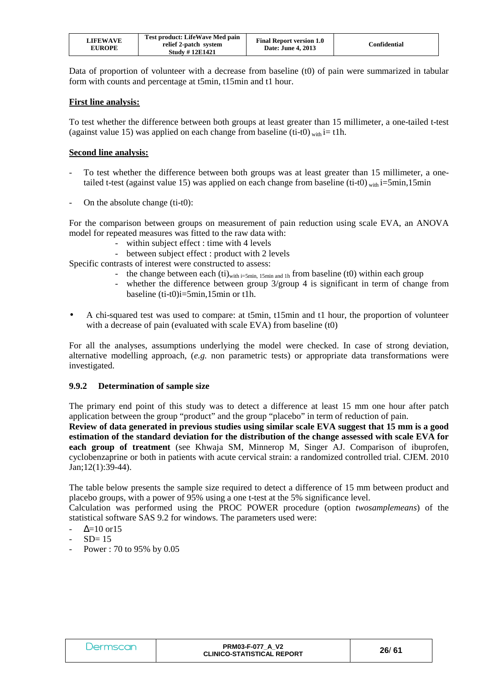| LIFEWAVE<br><b>EUROPE</b> | Test product: LifeWave Med pain<br>relief 2-patch system<br><b>Study #12E1421</b> | <b>Final Report version 1.0</b><br>Date: June 4, 2013 | Confidential |
|---------------------------|-----------------------------------------------------------------------------------|-------------------------------------------------------|--------------|
|---------------------------|-----------------------------------------------------------------------------------|-------------------------------------------------------|--------------|

Data of proportion of volunteer with a decrease from baseline (t0) of pain were summarized in tabular form with counts and percentage at t5min, t15min and t1 hour.

#### **First line analysis:**

To test whether the difference between both groups at least greater than 15 millimeter, a one-tailed t-test (against value 15) was applied on each change from baseline (ti-t0) with  $i=$  t1h.

#### **Second line analysis:**

- To test whether the difference between both groups was at least greater than 15 millimeter, a onetailed t-test (against value 15) was applied on each change from baseline (ti-t0) with i=5min,15min
- On the absolute change (ti-t0):

For the comparison between groups on measurement of pain reduction using scale EVA, an ANOVA model for repeated measures was fitted to the raw data with:

- within subject effect : time with 4 levels
- between subject effect : product with 2 levels

Specific contrasts of interest were constructed to assess:

- the change between each  $(ii)_{with i=5min, 15min, and 1h}$  from baseline (t0) within each group
- whether the difference between group  $3/\text{group } 4$  is significant in term of change from baseline (ti-t0)i=5min,15min or t1h.
- A chi-squared test was used to compare: at t5min, t15min and t1 hour, the proportion of volunteer with a decrease of pain (evaluated with scale EVA) from baseline (t0)

For all the analyses, assumptions underlying the model were checked. In case of strong deviation, alternative modelling approach, (*e.g.* non parametric tests) or appropriate data transformations were investigated.

#### **9.9.2 Determination of sample size**

The primary end point of this study was to detect a difference at least 15 mm one hour after patch application between the group "product" and the group "placebo" in term of reduction of pain.

**Review of data generated in previous studies using similar scale EVA suggest that 15 mm is a good estimation of the standard deviation for the distribution of the change assessed with scale EVA for each group of treatment** (see Khwaja SM, Minnerop M, Singer AJ. Comparison of ibuprofen, cyclobenzaprine or both in patients with acute cervical strain: a randomized controlled trial. CJEM. 2010 Jan;12(1):39-44).

The table below presents the sample size required to detect a difference of 15 mm between product and placebo groups, with a power of 95% using a one t-test at the 5% significance level.

Calculation was performed using the PROC POWER procedure (option *twosamplemeans*) of the statistical software SAS 9.2 for windows. The parameters used were:

- $\Delta$ =10 or15
- $SD = 15$
- Power : 70 to 95% by 0.05

| Jermscar | <b>PRM03-F-077 A V2</b><br><b>CLINICO-STATISTICAL REPORT</b> | 26/61 |
|----------|--------------------------------------------------------------|-------|
|----------|--------------------------------------------------------------|-------|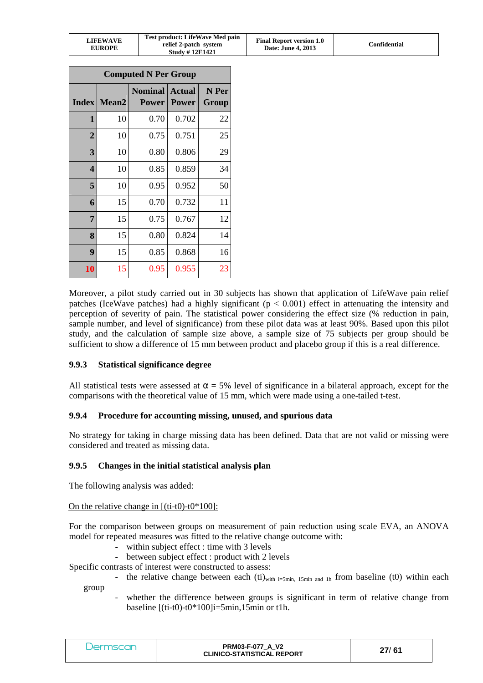|  | <b>LIFEWAVE</b><br><b>EUROPE</b> | Test product: LifeWave Med pain<br>relief 2-patch system<br><b>Study #12E1421</b> | <b>Final Report version 1.0</b><br>Date: June 4, 2013 | Confidential |
|--|----------------------------------|-----------------------------------------------------------------------------------|-------------------------------------------------------|--------------|
|--|----------------------------------|-----------------------------------------------------------------------------------|-------------------------------------------------------|--------------|

| <b>Computed N Per Group</b> |                   |                                |                               |                |  |
|-----------------------------|-------------------|--------------------------------|-------------------------------|----------------|--|
| <b>Index</b>                | Mean <sub>2</sub> | <b>Nominal</b><br><b>Power</b> | <b>Actual</b><br><b>Power</b> | N Per<br>Group |  |
| 1                           | 10                | 0.70                           | 0.702                         | 22             |  |
| $\overline{2}$              | 10                | 0.75                           | 0.751                         | 25             |  |
| 3                           | 10                | 0.80                           | 0.806                         | 29             |  |
| $\overline{\mathbf{4}}$     | 10                | 0.85                           | 0.859                         | 34             |  |
| 5                           | 10                | 0.95                           | 0.952                         | 50             |  |
| 6                           | 15                | 0.70                           | 0.732                         | 11             |  |
| 7                           | 15                | 0.75                           | 0.767                         | 12             |  |
| 8                           | 15                | 0.80                           | 0.824                         | 14             |  |
| 9                           | 15                | 0.85                           | 0.868                         | 16             |  |
| 10                          | 15                | 0.95                           | 0.955                         | 23             |  |

Moreover, a pilot study carried out in 30 subjects has shown that application of LifeWave pain relief patches (IceWave patches) had a highly significant ( $p < 0.001$ ) effect in attenuating the intensity and perception of severity of pain. The statistical power considering the effect size (% reduction in pain, sample number, and level of significance) from these pilot data was at least 90%. Based upon this pilot study, and the calculation of sample size above, a sample size of 75 subjects per group should be sufficient to show a difference of 15 mm between product and placebo group if this is a real difference.

## **9.9.3 Statistical significance degree**

All statistical tests were assessed at  $\alpha = 5\%$  level of significance in a bilateral approach, except for the comparisons with the theoretical value of 15 mm, which were made using a one-tailed t-test.

## **9.9.4 Procedure for accounting missing, unused, and spurious data**

No strategy for taking in charge missing data has been defined. Data that are not valid or missing were considered and treated as missing data.

## **9.9.5 Changes in the initial statistical analysis plan**

The following analysis was added:

#### On the relative change in  $[(\text{ti-t0})-\text{t0*100}]$ :

For the comparison between groups on measurement of pain reduction using scale EVA, an ANOVA model for repeated measures was fitted to the relative change outcome with:

- within subject effect : time with 3 levels
- between subject effect : product with 2 levels

Specific contrasts of interest were constructed to assess:

- the relative change between each  $(ii)_{with i=5min, 15min, and 1h}$  from baseline (t0) within each group
	- whether the difference between groups is significant in term of relative change from baseline [(ti-t0)-t0\*100]i=5min,15min or t1h.

| <i><b>Jermscan</b></i> | <b>PRM03-F-077 A V2</b><br><b>CLINICO-STATISTICAL REPORT</b> | 27/61 |
|------------------------|--------------------------------------------------------------|-------|
|------------------------|--------------------------------------------------------------|-------|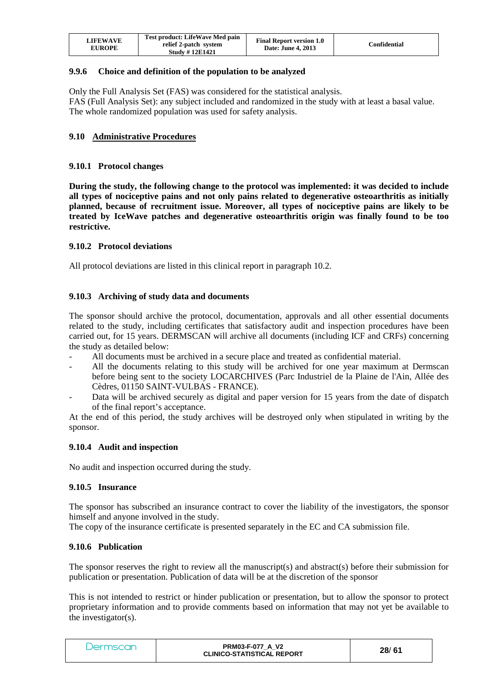| <b>LIFEWAVE</b><br><b>EUROPE</b> | Test product: LifeWave Med pain<br>relief 2-patch system<br><b>Study #12E1421</b> | <b>Final Report version 1.0</b><br>Date: June 4, 2013 | Confidential |
|----------------------------------|-----------------------------------------------------------------------------------|-------------------------------------------------------|--------------|
|----------------------------------|-----------------------------------------------------------------------------------|-------------------------------------------------------|--------------|

## **9.9.6 Choice and definition of the population to be analyzed**

Only the Full Analysis Set (FAS) was considered for the statistical analysis. FAS (Full Analysis Set): any subject included and randomized in the study with at least a basal value. The whole randomized population was used for safety analysis.

## **9.10 Administrative Procedures**

#### **9.10.1 Protocol changes**

**During the study, the following change to the protocol was implemented: it was decided to include all types of nociceptive pains and not only pains related to degenerative osteoarthritis as initially planned, because of recruitment issue. Moreover, all types of nociceptive pains are likely to be treated by IceWave patches and degenerative osteoarthritis origin was finally found to be too restrictive.** 

#### **9.10.2 Protocol deviations**

All protocol deviations are listed in this clinical report in paragraph 10.2.

## **9.10.3 Archiving of study data and documents**

The sponsor should archive the protocol, documentation, approvals and all other essential documents related to the study, including certificates that satisfactory audit and inspection procedures have been carried out, for 15 years. DERMSCAN will archive all documents (including ICF and CRFs) concerning the study as detailed below:

- All documents must be archived in a secure place and treated as confidential material.
- All the documents relating to this study will be archived for one year maximum at Dermscan before being sent to the society LOCARCHIVES (Parc Industriel de la Plaine de l'Ain, Allée des Cèdres, 01150 SAINT-VULBAS - FRANCE).
- Data will be archived securely as digital and paper version for 15 years from the date of dispatch of the final report's acceptance.

At the end of this period, the study archives will be destroyed only when stipulated in writing by the sponsor.

#### **9.10.4 Audit and inspection**

No audit and inspection occurred during the study.

#### **9.10.5 Insurance**

The sponsor has subscribed an insurance contract to cover the liability of the investigators, the sponsor himself and anyone involved in the study.

The copy of the insurance certificate is presented separately in the EC and CA submission file.

#### **9.10.6 Publication**

The sponsor reserves the right to review all the manuscript(s) and abstract(s) before their submission for publication or presentation. Publication of data will be at the discretion of the sponsor

This is not intended to restrict or hinder publication or presentation, but to allow the sponsor to protect proprietary information and to provide comments based on information that may not yet be available to the investigator(s).

| <b>PRM03-F-077 A V2</b><br>Jermscar<br><b>CLINICO-STATISTICAL REPORT</b> | 28/61 |
|--------------------------------------------------------------------------|-------|
|--------------------------------------------------------------------------|-------|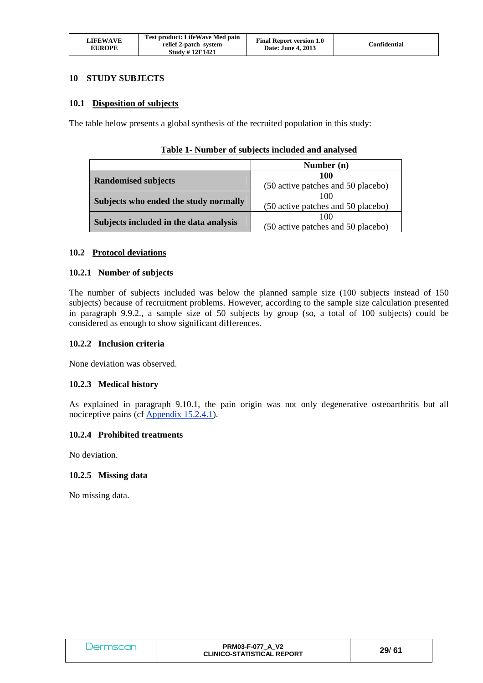| <b>LIFEWAVE</b><br><b>EUROPE</b> | Test product: LifeWave Med pain<br>relief 2-patch system<br><b>Study #12E1421</b> | <b>Final Report version 1.0</b><br>Date: June 4, 2013 | Confidential |
|----------------------------------|-----------------------------------------------------------------------------------|-------------------------------------------------------|--------------|
|----------------------------------|-----------------------------------------------------------------------------------|-------------------------------------------------------|--------------|

#### **10 STUDY SUBJECTS**

#### **10.1 Disposition of subjects**

The table below presents a global synthesis of the recruited population in this study:

|                                        | Number (n)                         |
|----------------------------------------|------------------------------------|
|                                        | 100                                |
| <b>Randomised subjects</b>             | (50 active patches and 50 placebo) |
| Subjects who ended the study normally  | 100                                |
|                                        | (50 active patches and 50 placebo) |
| Subjects included in the data analysis | 100                                |
|                                        | (50 active patches and 50 placebo) |

#### **Table 1- Number of subjects included and analysed**

#### **10.2 Protocol deviations**

#### **10.2.1 Number of subjects**

The number of subjects included was below the planned sample size (100 subjects instead of 150 subjects) because of recruitment problems. However, according to the sample size calculation presented in paragraph 9.9.2., a sample size of 50 subjects by group (so, a total of 100 subjects) could be considered as enough to show significant differences.

#### **10.2.2 Inclusion criteria**

None deviation was observed.

#### **10.2.3 Medical history**

As explained in paragraph 9.10.1, the pain origin was not only degenerative osteoarthritis but all nociceptive pains (cf Appendix 15.2.4.1).

#### **10.2.4 Prohibited treatments**

No deviation.

#### **10.2.5 Missing data**

No missing data.

| Dermscan | <b>PRM03-F-077 A V2</b><br><b>CLINICO-STATISTICAL REPORT</b> | 29/61 |
|----------|--------------------------------------------------------------|-------|
|----------|--------------------------------------------------------------|-------|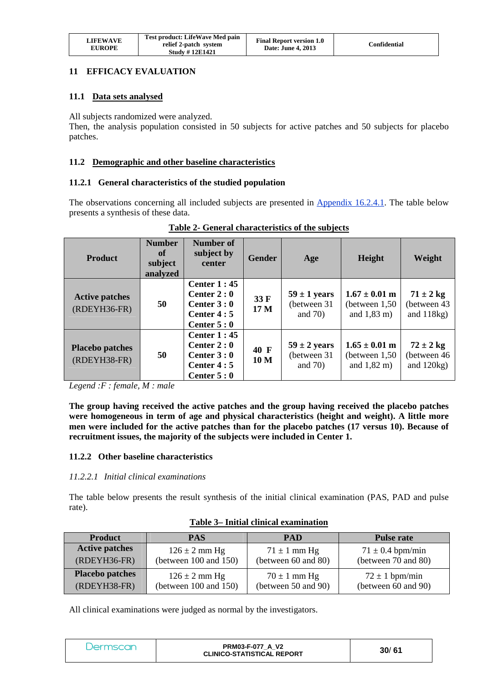| LIFEWAVE<br><b>EUROPE</b> | Test product: LifeWave Med pain<br>relief 2-patch system<br><b>Study #12E1421</b> | <b>Final Report version 1.0</b><br>Date: June 4, 2013 | Confidential |
|---------------------------|-----------------------------------------------------------------------------------|-------------------------------------------------------|--------------|
|---------------------------|-----------------------------------------------------------------------------------|-------------------------------------------------------|--------------|

## **11 EFFICACY EVALUATION**

## **11.1 Data sets analysed**

All subjects randomized were analyzed.

Then, the analysis population consisted in 50 subjects for active patches and 50 subjects for placebo patches.

## **11.2 Demographic and other baseline characteristics**

#### **11.2.1 General characteristics of the studied population**

The observations concerning all included subjects are presented in Appendix 16.2.4.1. The table below presents a synthesis of these data.

| <b>Product</b>                           | <b>Number</b><br>of<br>subject<br>analyzed | Number of<br>subject by<br>center                                                  | <b>Gender</b>           | Age                                            | Height                                                           | Weight                                        |
|------------------------------------------|--------------------------------------------|------------------------------------------------------------------------------------|-------------------------|------------------------------------------------|------------------------------------------------------------------|-----------------------------------------------|
| <b>Active patches</b><br>(RDEYH36-FR)    | 50                                         | Center $1:45$<br>Center $2:0$<br>Center $3:0$<br>Center $4:5$<br>Center $5:0$      | 33 F<br>17 <sub>M</sub> | $59 \pm 1$ years<br>(between 31)<br>and $70$ ) | $1.67 \pm 0.01$ m<br>(between $1,50$ )<br>and $1,83 \text{ m}$ ) | $71 \pm 2$ kg<br>(between 43<br>and $118kg$ ) |
| <b>Placebo patches</b><br>$(RDEYH38-FR)$ | 50                                         | <b>Center 1:45</b><br>Center $2:0$<br>Center $3:0$<br>Center $4:5$<br>Center $5:0$ | 40 F<br>10 <sub>M</sub> | $59 \pm 2$ years<br>(between 31)<br>and $70$ ) | $1.65 \pm 0.01$ m<br>(between $1,50$ )<br>and $1,82 \text{ m}$ ) | $72 \pm 2$ kg<br>(between 46<br>and $120kg$ ) |

## **Table 2- General characteristics of the subjects**

*Legend :F : female, M : male*

**The group having received the active patches and the group having received the placebo patches were homogeneous in term of age and physical characteristics (height and weight). A little more men were included for the active patches than for the placebo patches (17 versus 10). Because of recruitment issues, the majority of the subjects were included in Center 1.** 

## **11.2.2 Other baseline characteristics**

#### *11.2.2.1 Initial clinical examinations*

The table below presents the result synthesis of the initial clinical examination (PAS, PAD and pulse rate).

| <b>Product</b>         | <b>PAS</b>                 | <b>PAD</b>          | <b>Pulse rate</b>    |
|------------------------|----------------------------|---------------------|----------------------|
| <b>Active patches</b>  | $126 \pm 2$ mm Hg          | $71 \pm 1$ mm Hg    | $71 \pm 0.4$ bpm/min |
| $(RDEYH36-FR)$         | (between $100$ and $150$ ) | (between 60 and 80) | (between 70 and 80)  |
| <b>Placebo patches</b> | $126 \pm 2$ mm Hg          | $70 \pm 1$ mm Hg    | $72 \pm 1$ bpm/min   |
| $(RDEYH38-FR)$         | (between $100$ and $150$ ) | (between 50 and 90) | (between 60 and 90)  |

#### **Table 3– Initial clinical examination**

All clinical examinations were judged as normal by the investigators.

| Dermscan | <b>PRM03-F-077 A V2</b><br><b>CLINICO-STATISTICAL REPORT</b> | 30/61 |
|----------|--------------------------------------------------------------|-------|
|----------|--------------------------------------------------------------|-------|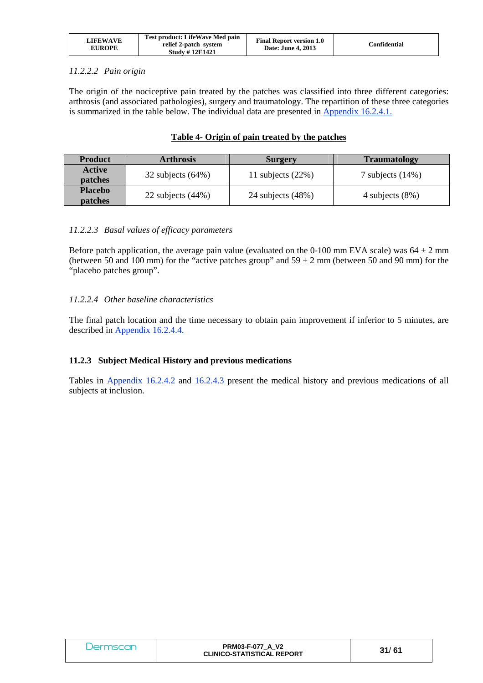| LIFEWAVE<br>EUROPE | Test product: LifeWave Med pain<br>relief 2-patch system<br><b>Study #12E1421</b> | <b>Final Report version 1.0</b><br>Date: June 4, 2013 | Confidential |
|--------------------|-----------------------------------------------------------------------------------|-------------------------------------------------------|--------------|
|--------------------|-----------------------------------------------------------------------------------|-------------------------------------------------------|--------------|

## *11.2.2.2 Pain origin*

**Placebo** 

The origin of the nociceptive pain treated by the patches was classified into three different categories: arthrosis (and associated pathologies), surgery and traumatology. The repartition of these three categories is summarized in the table below. The individual data are presented in Appendix 16.2.4.1.

|               |                                                      | Table 4- Origin of pain treated by the patches |                          |
|---------------|------------------------------------------------------|------------------------------------------------|--------------------------|
| Product       | <b>Arthrosis</b>                                     | <b>Surgery</b>                                 | <b>Traumatology</b>      |
| <b>Active</b> | $\bigcap_{n=1}^{\infty}$ if $\bigcup_{n=1}^{\infty}$ | 11 1! 10001                                    | $-1$ $-1$ $-1$ $-1$ $-1$ |

**patches** 32 subjects (64%) 11 subjects (22%) 7 subjects (14%)

**patches** 22 subjects (44%) 24 subjects (48%) 4 subjects (8%)

#### *11.2.2.3 Basal values of efficacy parameters*

Before patch application, the average pain value (evaluated on the 0-100 mm EVA scale) was  $64 \pm 2$  mm (between 50 and 100 mm) for the "active patches group" and  $59 \pm 2$  mm (between 50 and 90 mm) for the "placebo patches group".

#### *11.2.2.4 Other baseline characteristics*

The final patch location and the time necessary to obtain pain improvement if inferior to 5 minutes, are described in Appendix 16.2.4.4.

#### **11.2.3 Subject Medical History and previous medications**

Tables in Appendix 16.2.4.2 and 16.2.4.3 present the medical history and previous medications of all subjects at inclusion.

| Jermscan | <b>PRM03-F-077 A V2</b><br><b>CLINICO-STATISTICAL REPORT</b> | 31/61 |
|----------|--------------------------------------------------------------|-------|
|----------|--------------------------------------------------------------|-------|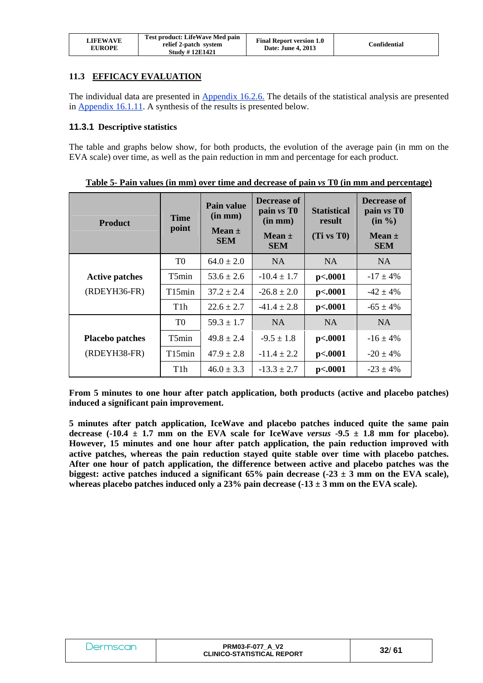| LIFEWAVE<br><b>EUROPE</b> | Test product: LifeWave Med pain<br>relief 2-patch system<br><b>Study #12E1421</b> | <b>Final Report version 1.0</b><br>Date: June 4, 2013 | Confidential |
|---------------------------|-----------------------------------------------------------------------------------|-------------------------------------------------------|--------------|
|---------------------------|-----------------------------------------------------------------------------------|-------------------------------------------------------|--------------|

## **11.3 EFFICACY EVALUATION**

The individual data are presented in Appendix 16.2.6. The details of the statistical analysis are presented in Appendix 16.1.11. A synthesis of the results is presented below.

#### **11.3.1 Descriptive statistics**

The table and graphs below show, for both products, the evolution of the average pain (in mm on the EVA scale) over time, as well as the pain reduction in mm and percentage for each product.

| <b>Product</b>         | <b>Time</b><br>point | Pain value<br>$(in \, mm)$<br>Mean $\pm$<br><b>SEM</b> | Decrease of<br>pain vs T <sub>0</sub><br>$(in \, mm)$<br>Mean $\pm$<br><b>SEM</b> | <b>Statistical</b><br>result<br>(Ti vs T0) | Decrease of<br>pain $vs$ T $0$<br>$(in \frac{6}{6})$<br>Mean $\pm$<br><b>SEM</b> |
|------------------------|----------------------|--------------------------------------------------------|-----------------------------------------------------------------------------------|--------------------------------------------|----------------------------------------------------------------------------------|
|                        | T <sub>0</sub>       | $64.0 \pm 2.0$                                         | NA.                                                                               | NA.                                        | NA.                                                                              |
| <b>Active patches</b>  | T5min                | $53.6 \pm 2.6$                                         | $-10.4 \pm 1.7$                                                                   | p<.0001                                    | $-17 \pm 4\%$                                                                    |
| (RDEYH36-FR)           | T15min               | $37.2 + 2.4$                                           | $-26.8 \pm 2.0$                                                                   | p<.0001                                    | $-42 \pm 4\%$                                                                    |
|                        | T1h                  | $22.6 \pm 2.7$                                         | $-41.4 \pm 2.8$                                                                   | p<.0001                                    | $-65 \pm 4\%$                                                                    |
|                        | T0                   | $59.3 \pm 1.7$                                         | N <sub>A</sub>                                                                    | <b>NA</b>                                  | <b>NA</b>                                                                        |
| <b>Placebo patches</b> | T5min                | $49.8 \pm 2.4$                                         | $-9.5 \pm 1.8$                                                                    | p<.0001                                    | $-16 \pm 4\%$                                                                    |
| (RDEYH38-FR)           | T15min               | $47.9 \pm 2.8$                                         | $-11.4 \pm 2.2$                                                                   | p<.0001                                    | $-20 \pm 4\%$                                                                    |
|                        | T1h                  | $46.0 \pm 3.3$                                         | $-13.3 \pm 2.7$                                                                   | p<.0001                                    | $-23 \pm 4\%$                                                                    |

**Table 5- Pain values (in mm) over time and decrease of pain** *vs* **T0 (in mm and percentage)** 

**From 5 minutes to one hour after patch application, both products (active and placebo patches) induced a significant pain improvement.**

**5 minutes after patch application, IceWave and placebo patches induced quite the same pain**  decrease  $(-10.4 \pm 1.7 \text{ mm}$  on the EVA scale for IceWave *versus*  $-9.5 \pm 1.8 \text{ mm}$  for placebo). **However, 15 minutes and one hour after patch application, the pain reduction improved with active patches, whereas the pain reduction stayed quite stable over time with placebo patches. After one hour of patch application, the difference between active and placebo patches was the**  biggest: active patches induced a significant  $65\%$  pain decrease  $(-23 \pm 3 \text{ mm})$  on the EVA scale), whereas placebo patches induced only a  $23\%$  pain decrease  $(-13 \pm 3 \text{ mm})$  on the EVA scale).

|  | <b>PRM03-F-077 A V2</b><br><b>CLINICO-STATISTICAL REPORT</b> | 32/61 |
|--|--------------------------------------------------------------|-------|
|--|--------------------------------------------------------------|-------|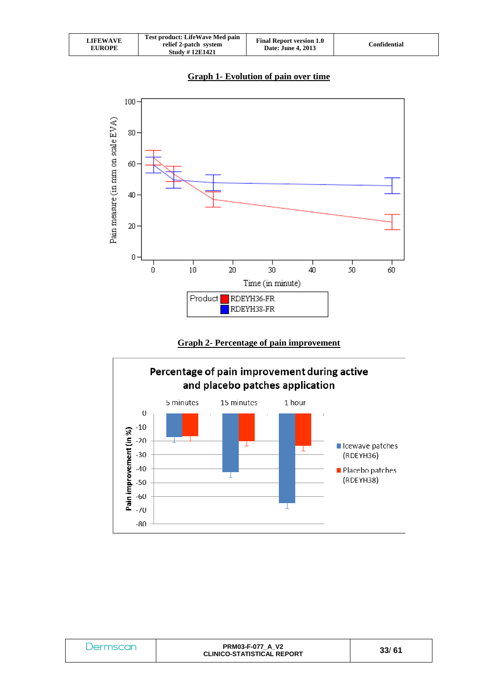| <b>LIFEWAVE</b><br><b>EUROPE</b> | Test product: LifeWave Med pain<br>relief 2-patch system<br><b>Study #12E1421</b> | <b>Final Report version 1.0</b><br>Date: June 4, 2013 | Confidential |
|----------------------------------|-----------------------------------------------------------------------------------|-------------------------------------------------------|--------------|
|----------------------------------|-----------------------------------------------------------------------------------|-------------------------------------------------------|--------------|



# **Graph 2- Percentage of pain improvement**



| Jermscan | <b>PRM03-F-077 A V2</b><br><b>CLINICO-STATISTICAL REPORT</b> | 33/61 |
|----------|--------------------------------------------------------------|-------|
|----------|--------------------------------------------------------------|-------|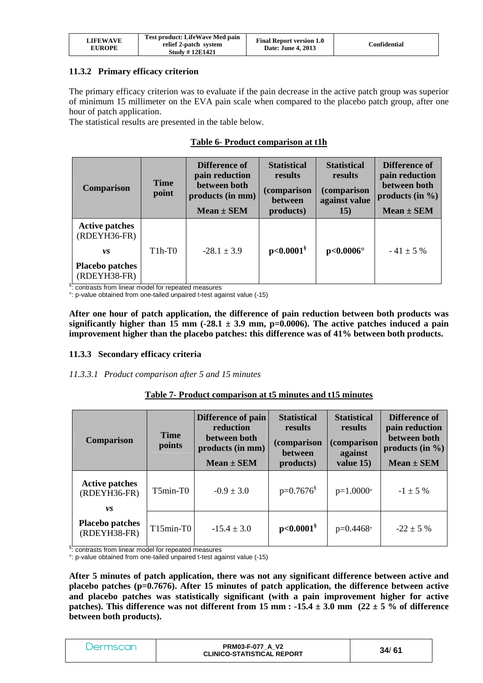| LIFEWAVE<br><b>EUROPE</b> | Test product: LifeWave Med pain<br>relief 2-patch system<br><b>Study #12E1421</b> | <b>Final Report version 1.0</b><br>Date: June 4, 2013 | Confidential |
|---------------------------|-----------------------------------------------------------------------------------|-------------------------------------------------------|--------------|
|---------------------------|-----------------------------------------------------------------------------------|-------------------------------------------------------|--------------|

#### **11.3.2 Primary efficacy criterion**

The primary efficacy criterion was to evaluate if the pain decrease in the active patch group was superior of minimum 15 millimeter on the EVA pain scale when compared to the placebo patch group, after one hour of patch application.

The statistical results are presented in the table below.

|  |  | Table 6- Product comparison at t1h |
|--|--|------------------------------------|
|--|--|------------------------------------|

| <b>Comparison</b>                                                                          | <b>Time</b><br>point | Difference of<br>pain reduction<br>between both<br>products (in mm)<br>$Mean \pm SEM$ | <b>Statistical</b><br>results<br><i>(comparison</i><br><b>between</b><br>products) | <b>Statistical</b><br>results<br>(comparison<br>against value<br><b>15</b> ) | Difference of<br>pain reduction<br>between both<br>products (in $\%$ )<br>$Mean \pm SEM$ |
|--------------------------------------------------------------------------------------------|----------------------|---------------------------------------------------------------------------------------|------------------------------------------------------------------------------------|------------------------------------------------------------------------------|------------------------------------------------------------------------------------------|
| <b>Active patches</b><br>$(RDEYH36-FR)$<br>VS.<br><b>Placebo patches</b><br>$(RDEYH38-FR)$ | $T1h-T0$             | $-28.1 \pm 3.9$                                                                       | $p<0.0001^8$                                                                       | $p<0.0006^{\circ}$                                                           | $-41 \pm 5 \%$                                                                           |

§: contrasts from linear model for repeated measures

°: p-value obtained from one-tailed unpaired t-test against value (-15)

**After one hour of patch application, the difference of pain reduction between both products was**  significantly higher than 15 mm ( $-28.1 \pm 3.9$  mm,  $p=0.0006$ ). The active patches induced a pain **improvement higher than the placebo patches: this difference was of 41% between both products.**

#### **11.3.3 Secondary efficacy criteria**

#### *11.3.3.1 Product comparison after 5 and 15 minutes*

| Table 7- Product comparison at t5 minutes and t15 minutes |  |  |
|-----------------------------------------------------------|--|--|
|                                                           |  |  |

| <b>Comparison</b>                                    | <b>Time</b><br>points | Difference of pain<br>reduction<br>between both<br>products (in mm)<br>$Mean \pm SEM$ | <b>Statistical</b><br>results<br><i>(comparison)</i><br><b>between</b><br>products) | <b>Statistical</b><br>results<br><i>(comparison</i><br>against<br>value 15) | Difference of<br>pain reduction<br>between both<br>products (in $\%$ )<br>$Mean \pm SEM$ |
|------------------------------------------------------|-----------------------|---------------------------------------------------------------------------------------|-------------------------------------------------------------------------------------|-----------------------------------------------------------------------------|------------------------------------------------------------------------------------------|
| <b>Active patches</b><br>$(RDEYH36-FR)$<br><i>vs</i> | $T5min-T0$            | $-0.9 \pm 3.0$                                                                        | $p=0.7676^{\frac{8}{3}}$                                                            | $p=1.0000$ °                                                                | $-1 \pm 5 \%$                                                                            |
| <b>Placebo patches</b><br>$(RDEYH38-FR)$             | $T15min-T0$           | $-15.4 \pm 3.0$                                                                       | $p<0.0001^8$                                                                        | $p=0.4468$ °                                                                | $-22 \pm 5 \%$                                                                           |

§: contrasts from linear model for repeated measures

°: p-value obtained from one-tailed unpaired t-test against value (-15)

**After 5 minutes of patch application, there was not any significant difference between active and placebo patches (p=0.7676). After 15 minutes of patch application, the difference between active and placebo patches was statistically significant (with a pain improvement higher for active**  patches). This difference was not different from 15 mm  $: -15.4 \pm 3.0$  mm  $(22 \pm 5)$ % of difference **between both products).**

| Jermscan | <b>PRM03-F-077 A V2</b><br><b>CLINICO-STATISTICAL REPORT</b> | 34/61 |  |
|----------|--------------------------------------------------------------|-------|--|
|----------|--------------------------------------------------------------|-------|--|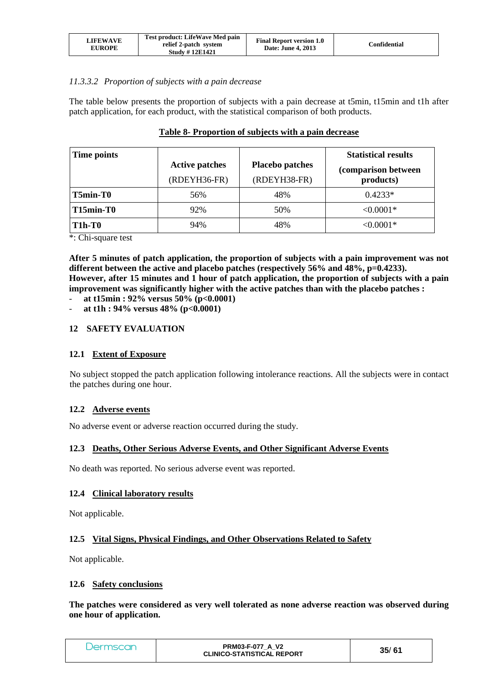| LIFEWAVE<br><b>EUROPE</b> | Test product: LifeWave Med pain<br>relief 2-patch system<br><b>Study #12E1421</b> | <b>Final Report version 1.0</b><br><b>Date: June 4, 2013</b> | Confidential |
|---------------------------|-----------------------------------------------------------------------------------|--------------------------------------------------------------|--------------|
|---------------------------|-----------------------------------------------------------------------------------|--------------------------------------------------------------|--------------|

## *11.3.3.2 Proportion of subjects with a pain decrease*

The table below presents the proportion of subjects with a pain decrease at t5min, t15min and t1h after patch application, for each product, with the statistical comparison of both products.

| Time points | <b>Active patches</b><br>$(RDEYH36-FR)$ | <b>Placebo patches</b><br>(RDEYH38-FR) | <b>Statistical results</b><br>(comparison between<br>products) |
|-------------|-----------------------------------------|----------------------------------------|----------------------------------------------------------------|
| $T5min-T0$  | 56%                                     | 48%                                    | $0.4233*$                                                      |
| T15min-T0   | 92%                                     | 50%                                    | $< 0.0001*$                                                    |
| $T1h-T0$    | 94%                                     | 48%                                    | $< 0.0001*$                                                    |

## **Table 8- Proportion of subjects with a pain decrease**

\*: Chi-square test

**After 5 minutes of patch application, the proportion of subjects with a pain improvement was not**  different between the active and placebo patches (respectively 56% and 48%, p=0.4233). **However, after 15 minutes and 1 hour of patch application, the proportion of subjects with a pain improvement was significantly higher with the active patches than with the placebo patches :** 

- **at t15min : 92% versus 50% (p<0.0001)**
- **at t1h : 94% versus 48% (p<0.0001)**

#### **12 SAFETY EVALUATION**

## **12.1 Extent of Exposure**

No subject stopped the patch application following intolerance reactions. All the subjects were in contact the patches during one hour.

## **12.2 Adverse events**

No adverse event or adverse reaction occurred during the study.

#### **12.3 Deaths, Other Serious Adverse Events, and Other Significant Adverse Events**

No death was reported. No serious adverse event was reported.

#### **12.4 Clinical laboratory results**

Not applicable.

## **12.5 Vital Signs, Physical Findings, and Other Observations Related to Safety**

Not applicable.

#### **12.6 Safety conclusions**

**The patches were considered as very well tolerated as none adverse reaction was observed during one hour of application.**

| Jermscan | <b>PRM03-F-077 A V2</b><br><b>CLINICO-STATISTICAL REPORT</b> | 35/61 |
|----------|--------------------------------------------------------------|-------|
|----------|--------------------------------------------------------------|-------|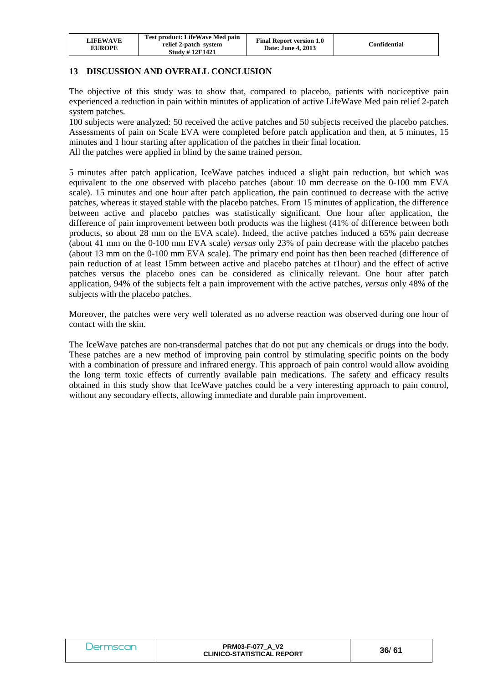| LIFEWAVE<br><b>EUROPE</b> | Test product: LifeWave Med pain<br>relief 2-patch system<br><b>Study #12E1421</b> | <b>Final Report version 1.0</b><br>Date: June 4, 2013 | Confidential |
|---------------------------|-----------------------------------------------------------------------------------|-------------------------------------------------------|--------------|
|---------------------------|-----------------------------------------------------------------------------------|-------------------------------------------------------|--------------|

## **13 DISCUSSION AND OVERALL CONCLUSION**

The objective of this study was to show that, compared to placebo, patients with nociceptive pain experienced a reduction in pain within minutes of application of active LifeWave Med pain relief 2-patch system patches.

100 subjects were analyzed: 50 received the active patches and 50 subjects received the placebo patches. Assessments of pain on Scale EVA were completed before patch application and then, at 5 minutes, 15 minutes and 1 hour starting after application of the patches in their final location.

All the patches were applied in blind by the same trained person.

5 minutes after patch application, IceWave patches induced a slight pain reduction, but which was equivalent to the one observed with placebo patches (about 10 mm decrease on the 0-100 mm EVA scale). 15 minutes and one hour after patch application, the pain continued to decrease with the active patches, whereas it stayed stable with the placebo patches. From 15 minutes of application, the difference between active and placebo patches was statistically significant. One hour after application, the difference of pain improvement between both products was the highest (41% of difference between both products, so about 28 mm on the EVA scale). Indeed, the active patches induced a 65% pain decrease (about 41 mm on the 0-100 mm EVA scale) *versus* only 23% of pain decrease with the placebo patches (about 13 mm on the 0-100 mm EVA scale). The primary end point has then been reached (difference of pain reduction of at least 15mm between active and placebo patches at t1hour) and the effect of active patches versus the placebo ones can be considered as clinically relevant. One hour after patch application, 94% of the subjects felt a pain improvement with the active patches, *versus* only 48% of the subjects with the placebo patches.

Moreover, the patches were very well tolerated as no adverse reaction was observed during one hour of contact with the skin.

The IceWave patches are non-transdermal patches that do not put any chemicals or drugs into the body. These patches are a new method of improving pain control by stimulating specific points on the body with a combination of pressure and infrared energy. This approach of pain control would allow avoiding the long term toxic effects of currently available pain medications. The safety and efficacy results obtained in this study show that IceWave patches could be a very interesting approach to pain control, without any secondary effects, allowing immediate and durable pain improvement.

| Dermscan | <b>PRM03-F-077 A V2</b><br><b>CLINICO-STATISTICAL REPORT</b> | 36/61 |
|----------|--------------------------------------------------------------|-------|
|----------|--------------------------------------------------------------|-------|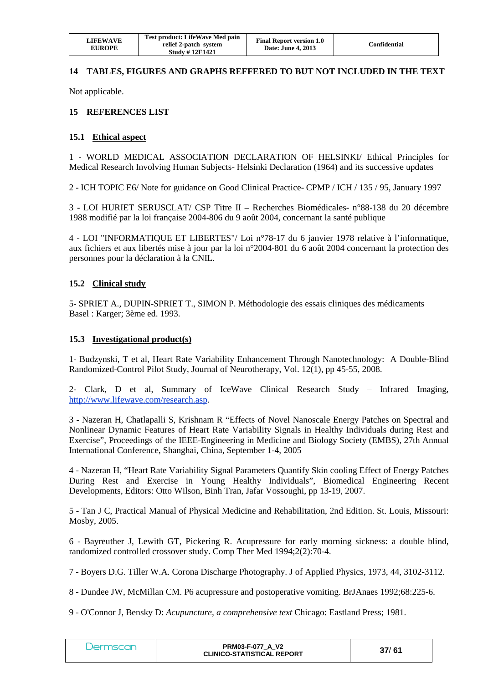| <b>LIFEWAVE</b><br><b>EUROPE</b> | Test product: LifeWave Med pain<br>relief 2-patch system<br><b>Study #12E1421</b> | <b>Final Report version 1.0</b><br>Date: June 4, 2013 | Confidential |
|----------------------------------|-----------------------------------------------------------------------------------|-------------------------------------------------------|--------------|
|----------------------------------|-----------------------------------------------------------------------------------|-------------------------------------------------------|--------------|

## **14 TABLES, FIGURES AND GRAPHS REFFERED TO BUT NOT INCLUDED IN THE TEXT**

Not applicable.

#### **15 REFERENCES LIST**

#### **15.1 Ethical aspect**

1 - WORLD MEDICAL ASSOCIATION DECLARATION OF HELSINKI/ Ethical Principles for Medical Research Involving Human Subjects- Helsinki Declaration (1964) and its successive updates

2 - ICH TOPIC E6/ Note for guidance on Good Clinical Practice- CPMP / ICH / 135 / 95, January 1997

3 - LOI HURIET SERUSCLAT/ CSP Titre II – Recherches Biomédicales- n°88-138 du 20 décembre 1988 modifié par la loi française 2004-806 du 9 août 2004, concernant la santé publique

4 - LOI "INFORMATIQUE ET LIBERTES"/ Loi n°78-17 du 6 janvier 1978 relative à l'informatique, aux fichiers et aux libertés mise à jour par la loi n°2004-801 du 6 août 2004 concernant la protection des personnes pour la déclaration à la CNIL.

#### **15.2 Clinical study**

5- SPRIET A., DUPIN-SPRIET T., SIMON P. Méthodologie des essais cliniques des médicaments Basel : Karger; 3ème ed. 1993.

#### **15.3 Investigational product(s)**

1- Budzynski, T et al, Heart Rate Variability Enhancement Through Nanotechnology: A Double-Blind Randomized-Control Pilot Study, Journal of Neurotherapy, Vol. 12(1), pp 45-55, 2008.

2- Clark, D et al, Summary of IceWave Clinical Research Study – Infrared Imaging, http://www.lifewave.com/research.asp.

3 - Nazeran H, Chatlapalli S, Krishnam R "Effects of Novel Nanoscale Energy Patches on Spectral and Nonlinear Dynamic Features of Heart Rate Variability Signals in Healthy Individuals during Rest and Exercise", Proceedings of the IEEE-Engineering in Medicine and Biology Society (EMBS), 27th Annual International Conference, Shanghai, China, September 1-4, 2005

4 - Nazeran H, "Heart Rate Variability Signal Parameters Quantify Skin cooling Effect of Energy Patches During Rest and Exercise in Young Healthy Individuals", Biomedical Engineering Recent Developments, Editors: Otto Wilson, Binh Tran, Jafar Vossoughi, pp 13-19, 2007.

5 - Tan J C, Practical Manual of Physical Medicine and Rehabilitation, 2nd Edition. St. Louis, Missouri: Mosby, 2005.

6 - Bayreuther J, Lewith GT, Pickering R. Acupressure for early morning sickness: a double blind, randomized controlled crossover study. Comp Ther Med 1994;2(2):70-4.

7 - Boyers D.G. Tiller W.A. Corona Discharge Photography. J of Applied Physics, 1973, 44, 3102-3112.

8 - Dundee JW, McMillan CM. P6 acupressure and postoperative vomiting. BrJAnaes 1992;68:225-6.

9 - O'Connor J, Bensky D: *Acupuncture, a comprehensive text* Chicago: Eastland Press; 1981.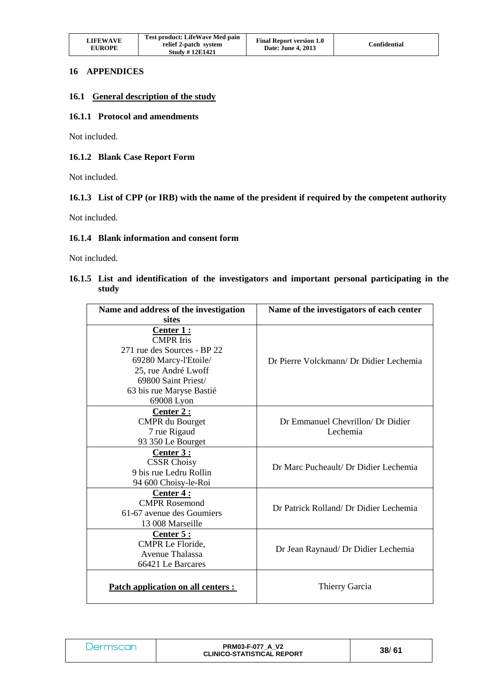| <b>LIFEWAVE</b><br><b>EUROPE</b> | Test product: LifeWave Med pain<br>relief 2-patch system<br><b>Study #12E1421</b> | <b>Final Report version 1.0</b><br>Date: June 4, 2013 | Confidential |
|----------------------------------|-----------------------------------------------------------------------------------|-------------------------------------------------------|--------------|
|----------------------------------|-----------------------------------------------------------------------------------|-------------------------------------------------------|--------------|

#### **16 APPENDICES**

#### **16.1 General description of the study**

#### **16.1.1 Protocol and amendments**

Not included.

#### **16.1.2 Blank Case Report Form**

Not included.

#### **16.1.3 List of CPP (or IRB) with the name of the president if required by the competent authority**

Not included.

#### **16.1.4 Blank information and consent form**

Not included.

## **16.1.5 List and identification of the investigators and important personal participating in the study**

| Name and address of the investigation | Name of the investigators of each center |  |
|---------------------------------------|------------------------------------------|--|
| sites                                 |                                          |  |
| Center 1 :<br><b>CMPR</b> Iris        |                                          |  |
| 271 rue des Sources - BP 22           |                                          |  |
| 69280 Marcy-l'Etoile/                 | Dr Pierre Volckmann/ Dr Didier Lechemia  |  |
| 25, rue André Lwoff                   |                                          |  |
| 69800 Saint Priest/                   |                                          |  |
| 63 bis rue Maryse Bastié              |                                          |  |
| 69008 Lyon                            |                                          |  |
| Center 2:                             |                                          |  |
| <b>CMPR</b> du Bourget                | Dr Emmanuel Chevrillon/ Dr Didier        |  |
| 7 rue Rigaud                          | Lechemia                                 |  |
| 93 350 Le Bourget                     |                                          |  |
| Center 3:                             |                                          |  |
| <b>CSSR Choisy</b>                    | Dr Marc Pucheault/ Dr Didier Lechemia    |  |
| 9 bis rue Ledru Rollin                |                                          |  |
| 94 600 Choisy-le-Roi                  |                                          |  |
| Center 4:                             |                                          |  |
| <b>CMPR Rosemond</b>                  | Dr Patrick Rolland/ Dr Didier Lechemia   |  |
| 61-67 avenue des Goumiers             |                                          |  |
| 13 008 Marseille                      |                                          |  |
| Center $5:$                           |                                          |  |
| CMPR Le Floride,                      | Dr Jean Raynaud/ Dr Didier Lechemia      |  |
| <b>Avenue Thalassa</b>                |                                          |  |
| 66421 Le Barcares                     |                                          |  |
| Patch application on all centers :    | Thierry Garcia                           |  |

| Dermscan | <b>PRM03-F-077 A V2</b><br><b>CLINICO-STATISTICAL REPORT</b> | 38/61 |
|----------|--------------------------------------------------------------|-------|
|----------|--------------------------------------------------------------|-------|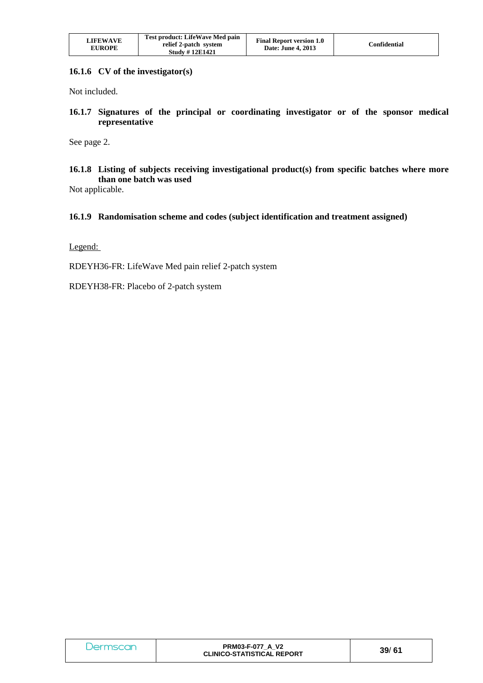| Test product: LifeWave Med pain<br><b>LIFEWAVE</b><br>relief 2-patch system<br><b>EUROPE</b><br><b>Study #12E1421</b> | <b>Final Report version 1.0</b><br>Confidential<br>Date: June 4, 2013 |
|-----------------------------------------------------------------------------------------------------------------------|-----------------------------------------------------------------------|
|-----------------------------------------------------------------------------------------------------------------------|-----------------------------------------------------------------------|

#### **16.1.6 CV of the investigator(s)**

Not included.

**16.1.7 Signatures of the principal or coordinating investigator or of the sponsor medical representative** 

See page 2.

**16.1.8 Listing of subjects receiving investigational product(s) from specific batches where more than one batch was used** 

Not applicable.

#### **16.1.9 Randomisation scheme and codes (subject identification and treatment assigned)**

Legend:

RDEYH36-FR: LifeWave Med pain relief 2-patch system

RDEYH38-FR: Placebo of 2-patch system

| <i>J</i> ermscan | <b>PRM03-F-077 A V2</b><br><b>CLINICO-STATISTICAL REPORT</b> | 39/61 |
|------------------|--------------------------------------------------------------|-------|
|------------------|--------------------------------------------------------------|-------|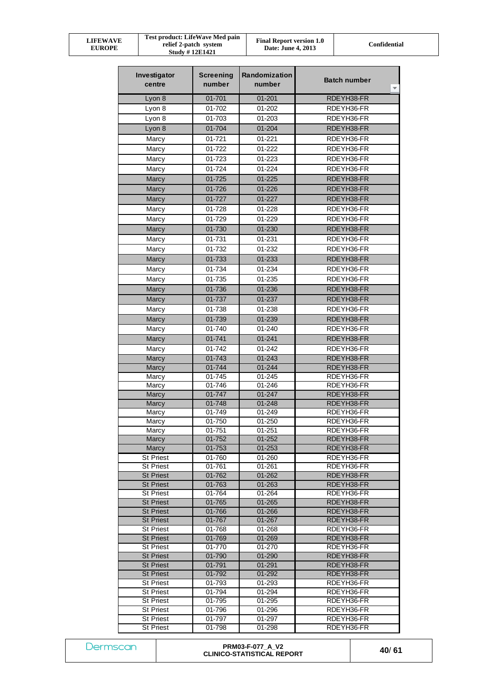| Test product: LifeWave Med pain<br>LIFEWAVE<br>relief 2-patch system<br><b>EUROPE</b><br><b>Study #12E1421</b> | <b>Final Report version 1.0</b><br>Date: June 4, 2013 | Confidential |
|----------------------------------------------------------------------------------------------------------------|-------------------------------------------------------|--------------|
|----------------------------------------------------------------------------------------------------------------|-------------------------------------------------------|--------------|

| Investigator<br>centre               | <b>Screening</b><br>number | Randomization<br>number | <b>Batch number</b><br>v |
|--------------------------------------|----------------------------|-------------------------|--------------------------|
| Lyon 8                               | 01-701                     | $01 - 201$              | RDEYH38-FR               |
| Lyon 8                               | 01-702                     | 01-202                  | RDEYH36-FR               |
| Lyon 8                               | 01-703                     | 01-203                  | RDEYH36-FR               |
| Lyon 8                               | 01-704                     | 01-204                  | RDEYH38-FR               |
| Marcy                                | $01 - 721$                 | 01-221                  | RDEYH36-FR               |
| Marcy                                | 01-722                     | 01-222                  | RDEYH36-FR               |
| Marcy                                | 01-723                     | 01-223                  | RDEYH36-FR               |
| Marcy                                | 01-724                     | 01-224                  | RDEYH36-FR               |
| Marcy                                | 01-725                     | $01 - 225$              | RDEYH38-FR               |
|                                      | 01-726                     | 01-226                  | RDEYH38-FR               |
| Marcy                                | 01-727                     |                         |                          |
| Marcy                                |                            | 01-227                  | RDEYH38-FR               |
| Marcy                                | 01-728                     | 01-228                  | RDEYH36-FR               |
| Marcy                                | 01-729                     | 01-229                  | RDEYH36-FR               |
| Marcy                                | 01-730                     | 01-230                  | RDEYH38-FR               |
| Marcy                                | 01-731                     | 01-231                  | RDEYH36-FR               |
| Marcy                                | 01-732                     | 01-232                  | RDEYH36-FR               |
| Marcy                                | 01-733                     | 01-233                  | RDEYH38-FR               |
| Marcy                                | 01-734                     | 01-234                  | RDEYH36-FR               |
| Marcy                                | 01-735                     | 01-235                  | RDEYH36-FR               |
| Marcy                                | 01-736                     | 01-236                  | RDEYH38-FR               |
| Marcy                                | 01-737                     | 01-237                  | RDEYH38-FR               |
| Marcy                                | 01-738                     | 01-238                  | RDEYH36-FR               |
| Marcy                                | 01-739                     | 01-239                  | RDEYH38-FR               |
| Marcy                                | 01-740                     | 01-240                  | RDEYH36-FR               |
| Marcy                                | 01-741                     | $01 - 241$              | RDEYH38-FR               |
| Marcy                                | 01-742                     | 01-242                  | RDEYH36-FR               |
| Marcy                                | 01-743                     | 01-243                  | RDEYH38-FR               |
| Marcy                                | $01 - 744$                 | $01 - 244$              | RDEYH38-FR               |
| Marcy                                | 01-745                     | 01-245                  | RDEYH36-FR               |
| Marcy                                | 01-746                     | 01-246                  | RDEYH36-FR               |
| Marcy                                | 01-747                     | $01 - 247$              | RDEYH38-FR               |
| Marcy                                | 01-748                     | 01-248                  | RDEYH38-FR               |
| Marcy                                | 01-749                     | 01-249                  | RDEYH36-FR               |
| Marcy                                | 01-750                     | 01-250                  | RDEYH36-FR               |
| Marcy                                | $01 - 751$                 | $01 - 251$              | RDEYH36-FR               |
| Marcy<br>Marcy                       | 01-752<br>01-753           | 01-252<br>$01 - 253$    | RDEYH38-FR<br>RDEYH38-FR |
| St Priest                            |                            |                         | RDEYH36-FR               |
| <b>St Priest</b>                     | 01-760<br>01-761           | 01-260<br>01-261        | RDEYH36-FR               |
| <b>St Priest</b>                     | 01-762                     | 01-262                  | RDEYH38-FR               |
| <b>St Priest</b>                     | 01-763                     | 01-263                  | RDEYH38-FR               |
| <b>St Priest</b>                     | 01-764                     | 01-264                  | RDEYH36-FR               |
| <b>St Priest</b>                     | 01-765                     | 01-265                  | RDEYH38-FR               |
| <b>St Priest</b>                     | 01-766                     | 01-266                  | RDEYH38-FR               |
| <b>St Priest</b>                     | 01-767                     | 01-267                  | RDEYH38-FR               |
| <b>St Priest</b>                     | 01-768                     | 01-268                  | RDEYH36-FR               |
| <b>St Priest</b>                     | 01-769                     | 01-269                  | RDEYH38-FR               |
| <b>St Priest</b>                     | 01-770                     | 01-270                  | RDEYH36-FR               |
| <b>St Priest</b>                     | 01-790                     | 01-290                  | RDEYH38-FR               |
| <b>St Priest</b>                     | 01-791                     | 01-291                  | RDEYH38-FR               |
| <b>St Priest</b>                     | 01-792                     | 01-292                  | RDEYH38-FR<br>RDEYH36-FR |
| <b>St Priest</b><br><b>St Priest</b> | 01-793<br>01-794           | 01-293<br>01-294        | RDEYH36-FR               |
| <b>St Priest</b>                     | 01-795                     | 01-295                  | RDEYH36-FR               |
| <b>St Priest</b>                     | 01-796                     | 01-296                  | RDEYH36-FR               |
| <b>St Priest</b>                     | 01-797                     | 01-297                  | RDEYH36-FR               |
| <b>St Priest</b>                     | 01-798                     | 01-298                  | RDEYH36-FR               |

|  | Jermscan |  |  |
|--|----------|--|--|
|  |          |  |  |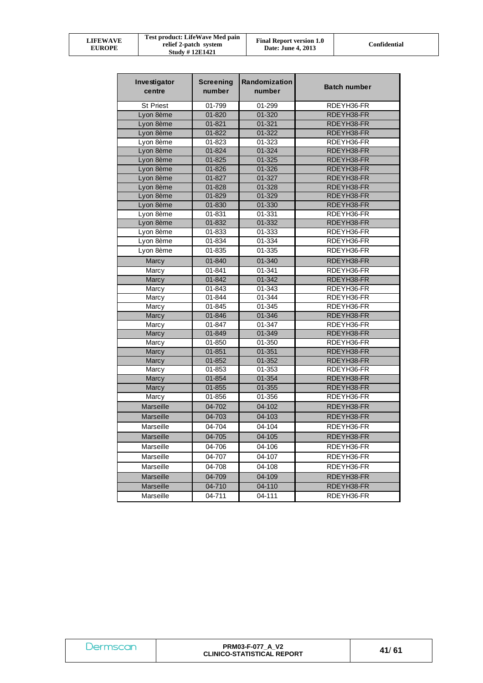| LIFEWAVE<br><b>EUROPE</b> | Test product: LifeWave Med pain<br>relief 2-patch system<br><b>Study #12E1421</b> | <b>Final Report version 1.0</b><br><b>Date: June 4, 2013</b> | Confidential |
|---------------------------|-----------------------------------------------------------------------------------|--------------------------------------------------------------|--------------|
|---------------------------|-----------------------------------------------------------------------------------|--------------------------------------------------------------|--------------|

| Investigator<br>centre | <b>Screening</b><br>number | Randomization<br>number | <b>Batch number</b> |
|------------------------|----------------------------|-------------------------|---------------------|
| <b>St Priest</b>       | 01-799                     | 01-299                  | RDEYH36-FR          |
| Lyon 8ème              | 01-820                     | 01-320                  | RDEYH38-FR          |
| Lyon 8ème              | $01 - 821$                 | $01 - 321$              | RDEYH38-FR          |
| Lyon 8ème              | 01-822                     | 01-322                  | RDEYH38-FR          |
| Lyon 8ème              | 01-823                     | 01-323                  | RDEYH36-FR          |
| Lyon 8ème              | 01-824                     | 01-324                  | RDEYH38-FR          |
| Lyon 8ème              | 01-825                     | 01-325                  | RDEYH38-FR          |
| Lyon 8ème              | 01-826                     | 01-326                  | RDEYH38-FR          |
| Lyon 8ème              | 01-827                     | 01-327                  | RDEYH38-FR          |
| Lyon 8ème              | 01-828                     | 01-328                  | RDEYH38-FR          |
| Lyon 8ème              | 01-829                     | 01-329                  | RDEYH38-FR          |
| Lyon 8ème              | 01-830                     | 01-330                  | RDEYH38-FR          |
| Lyon 8ème              | 01-831                     | 01-331                  | RDEYH36-FR          |
| Lyon 8ème              | 01-832                     | 01-332                  | RDEYH38-FR          |
| Lyon 8ème              | 01-833                     | 01-333                  | RDEYH36-FR          |
| Lyon 8ème              | 01-834                     | 01-334                  | RDEYH36-FR          |
| Lyon 8ème              | 01-835                     | 01-335                  | RDEYH36-FR          |
| Marcy                  | 01-840                     | 01-340                  | RDEYH38-FR          |
| Marcy                  | 01-841                     | 01-341                  | RDEYH36-FR          |
| Marcy                  | 01-842                     | 01-342                  | RDEYH38-FR          |
| Marcy                  | 01-843                     | 01-343                  | RDEYH36-FR          |
| Marcy                  | 01-844                     | 01-344                  | RDEYH36-FR          |
| Marcy                  | 01-845                     | 01-345                  | RDEYH36-FR          |
| Marcy                  | 01-846                     | 01-346                  | RDEYH38-FR          |
| Marcy                  | 01-847                     | 01-347                  | RDEYH36-FR          |
| Marcy                  | 01-849                     | 01-349                  | RDEYH38-FR          |
| Marcy                  | 01-850                     | $01 - 350$              | RDEYH36-FR          |
| Marcy                  | $01 - 851$                 | 01-351                  | RDEYH38-FR          |
| Marcy                  | 01-852                     | 01-352                  | RDEYH38-FR          |
| Marcy                  | 01-853                     | 01-353                  | RDEYH36-FR          |
| Marcy                  | 01-854                     | 01-354                  | RDEYH38-FR          |
| Marcy                  | 01-855                     | $01 - 355$              | RDEYH38-FR          |
| Marcy                  | 01-856                     | 01-356                  | RDEYH36-FR          |
| <b>Marseille</b>       | 04-702                     | 04-102                  | RDEYH38-FR          |
| Marseille              | 04-703                     | 04-103                  | RDEYH38-FR          |
| Marseille              | 04-704                     | 04-104                  | RDEYH36-FR          |
| Marseille              | 04-705                     | 04-105                  | RDEYH38-FR          |
| Marseille              | 04-706                     | 04-106                  | RDEYH36-FR          |
| Marseille              | 04-707                     | 04-107                  | RDEYH36-FR          |
| Marseille              | 04-708                     | 04-108                  | RDEYH36-FR          |
| <b>Marseille</b>       | 04-709                     | 04-109                  | RDEYH38-FR          |
| <b>Marseille</b>       | 04-710                     | 04-110                  | RDEYH38-FR          |
| Marseille              | 04-711                     | 04-111                  | RDEYH36-FR          |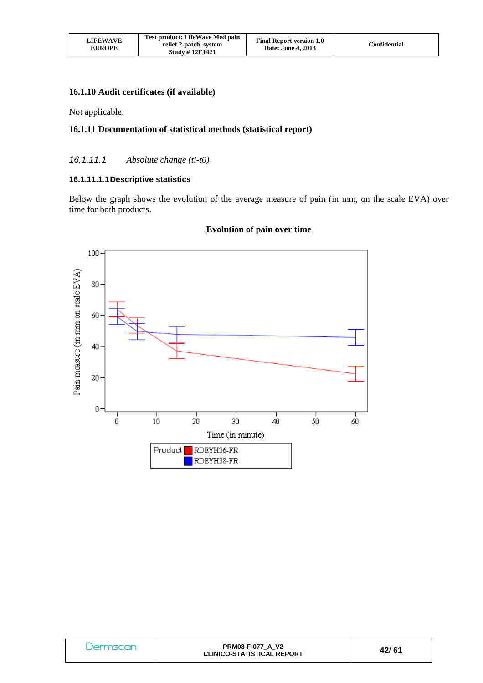| <b>LIFEWAVE</b><br><b>EUROPE</b> | <b>Test product: LifeWave Med pain</b><br>relief 2-patch system<br><b>Study #12E1421</b> | <b>Final Report version 1.0</b><br>Date: June 4, 2013 | Confidential |
|----------------------------------|------------------------------------------------------------------------------------------|-------------------------------------------------------|--------------|
|----------------------------------|------------------------------------------------------------------------------------------|-------------------------------------------------------|--------------|

#### **16.1.10 Audit certificates (if available)**

Not applicable.

## **16.1.11 Documentation of statistical methods (statistical report)**

## 16.1.11.1 *Absolute change (ti-t0)*

#### **16.1.11.1.1 Descriptive statistics**

Below the graph shows the evolution of the average measure of pain (in mm, on the scale EVA) over time for both products.



## **Evolution of pain over time**

| Dermscan | <b>PRM03-F-077 A V2</b><br><b>CLINICO-STATISTICAL REPORT</b> | 42/61 |
|----------|--------------------------------------------------------------|-------|
|----------|--------------------------------------------------------------|-------|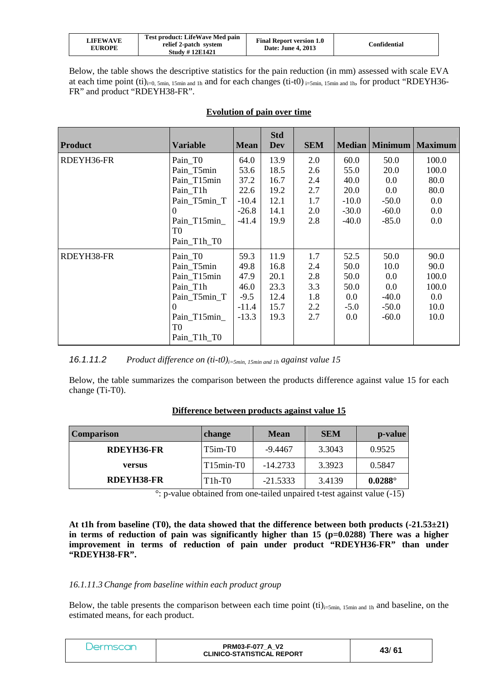| LIFEWAVE<br><b>EUROPE</b> | <b>Test product: LifeWave Med pain</b><br>relief 2-patch system<br><b>Study #12E1421</b> | <b>Final Report version 1.0</b><br>Date: June 4, 2013 | Confidential |
|---------------------------|------------------------------------------------------------------------------------------|-------------------------------------------------------|--------------|
|---------------------------|------------------------------------------------------------------------------------------|-------------------------------------------------------|--------------|

Below, the table shows the descriptive statistics for the pain reduction (in mm) assessed with scale EVA at each time point  $(ii)_{i=0, 5min, 15min, and 1h}$  and for each changes  $(ii-t0)_{i=5min, 15min, and 1h}$ , for product "RDEYH36-FR" and product "RDEYH38-FR".

| <b>Product</b> | <b>Variable</b>                              | <b>Mean</b> | <b>Std</b><br>Dev | <b>SEM</b> | Median  | <b>Minimum</b> | <b>Maximum</b> |
|----------------|----------------------------------------------|-------------|-------------------|------------|---------|----------------|----------------|
| RDEYH36-FR     | Pain_TO                                      | 64.0        | 13.9              | 2.0        | 60.0    | 50.0           | 100.0          |
|                | Pain_T5min                                   | 53.6        | 18.5              | 2.6        | 55.0    | 20.0           | 100.0          |
|                | Pain_T15min                                  | 37.2        | 16.7              | 2.4        | 40.0    | 0.0            | 80.0           |
|                | Pain T1h                                     | 22.6        | 19.2              | 2.7        | 20.0    | 0.0            | 80.0           |
|                | Pain T5min T                                 | $-10.4$     | 12.1              | 1.7        | $-10.0$ | $-50.0$        | 0.0            |
|                | $\Omega$                                     | $-26.8$     | 14.1              | 2.0        | $-30.0$ | $-60.0$        | 0.0            |
|                | Pain_T15min_<br>T0<br>Pain_T1h_T0            | $-41.4$     | 19.9              | 2.8        | $-40.0$ | $-85.0$        | 0.0            |
| RDEYH38-FR     | Pain T <sub>0</sub>                          | 59.3        | 11.9              | 1.7        | 52.5    | 50.0           | 90.0           |
|                | Pain T5min                                   | 49.8        | 16.8              | 2.4        | 50.0    | 10.0           | 90.0           |
|                | Pain_T15min                                  | 47.9        | 20.1              | 2.8        | 50.0    | 0.0            | 100.0          |
|                | Pain T1h                                     | 46.0        | 23.3              | 3.3        | 50.0    | 0.0            | 100.0          |
|                | Pain_T5min_T                                 | $-9.5$      | 12.4              | 1.8        | $0.0\,$ | $-40.0$        | 0.0            |
|                | $\theta$                                     | $-11.4$     | 15.7              | 2.2        | $-5.0$  | $-50.0$        | 10.0           |
|                | Pain T15min<br>T <sub>0</sub><br>Pain T1h T0 | $-13.3$     | 19.3              | 2.7        | 0.0     | $-60.0$        | 10.0           |

## **Evolution of pain over time**

16.1.11.2 *Product difference on (ti-t0)i=5min, 15min and 1h against value 15*

Below, the table summarizes the comparison between the products difference against value 15 for each change (Ti-T0).

| <b>Comparison</b> | change      | <b>Mean</b> | <b>SEM</b> | p-value        |
|-------------------|-------------|-------------|------------|----------------|
| RDEYH36-FR        | $T5im-T0$   | $-9.4467$   | 3.3043     | 0.9525         |
| versus            | $T15min-T0$ | $-14.2733$  | 3.3923     | 0.5847         |
| RDEYH38-FR        | T1h-T0      | $-21.5333$  | 3.4139     | $0.0288^\circ$ |

## **Difference between products against value 15**

°: p-value obtained from one-tailed unpaired t-test against value (-15)

**At t1h from baseline (T0), the data showed that the difference between both products (-21.53±21)**  in terms of reduction of pain was significantly higher than 15 (p=0.0288) There was a higher **improvement in terms of reduction of pain under product "RDEYH36-FR" than under "RDEYH38-FR".** 

#### *16.1.11.3Change from baseline within each product group*

Below, the table presents the comparison between each time point  $(ii)_{i=5min, 15min}$  and  $In an d$  baseline, on the estimated means, for each product.

| <b>PRM03-F-077 A V2</b><br>Dermscan<br>43/61<br><b>CLINICO-STATISTICAL REPORT</b> |  |
|-----------------------------------------------------------------------------------|--|
|-----------------------------------------------------------------------------------|--|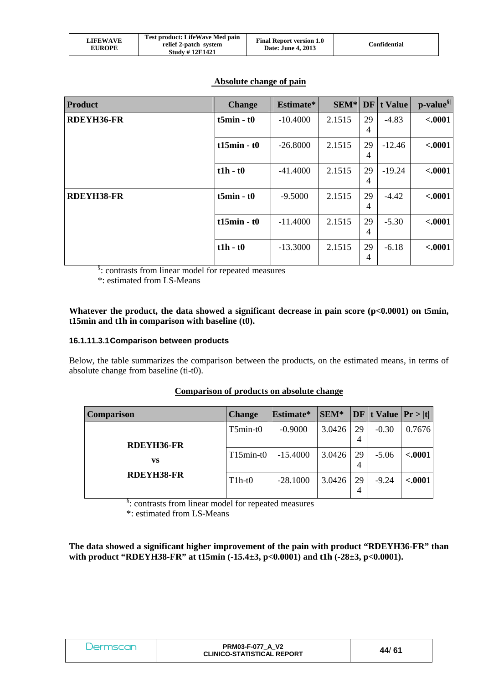| LIFEWAVE<br><b>EUROPE</b> | Test product: LifeWave Med pain<br>relief 2-patch system<br><b>Study #12E1421</b> | <b>Final Report version 1.0</b><br>Date: June 4, 2013 | Confidential |
|---------------------------|-----------------------------------------------------------------------------------|-------------------------------------------------------|--------------|
|---------------------------|-----------------------------------------------------------------------------------|-------------------------------------------------------|--------------|

## **Absolute change of pain**

| <b>Product</b>    | <b>Change</b>    | Estimate*  | $SEM*$ | DF                   | t Value  | p-value <sup>§ </sup> |
|-------------------|------------------|------------|--------|----------------------|----------|-----------------------|
| <b>RDEYH36-FR</b> | $t5min - t0$     | $-10.4000$ | 2.1515 | 29<br>4              | $-4.83$  | $-.0001$              |
|                   | $t15min - t0$    | $-26.8000$ | 2.1515 | 29<br>$\overline{4}$ | $-12.46$ | $-.0001$              |
|                   | $t1h - t0$       | $-41.4000$ | 2.1515 | 29<br>$\overline{4}$ | $-19.24$ | $-.0001$              |
| <b>RDEYH38-FR</b> | $t5min - t0$     | $-9.5000$  | 2.1515 | 29<br>4              | $-4.42$  | $-.0001$              |
|                   | $t15$ min - $t0$ | $-11.4000$ | 2.1515 | 29<br>4              | $-5.30$  | $-.0001$              |
|                   | $t1h - t0$       | $-13.3000$ | 2.1515 | 29<br>4              | $-6.18$  | $-.0001$              |

§ : contrasts from linear model for repeated measures

\*: estimated from LS-Means

#### Whatever the product, the data showed a significant decrease in pain score (p<0.0001) on t5min, **t15min and t1h in comparison with baseline (t0).**

#### **16.1.11.3.1 Comparison between products**

Below, the table summarizes the comparison between the products, on the estimated means, in terms of absolute change from baseline (ti-t0).

#### **Comparison of products on absolute change**

| <b>Comparison</b> | <b>Change</b> | Estimate*  | SEM*   |         | DF t Value  Pr >  t |          |
|-------------------|---------------|------------|--------|---------|---------------------|----------|
|                   | $T5min-t0$    | $-0.9000$  | 3.0426 | 29      | $-0.30$             | 0.7676   |
| <b>RDEYH36-FR</b> |               |            |        | 4       |                     |          |
| VS                | $T15min-t0$   | $-15.4000$ | 3.0426 | 29<br>4 | $-5.06$             | < .0001  |
| <b>RDEYH38-FR</b> | $T1h-t0$      | $-28.1000$ | 3.0426 | 29<br>4 | $-9.24$             | $-.0001$ |

§ : contrasts from linear model for repeated measures

\*: estimated from LS-Means

**The data showed a significant higher improvement of the pain with product "RDEYH36-FR" than with product "RDEYH38-FR" at t15min (-15.4±3, p<0.0001) and t1h (-28±3, p<0.0001).** 

| Dermscan | <b>PRM03-F-077 A V2</b><br><b>CLINICO-STATISTICAL REPORT</b> | 44/61 |
|----------|--------------------------------------------------------------|-------|
|----------|--------------------------------------------------------------|-------|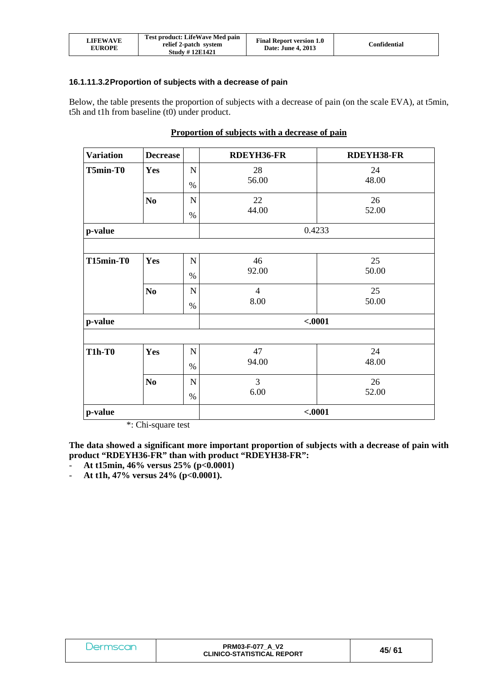| LIFEWAVE<br><b>EUROPE</b> | Test product: LifeWave Med pain<br>relief 2-patch system<br><b>Study #12E1421</b> | <b>Final Report version 1.0</b><br>Date: June 4, 2013 | Confidential |
|---------------------------|-----------------------------------------------------------------------------------|-------------------------------------------------------|--------------|
|---------------------------|-----------------------------------------------------------------------------------|-------------------------------------------------------|--------------|

#### **16.1.11.3.2 Proportion of subjects with a decrease of pain**

Below, the table presents the proportion of subjects with a decrease of pain (on the scale EVA), at t5min, t5h and t1h from baseline (t0) under product.

| <b>Variation</b> | <b>Decrease</b> |             | <b>RDEYH36-FR</b> | <b>RDEYH38-FR</b> |
|------------------|-----------------|-------------|-------------------|-------------------|
| T5min-T0         | Yes             | $\mathbf N$ | 28                | 24                |
|                  |                 | $\%$        | 56.00             | 48.00             |
|                  | N <sub>0</sub>  | $\mathbf N$ | 22                | 26                |
|                  |                 | $\%$        | 44.00             | 52.00             |
| p-value          |                 |             |                   | 0.4233            |
|                  |                 |             |                   |                   |
| T15min-T0        | Yes             | $\mathbf N$ | 46                | 25                |
|                  |                 | $\%$        | 92.00             | 50.00             |
|                  | N <sub>0</sub>  | $\mathbf N$ | $\overline{4}$    | 25                |
|                  |                 | $\%$        | 8.00              | 50.00             |
| p-value          |                 |             |                   | $-.0001$          |
|                  |                 |             |                   |                   |
| <b>T1h-T0</b>    | Yes             | $\mathbf N$ | 47                | 24                |
|                  |                 | $\%$        | 94.00             | 48.00             |
|                  | N <sub>0</sub>  | $\mathbf N$ | 3                 | 26                |
|                  |                 | $\%$        | 6.00              | 52.00             |
| p-value          |                 |             |                   | $-.0001$          |

#### **Proportion of subjects with a decrease of pain**

\*: Chi-square test

**The data showed a significant more important proportion of subjects with a decrease of pain with product "RDEYH36-FR" than with product "RDEYH38-FR":** 

- **At t15min, 46% versus 25% (p<0.0001)** 

- **At t1h, 47% versus 24% (p<0.0001).** 

| Dermscan | <b>PRM03-F-077 A V2</b><br><b>CLINICO-STATISTICAL REPORT</b> | 45/61 |
|----------|--------------------------------------------------------------|-------|
|----------|--------------------------------------------------------------|-------|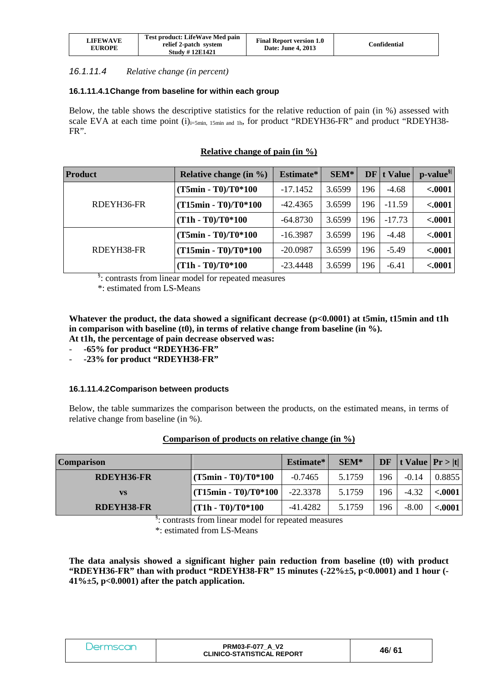| <b>LIFEWAVE</b><br><b>EUROPE</b> | Test product: LifeWave Med pain<br>relief 2-patch system<br><b>Study #12E1421</b> | <b>Final Report version 1.0</b><br>Date: June 4, 2013 | Confidential |
|----------------------------------|-----------------------------------------------------------------------------------|-------------------------------------------------------|--------------|
|----------------------------------|-----------------------------------------------------------------------------------|-------------------------------------------------------|--------------|

#### 16.1.11.4 *Relative change (in percent)*

## **16.1.11.4.1 Change from baseline for within each group**

Below, the table shows the descriptive statistics for the relative reduction of pain (in %) assessed with scale EVA at each time point  $(i)_{i=5min, 15min, and 1h}$ , for product "RDEYH36-FR" and product "RDEYH38-FR".

## **Relative change of pain (in %)**

| <b>Product</b> | Relative change (in %) | Estimate*  | SEM*   | DF  | t Value  | $\mathbf{p}\text{-value}^{\S}$ |
|----------------|------------------------|------------|--------|-----|----------|--------------------------------|
| RDEYH36-FR     | $(T5min - T0)/T0*100$  | $-17.1452$ | 3.6599 | 196 | $-4.68$  | $-.0001$                       |
|                | $(T15min - T0)/T0*100$ | $-42.4365$ | 3.6599 | 196 | $-11.59$ | $-.0001$                       |
|                | $(T1h - T0)/T0*100$    | $-64.8730$ | 3.6599 | 196 | $-17.73$ | $-.0001$                       |
| RDEYH38-FR     | (T5min - T0)/T0*100    | $-16.3987$ | 3.6599 | 196 | $-4.48$  | $-.0001$                       |
|                | (T15min - T0)/T0*100   | $-20.0987$ | 3.6599 | 196 | $-5.49$  | $-.0001$                       |
|                | $(T1h - T0)/T0*100$    | $-23.4448$ | 3.6599 | 196 | $-6.41$  | $-.0001$                       |

§: contrasts from linear model for repeated measures

\*: estimated from LS-Means

Whatever the product, the data showed a significant decrease (p<0.0001) at t5min, t15min and t1h in comparison with baseline (t0), in terms of relative change from baseline (in %).

**At t1h, the percentage of pain decrease observed was:** 

- **-65% for product "RDEYH36-FR"**
- **-23% for product "RDEYH38-FR"**

## **16.1.11.4.2 Comparison between products**

Below, the table summarizes the comparison between the products, on the estimated means, in terms of relative change from baseline (in %).

## **Comparison of products on relative change (in %)**

| <b>Comparison</b> |                                    | Estimate*  | $SEM*$ | <b>DF</b> | t Value $ \Pr> t $ |         |
|-------------------|------------------------------------|------------|--------|-----------|--------------------|---------|
| RDEYH36-FR        | $(T5min - T0)/T0*100$              | $-0.7465$  | 5.1759 | 196       | $-0.14$            | 0.8855  |
| <b>VS</b>         | $\frac{1}{1}$ (T15min - T0)/T0*100 | $-22.3378$ | 5.1759 | 196       | $-4.32$            | < .0001 |
| <b>RDEYH38-FR</b> | $(T1h - T0)/T0*100$                | $-41.4282$ | 5.1759 | 196       | $-8.00$            | < .0001 |

§: contrasts from linear model for repeated measures

\*: estimated from LS-Means

**The data analysis showed a significant higher pain reduction from baseline (t0) with product "RDEYH36-FR" than with product "RDEYH38-FR" 15 minutes (-22%±5, p<0.0001) and 1 hour (- 41%±5, p<0.0001) after the patch application.** 

| Dermscar | <b>PRM03-F-077 A V2</b><br><b>CLINICO-STATISTICAL REPORT</b> | 46/61 |
|----------|--------------------------------------------------------------|-------|
|----------|--------------------------------------------------------------|-------|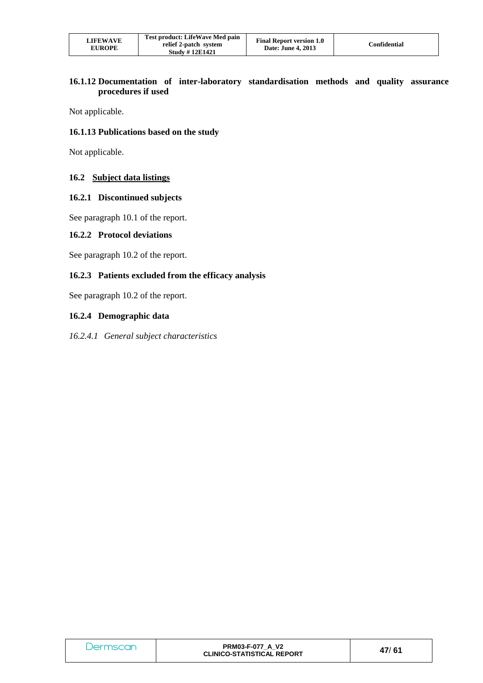| <b>LIFEWAVE</b><br><b>EUROPE</b> | Test product: LifeWave Med pain<br>relief 2-patch system<br><b>Study #12E1421</b> | <b>Final Report version 1.0</b><br>Date: June 4, 2013 | Confidential |
|----------------------------------|-----------------------------------------------------------------------------------|-------------------------------------------------------|--------------|
|----------------------------------|-----------------------------------------------------------------------------------|-------------------------------------------------------|--------------|

## **16.1.12 Documentation of inter-laboratory standardisation methods and quality assurance procedures if used**

Not applicable.

#### **16.1.13 Publications based on the study**

Not applicable.

#### **16.2 Subject data listings**

#### **16.2.1 Discontinued subjects**

See paragraph 10.1 of the report.

#### **16.2.2 Protocol deviations**

See paragraph 10.2 of the report.

# **16.2.3 Patients excluded from the efficacy analysis**

See paragraph 10.2 of the report.

## **16.2.4 Demographic data**

*16.2.4.1 General subject characteristics* 

| Dermscan | <b>PRM03-F-077 A V2</b><br><b>CLINICO-STATISTICAL REPORT</b> | 47/61 |
|----------|--------------------------------------------------------------|-------|
|----------|--------------------------------------------------------------|-------|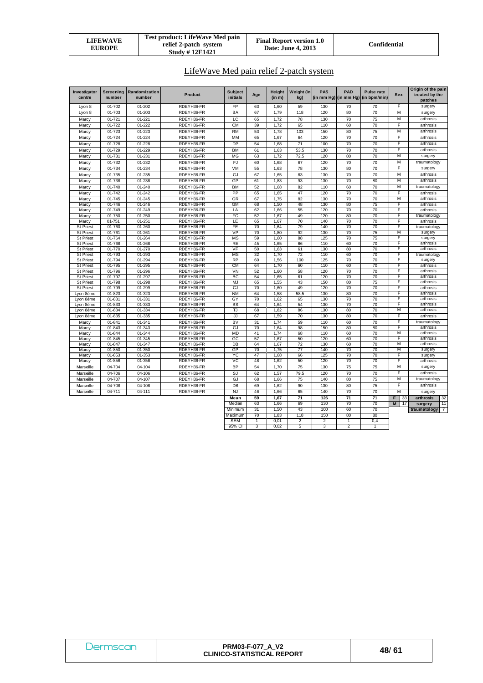| LIFEWAVE<br><b>EUROPE</b> | Test product: LifeWave Med pain<br>relief 2-patch system<br><b>Study #12E1421</b> | <b>Final Report version 1.0</b><br>Date: June 4, 2013 | Confidential |
|---------------------------|-----------------------------------------------------------------------------------|-------------------------------------------------------|--------------|
|---------------------------|-----------------------------------------------------------------------------------|-------------------------------------------------------|--------------|

LifeWave Med pain relief 2-patch system

| Investigator<br>centre               | <b>Screening</b><br>number | Randomization<br>number | <b>Product</b>           | <b>Subject</b><br>initials | Age      | Height<br>(in m) | Weight (in<br>kg)       | PAS        | <b>PAD</b>      | <b>Pulse rate</b><br>(in mm Hg) (in mm Hg) (in bpm/min) | <b>Sex</b> | Origin of the pain<br>treated by the |
|--------------------------------------|----------------------------|-------------------------|--------------------------|----------------------------|----------|------------------|-------------------------|------------|-----------------|---------------------------------------------------------|------------|--------------------------------------|
|                                      |                            |                         |                          |                            |          |                  |                         |            |                 |                                                         | F          | patches                              |
| Lyon 8<br>Lyon 8                     | 01-702<br>01-703           | 01-202<br>$01 - 203$    | RDEYH36-FR<br>RDEYH36-FR | FP<br><b>BA</b>            | 63<br>67 | 1,60<br>1.79     | 59<br>118               | 130<br>120 | 70<br>80        | 70<br>70                                                | M          | surgery                              |
|                                      |                            |                         |                          | LC                         |          |                  |                         |            |                 |                                                         | М          | surgery<br>arthrosis                 |
| Marcy                                | 01-721                     | $01 - 221$              | RDEYH36-FR               |                            | 65       | 1,72             | 78                      | 130        | 70              | 75                                                      | F          | arthrosis                            |
| Marcy                                | 01-722                     | 01-222                  | RDEYH36-FR               | <b>CM</b>                  | 39       | 1,72             | 65                      | 110        | 60              | 70                                                      |            |                                      |
| Marcy                                | 01-723                     | 01-223                  | RDEYH36-FR               | <b>RM</b>                  | 53       | 1.78             | 103                     | 150        | 80              | 75                                                      | M          | arthrosis                            |
| Marcy                                | 01-724                     | 01-224                  | RDEYH36-FR               | MM                         | 65       | 1,67             | 64                      | 120        | 70              | 70                                                      | F          | arthrosis                            |
| Marcy                                | 01-728                     | $01 - 228$              | RDEYH36-FR               | <b>DP</b>                  | 54       | 1,68             | 71                      | 100        | 70              | 70                                                      | F          | arthrosis                            |
| Marcy                                | 01-729                     | 01-229                  | RDEYH36-FR               | <b>BM</b>                  | 61       | 1,63             | 53,5                    | 130        | 70              | 70                                                      | F          | arthrosis                            |
| Marcy                                | $01 - 731$                 | $01 - 231$              | RDEYH36-FR               | <b>MG</b>                  | 63       | 1,72             | 72,5                    | 120        | 80              | 70                                                      | M          | surgery                              |
| Marcy                                | 01-732                     | 01-232                  | RDEYH36-FR               | FJ                         | 60       | 1,68             | 67                      | 120        | 70              | 70                                                      | M          | traumatology                         |
| Marcy                                | 01-734                     | 01-234                  | RDEYH36-FR               | VM                         | 55       | 1,63             | 78                      | 130        | 80              | 70                                                      | F          | surgery                              |
| Marcy                                | 01-735                     | $01 - 235$              | RDEYH36-FR               | GJ                         | 67       | 1.65             | 83                      | 130        | 70              | 70                                                      | M          | arthrosis                            |
| Marcy                                | 01-738                     | 01-238                  | RDEYH36-FR               | GP                         | 61       | 1,83             | 93                      | 130        | 70              | 80                                                      | M          | arthrosis                            |
| Marcy                                | 01-740                     | 01-240                  | RDEYH36-FR               | <b>BM</b>                  | 52       | 1,68             | 82                      | 110        | 60              | 70                                                      | М          | traumatology                         |
| Marcy                                | 01-742                     | 01-242                  | RDEYH36-FR               | PP                         | 65       | 1,65             | 47                      | 120        | 70              | 70                                                      | F          | arthrosis                            |
| Marcy                                | 01-745                     | $01 - 245$              | RDEYH36-FR               | GR                         | 67       | 1,75             | 82                      | 130        | 70              | 70                                                      | M          | arthrosis                            |
| Marcy                                | 01-746                     | 01-246                  | RDEYH36-FR               | <b>GM</b>                  | 68       | 1.50             | 48                      | 130        | 80              | 75                                                      | F          | arthrosis                            |
| Marcy                                | 01-749                     | 01-249                  | RDEYH36-FR               | LA                         | 62       | 1,66             | 55                      | 120        | 70              | 70                                                      | F          | arthrosis                            |
| Marcy                                | 01-750                     | $01 - 250$              | RDEYH36-FR               | FC                         | 52       | 1,67             | 49                      | 120        | 80              | 70                                                      | F          | traumatology                         |
| Marcy                                | $01 - 751$                 | $01 - 251$              | RDEYH36-FR               | LE                         | 65       | 1,67             | 70                      | 140        | 70              | 70                                                      | F          | arthrosis                            |
| <b>St Priest</b>                     | 01-760                     | $01 - 260$              | RDEYH36-FR               | FE<br>VP                   | 70<br>70 | 1.64             | 79                      | 140        | 70<br>70        | 70                                                      | F<br>М     | traumatology                         |
| St Priest                            | 01-761<br>01-764           | $01 - 261$<br>01-264    | RDEYH36-FR<br>RDEYH36-FR | <b>MS</b>                  | 59       | 1,80<br>1,60     | 92<br>88                | 130<br>125 | 70              | 75<br>75                                                | F          | surgery                              |
| <b>St Priest</b><br><b>St Priest</b> | 01-768                     | 01-268                  | RDEYH36-FR               | <b>RE</b>                  | 45       | 1,65             | 66                      | 110        | 60              | 70                                                      | F          | surgery<br>arthrosis                 |
| <b>St Priest</b>                     | 01-770                     | 01-270                  | RDEYH36-FR               | VF                         | 50       | 1,63             | 61                      | 130        | 80              | 70                                                      | F          | arthrosis                            |
| <b>St Priest</b>                     | 01-793                     | 01-293                  | RDEYH36-FR               | <b>MS</b>                  | 32       | 1,70             | 72                      | 110        | 60              | 70                                                      | F          | traumatology                         |
| <b>St Priest</b>                     | 01-794                     | 01-294                  | RDEYH36-FR               | <b>RP</b>                  | 60       | 1.56             | 100                     | 125        | 70              | 70                                                      | F          | surgery                              |
| <b>St Priest</b>                     | 01-795                     | 01-295                  | RDEYH36-FR               | <b>CM</b>                  | 64       | 1,70             | 60                      | 110        | 60              | 70                                                      | F          | arthrosis                            |
| <b>St Priest</b>                     | 01-796                     | 01-296                  | RDEYH36-FR               | VN                         | 52       | 1.60             | 58                      | 120        | 70              | 70                                                      | F          | arthrosis                            |
| <b>St Priest</b>                     | 01-797                     | 01-297                  | RDEYH36-FR               | BC                         | 54       | 1,65             | 61                      | 120        | 70              | 70                                                      | F          | arthrosis                            |
| <b>St Priest</b>                     | 01-798                     | 01-298                  | RDEYH36-FR               | MJ                         | 65       | 1,55             | 43                      | 150        | 80              | 75                                                      | F          | arthrosis                            |
| <b>St Priest</b>                     | 01-799                     | 01-299                  | RDEYH36-FR               | CJ                         | 70       | 1,60             | 49                      | 120        | 70              | 70                                                      | F          | arthrosis                            |
| Lvon 8ème                            | $01 - 823$                 | 01-323                  | RDEYH36-FR               | <b>NM</b>                  | 64       | 1.58             | 58.5                    | 130        | 80              | 70                                                      | F          | arthrosis                            |
| Lyon 8ème                            | 01-831                     | 01-331                  | RDEYH36-FR               | GY                         | 70       | 1,62             | 65                      | 130        | 70              | 70                                                      | F          | arthrosis                            |
| Lyon 8ème                            | 01-833                     | 01-333                  | RDEYH36-FR               | BS                         | 64       | 1,64             | 54                      | 130        | 70              | 70                                                      | F          | arthrosis                            |
| Lyon 8ème                            | 01-834                     | 01-334                  | RDEYH36-FR               | TJ                         | 68       | 1.82             | 86                      | 130        | 80              | 70                                                      | M          | arthrosis                            |
| Lyon 8ème                            | 01-835                     | 01-335                  | RDEYH36-FR               | JJ                         | 67       | 1,59             | 70                      | 130        | 80              | 70                                                      | F          | arthrosis                            |
| Marcy                                | $01 - 841$                 | 01-341                  | RDEYH36-FR               | BV                         | 31       | 1.74             | 59                      | 110        | 60              | 70                                                      | F          | traumatology                         |
| Marcy                                | 01-843                     | 01-343                  | RDEYH36-FR               | GJ                         | 70       | 1.64             | 98                      | 150        | 80              | 80                                                      | F<br>М     | arthrosis<br>arthrosis               |
| Marcy                                | 01-844<br>01-845           | 01-344                  | RDEYH36-FR<br>RDEYH36-FR | MD<br>GC                   | 41<br>57 | 1.74             | 68<br>50                | 110<br>120 | 60<br>60        | 70<br>70                                                | F          | arthrosis                            |
| Marcy<br>Marcy                       | 01-847                     | 01-345<br>01-347        | RDEYH36-FR               | DB                         | 64       | 1,67<br>1,67     | 72                      | 130        | 60              | 70                                                      | M          | arthrosis                            |
| Marcy                                | 01-850                     | 01-350                  | RDEYH36-FR               | GP                         | 70       | 1,75             | 77                      | 140        | 70              | 70                                                      | M          | surgery                              |
| Marcy                                | 01-853                     | 01-353                  | RDEYH36-FR               | YC                         | 47       | 1,68             | 66                      | 125        | 70              | 70                                                      | F          | surgery                              |
| Marcy                                | 01-856                     | 01-356                  | RDEYH36-FR               | VC                         | 48       | 1.62             | 50                      | 120        | 70              | 70                                                      | F          | arthrosis                            |
| Marseille                            | 04-704                     | 04-104                  | RDEYH36-FR               | <b>BP</b>                  | 54       | 1,70             | 75                      | 130        | 75              | 75                                                      | M          | surgery                              |
| Marseille                            | 04-706                     | 04-106                  | RDEYH36-FR               | SJ                         | 62       | 1,57             | 79,5                    | 120        | 70              | 70                                                      | F          | arthrosis                            |
| Marseille                            | 04-707                     | 04-107                  | RDEYH36-FR               | GJ                         | 68       | 1,66             | 75                      | 140        | 80              | 75                                                      | M          | traumatology                         |
| Marseille                            | 04-708                     | 04-108                  | RDEYH36-FR               | DB                         | 69       | 1,62             | 90                      | 130        | 80              | 75                                                      | F          | arthrosis                            |
| Marseille                            | 04-711                     | 04-111                  | RDEYH36-FR               | NJ                         | 46       | 1,66             | 65                      | 140        | 70              | 70                                                      | M          | surgery                              |
|                                      |                            |                         |                          | Mean                       | 59       | 1,67             | 71                      | 126        | $\overline{71}$ | $\overline{71}$                                         | F<br>33    | arthrosis<br>32                      |
|                                      |                            |                         |                          | Median                     | 63       | 1.66             | 69                      | 130        | 70              | 70                                                      | M<br>17    | 11<br>surgery                        |
|                                      |                            |                         |                          | Minimum                    | 31       | 1,50             | 43                      | 100        | 60              | 70                                                      |            | $\overline{7}$<br>traumatology       |
|                                      |                            |                         |                          | Maximum                    | 70       | 1,83             | 118                     | 150        | 80              | 80                                                      |            |                                      |
|                                      |                            |                         |                          | <b>SEM</b>                 | 1        | 0,01             | $\overline{\mathbf{c}}$ | 2          | $\mathbf{1}$    | 0,4                                                     |            |                                      |
|                                      |                            |                         |                          | 95% CI                     | 3        | 0,02             | 5                       | 3          | $\overline{2}$  |                                                         |            |                                      |

| <b>Jermscar</b> | <b>PRM03-F-077 A V2</b><br><b>CLINICO-STATISTICAL REPORT</b> | 48/61 |
|-----------------|--------------------------------------------------------------|-------|
|-----------------|--------------------------------------------------------------|-------|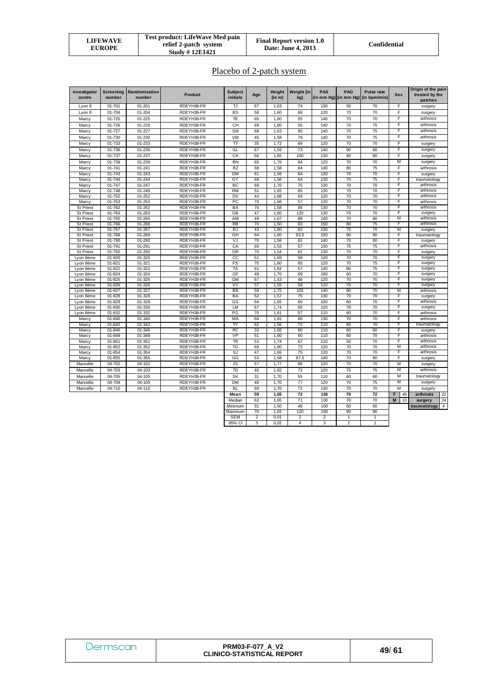| LIFEWAVE<br><b>EUROPE</b> | Test product: LifeWave Med pain<br>relief 2-patch system<br><b>Study #12E1421</b> | <b>Final Report version 1.0</b><br><b>Date: June 4, 2013</b> | Confidential |
|---------------------------|-----------------------------------------------------------------------------------|--------------------------------------------------------------|--------------|
|---------------------------|-----------------------------------------------------------------------------------|--------------------------------------------------------------|--------------|

Placebo of 2-patch system

| Investigator<br>centre               | <b>Screening</b><br>number | Randomization<br>number | <b>Product</b>           | <b>Subject</b><br>initials | Age      | Height<br>(in m) | Weight (in<br>kg) | PAS<br>(in mm Hg) $($ in mm Hg) | <b>PAD</b>              | Pulse rate<br>(in bpm/min) | Sex     | Origin of the pain<br>treated by the<br>patches |
|--------------------------------------|----------------------------|-------------------------|--------------------------|----------------------------|----------|------------------|-------------------|---------------------------------|-------------------------|----------------------------|---------|-------------------------------------------------|
| Lyon 8                               | $01 - 701$                 | $01 - 201$              | RDEYH38-FR               | TJ                         | 67       | 1,63             | 74                | 130                             | 50                      | 70                         | F       | surgery                                         |
| Lyon 8                               | 01-704                     | $01 - 204$              | RDEYH38-FR               | <b>BS</b>                  | 58       | 1,60             | 68                | 120                             | 70                      | 70                         | F       | surgery                                         |
| Marcy                                | $01 - 725$                 | $01 - 225$              | RDEYH38-FR               | ΤE                         | 65       | 1,60             | 55                | 140                             | 70                      | 70                         | F       | arthrosis                                       |
| Marcy                                | 01-726                     | 01-226                  | RDEYH38-FR               | CH                         | 69       | 1,60             | 55                | 140                             | 70                      | 75                         | F       | arthrosis                                       |
| Marcy                                | 01-727                     | 01-227                  | RDEYH38-FR               | <b>SM</b>                  | 68       | 1,63             | 60                | 140                             | 70                      | 75                         | F       | arthrosis                                       |
| Marcy                                | 01-730                     | 01-230                  | RDEYH38-FR               | VM                         | 45       | 1,58             | 79                | 140                             | 70                      | 75                         | F       | arthrosis                                       |
| Marcy                                | 01-733                     | 01-233                  | RDEYH38-FR               | π                          | 35       | 1,72             | 69                | 120                             | 70                      | 70                         | F       | surgery                                         |
| Marcy                                | 01-736                     | 01-236                  | RDEYH38-FR               | GL                         | 67       | 1,59             | 73                | 140                             | 90                      | 80                         | F       | surgery                                         |
| Marcy                                | 01-737                     | 01-237                  | RDEYH38-FR               | CA                         | 66       | 1,65             | 100               | 130                             | 80                      | 80                         | F       | surgery                                         |
| Marcy                                | 01-739                     | 01-239                  | RDEYH38-FR               | BN                         | 65       | 1,76             | 84                | 120                             | 70                      | 70                         | М       | surgery                                         |
| Marcy                                | $01 - 741$                 | $01 - 241$              | RDEYH38-FR               | <b>BZ</b>                  | 68       | 1,58             | 84                | 140                             | 80                      | 75                         | F       | arthrosis                                       |
| Marcy                                | 01-743                     | $01 - 243$              | RDEYH38-FR               | <b>DM</b>                  | 61       | 1,66             | 84                | 130                             | 70                      | $\overline{70}$            | F       | surgery                                         |
| Marcy                                | 01-744                     | 01-244                  | RDEYH38-FR               | GY                         | 69       | 1,56             | 64                | 130                             | 70                      | 75                         | F       | traumatology                                    |
| Marcy                                | 01-747                     | 01-247                  | RDEYH38-FR               | ВC                         | 69       | 1.70             | 75                | 130                             | 70                      | 70                         | F       | arthrosis                                       |
| Marcy                                | 01-748                     | $01 - 248$              | RDEYH38-FR               | <b>RM</b>                  | 51       | 1,65             | 85                | 130                             | 70                      | 70                         | F       | arthrosis                                       |
| Marcy                                | $01 - 752$                 | $01 - 252$              | RDEYH38-FR               | DV                         | 44       | 1,68             | 64                | 120                             | 70                      | 70                         | F       | arthrosis                                       |
| Marcy                                | $01 - 753$                 | $01 - 253$              | RDEYH38-FR               | РC                         | 70       | 1,66             | 57                | 120                             | 70                      | 70                         | F       | arthrosis                                       |
| <b>St Priest</b>                     | 01-762                     | $01 - 262$              | RDEYH38-FR               | BA                         | 70       | 1,58             | 88                | 130                             | 70                      | 70                         | F       | arthrosis                                       |
| <b>St Priest</b>                     | 01-763                     | 01-263                  | RDEYH38-FR               | <b>GB</b>                  | 47       | 1,60             | 120               | 130                             | 70                      | 70                         | F<br>М  | surgery                                         |
| <b>St Priest</b><br><b>St Priest</b> | 01-765<br>01-766           | 01-265<br>01-266        | RDEYH38-FR<br>RDEYH38-FR | AM<br><b>RB</b>            | 49<br>70 | 1,67<br>1,50     | 88<br>83          | 140<br>150                      | 70<br>80                | 80<br>$\overline{75}$      | F       | arthrosis<br>arthrosis                          |
| <b>St Priest</b>                     | 01-767                     | $01 - 267$              | RDEYH38-FR               | BJ                         | 43       | 1,80             | 82                | 130                             | 70                      | 70                         | М       | surgery                                         |
| <b>St Priest</b>                     | 01-769                     | 01-269                  | RDEYH38-FR               | GH                         | 64       | 1.60             | 63.5              | 150                             | 80                      | 90                         | F       | traumatology                                    |
| <b>St Priest</b>                     | 01-790                     | 01-290                  | RDEYH38-FR               | VJ                         | 70       | 1,56             | 82                | 140                             | 70                      | 80                         | F       | surgery                                         |
| St Priest                            | 01-791                     | 01-291                  | RDEYH38-FR               | CA                         | 69       | 1,53             | 57                | 130                             | 75                      | 75                         | F       | arthrosis                                       |
| <b>St Priest</b>                     | 01-792                     | 01-292                  | RDEYH38-FR               | OR                         | 70       | 1,54             | 62                | 130                             | 70                      | 70                         | F       | surgery                                         |
| Lyon 8ème                            | 01-820                     | 01-320                  | RDEYH38-FR               | $_{\rm cc}$                | 51       | 1,69             | 58                | 120                             | 70                      | 70                         | F       | surgery                                         |
| Lyon 8ème                            | $01 - 821$                 | $01 - 321$              | RDEYH38-FR               | FS                         | 70       | 1.60             | 65                | 120                             | 70                      | 75                         | F       | surgery                                         |
| Lyon 8ème                            | 01-822                     | 01-322                  | RDEYH38-FR               | TA                         | 61       | 1,62             | 57                | 140                             | 80                      | 75                         | F       | surgery                                         |
| Lyon 8ème                            | $01 - 824$                 | $01 - 324$              | RDEYH38-FR               | GF                         | 49       | 1,70             | 69                | 100                             | 60                      | 70                         | F       | surgery                                         |
| Lyon 8ème                            | $01 - 825$                 | 01-325                  | RDEYH38-FR               | GM<br>VY                   | 67<br>57 | 1,53             | 46<br>58          | 120                             | 70<br>70                | 70<br>70                   | F<br>F  | surgery                                         |
| Lyon 8ème<br>Lyon 8ème               | 01-826<br>$01 - 827$       | 01-326<br>01-327        | RDEYH38-FR<br>RDEYH38-FR | BB                         | 59       | 1,55<br>1,75     | 105               | 110<br>140                      | 80                      | 70                         | М       | surgery<br>arthrosis                            |
| Lyon 8ème                            | 01-828                     | 01-328                  | RDEYH38-FR               | BA                         | 52       | 1,57             | 75                | 130                             | 70                      | 70                         | F       | surgery                                         |
| Lyon 8ème                            | 01-829                     | 01-329                  | RDEYH38-FR               | GS                         | 64       | 1,65             | 60                | 100                             | 60                      | 70                         | F       | arthrosis                                       |
| Lyon 8ème                            | 01-830                     | 01-330                  | RDEYH38-FR               | LM                         | 67       | 1,74             | 65                | 120                             | 70                      | 70                         | F       | surgery                                         |
| Lyon 8ème                            | 01-832                     | 01-332                  | RDEYH38-FR               | PG                         | 70       | 1.61             | 57                | 110                             | 60                      | 70                         | F       | arthrosis                                       |
| Marcy                                | 01-840                     | 01-340                  | RDEYH38-FR               | MA                         | 69       | 1,65             | 60                | 130                             | 70                      | 70                         | F       | arthrosis                                       |
| Marcy                                | $01 - 842$                 | $01 - 342$              | RDEYH38-FR               | TY                         | 62       | 1,56             | 72                | 110                             | 60                      | 70                         | F       | traumatology                                    |
| Marcy                                | 01-846                     | 01-346                  | RDEYH38-FR               | <b>RC</b>                  | 33       | 1.65             | 60                | 110                             | 60                      | 60                         | F       | surgery                                         |
| Marcy                                | 01-849                     | 01-349                  | RDEYH38-FR               | VP                         | 51       | 1.60             | 60                | 110                             | 60                      | 70                         | F       | arthrosis                                       |
| Marcy                                | $01 - 851$                 | $01 - 351$              | RDEYH38-FR               | TR                         | 53       | 1,74             | 67                | 110                             | 50                      | 70                         | E       | arthrosis                                       |
| Marcy                                | 01-852                     | 01-352                  | RDEYH38-FR               | TG                         | 69       | 1,80             | 73                | 120                             | 70                      | 70                         | М       | arthrosis                                       |
| Marcy                                | 01-854                     | 01-354                  | RDEYH38-FR               | SJ                         | 47       | 1,65             | 75                | 120                             | 70                      | 70                         | F       | arthrosis                                       |
| Marcy                                | 01-855                     | 01-355                  | RDEYH38-FR               | GG                         | 53       | 1,68             | 87,5              | 140                             | 70                      | 80                         | F       | surgery                                         |
| Marseille                            | 04-702                     | 04-102                  | RDEYH38-FR               | ZS                         | 57       | 1,77             | 98                | 120                             | 70                      | 70                         | М       | surgery                                         |
| Marseille                            | 04-703                     | 04-103                  | RDEYH38-FR               | TD                         | 40       | 1,82             | 72                | 120                             | 75                      | 75                         | М       | arthrosis                                       |
| Marseille                            | 04-705                     | 04-105                  | RDEYH38-FR               | <b>SK</b>                  | 31       | 1,70             | 55                | 110                             | 60                      | 60                         | М       | traumatology                                    |
| Marseille                            | 04-709                     | 04-109                  | RDEYH38-FR               | <b>DM</b>                  | 48       | 1,70             | 77                | 120                             | 70                      | 75                         | М       | surgery                                         |
| Marseille                            | 04-710                     | 04-110                  | RDEYH38-FR               | BL                         | 69       | 1,70             | $\overline{72}$   | 130                             | 70                      | $\overline{70}$            | М       | surgery                                         |
|                                      |                            |                         |                          | Mean                       | 59       | 1,65             | 72                | 126                             | 70                      | 72                         | F<br>40 | 22<br>arthrosis                                 |
|                                      |                            |                         |                          | Median                     | 63       | 1,65             | 71                | 130                             | 70                      | 70                         | M<br>10 | 24<br>surgery                                   |
|                                      |                            |                         |                          | Minimum                    | 31       | 1,50             | 46                | 100                             | 50                      | 60                         |         | $\overline{4}$<br>traumatology                  |
|                                      |                            |                         |                          | Maximum<br><b>SEM</b>      | 70<br>2  | 1,82<br>0,01     | 120<br>2          | 150<br>2                        | 90<br>1                 | 90<br>$\overline{1}$       |         |                                                 |
|                                      |                            |                         |                          | 95% CI                     | 3        | 0,02             | 4                 | 3                               | $\overline{\mathbf{c}}$ | $\mathbf{1}$               |         |                                                 |
|                                      |                            |                         |                          |                            |          |                  |                   |                                 |                         |                            |         |                                                 |

| Dermscan | <b>PRM03-F-077 A V2</b><br><b>CLINICO-STATISTICAL REPORT</b> | 49/61 |
|----------|--------------------------------------------------------------|-------|
|----------|--------------------------------------------------------------|-------|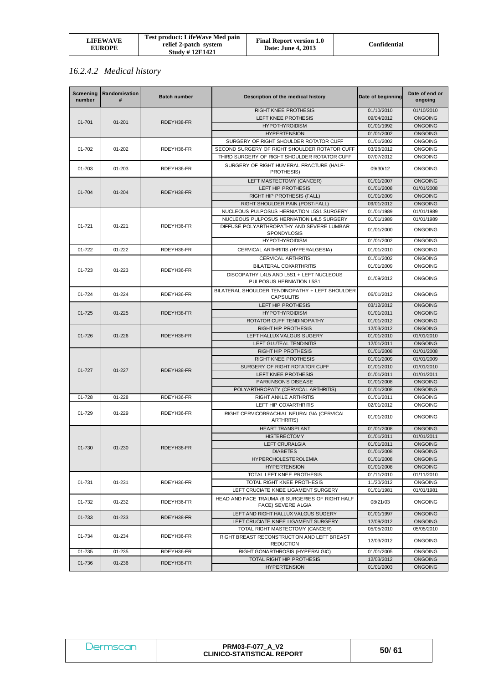| LIFEWAVE<br><b>EUROPE</b> | <b>Test product: LifeWave Med pain</b><br>relief 2-patch system<br><b>Study #12E1421</b> | <b>Final Report version 1.0</b><br>Date: June 4, 2013 | Confidential |
|---------------------------|------------------------------------------------------------------------------------------|-------------------------------------------------------|--------------|
|---------------------------|------------------------------------------------------------------------------------------|-------------------------------------------------------|--------------|

# *16.2.4.2 Medical history*

| <b>Screening</b><br>number | Randomisation<br># | <b>Batch number</b> | Description of the medical history                                    | Date of beginning | Date of end or<br>ongoing |
|----------------------------|--------------------|---------------------|-----------------------------------------------------------------------|-------------------|---------------------------|
|                            |                    |                     | <b>RIGHT KNEE PROTHESIS</b>                                           | 01/10/2010        | 01/10/2010                |
| 01-701                     | $01 - 201$         | RDEYH38-FR          | LEFT KNEE PROTHESIS                                                   | 09/04/2012        | <b>ONGOING</b>            |
|                            |                    |                     | <b>HYPOTHYROIDISM</b>                                                 | 01/01/1992        | <b>ONGOING</b>            |
|                            |                    |                     | <b>HYPERTENSION</b>                                                   | 01/01/2002        | <b>ONGOING</b>            |
|                            |                    |                     | SURGERY OF RIGHT SHOULDER ROTATOR CUFF                                | 01/01/2002        | <b>ONGOING</b>            |
| 01-702                     | 01-202             | RDEYH36-FR          | SECOND SURGERY OF RIGHT SHOULDER ROTATOR CUFF                         | 03/26/2012        | <b>ONGOING</b>            |
|                            |                    |                     | THIRD SURGERY OF RIGHT SHOULDER ROTATOR CUFF                          | 07/07/2012        | <b>ONGOING</b>            |
| 01-703                     | 01-203             | RDEYH36-FR          | SURGERY OF RIGHT HUMERAL FRACTURE (HALF-<br>PROTHESIS)                | 09/30/12          | <b>ONGOING</b>            |
|                            |                    |                     | LEFT MASTECTOMY (CANCER)                                              | 01/01/2007        | <b>ONGOING</b>            |
| 01-704                     | $01 - 204$         | RDEYH38-FR          | LEFT HIP PROTHESIS                                                    | 01/01/2008        | 01/01/2008                |
|                            |                    |                     | RIGHT HIP PROTHESIS (FALL)                                            | 01/01/2009        | <b>ONGOING</b>            |
|                            |                    |                     | RIGHT SHOULDER PAIN (POST-FALL)                                       | 09/01/2012        | <b>ONGOING</b>            |
|                            |                    |                     | NUCLEOUS PULPOSUS HERNIATION L5S1 SURGERY                             | 01/01/1989        | 01/01/1989                |
|                            |                    |                     | NUCLEOUS PULPOSUS HERNIATION L4L5 SURGERY                             | 01/01/1989        | 01/01/1989                |
| 01-721                     | $01 - 221$         | RDEYH36-FR          | DIFFUSE POLYARTHROPATHY AND SEVERE LUMBAR<br>SPONDYLOSIS              | 01/01/2000        | <b>ONGOING</b>            |
|                            |                    |                     | <b>HYPOTHYROIDISM</b>                                                 | 01/01/2002        | <b>ONGOING</b>            |
| 01-722                     | 01-222             | RDEYH36-FR          | CERVICAL ARTHRITIS (HYPERALGESIA)                                     | 01/01/2010        | <b>ONGOING</b>            |
|                            |                    |                     | <b>CERVICAL ARTHRITIS</b>                                             | 01/01/2002        | <b>ONGOING</b>            |
|                            |                    |                     | <b>BILATERAL COXARTHRITIS</b>                                         | 01/01/2009        | <b>ONGOING</b>            |
| 01-723                     | 01-223             | RDEYH36-FR          | DISCOPATHY L4L5 AND L5S1 + LEFT NUCLEOUS<br>PULPOSUS HERNIATION L5S1  | 01/09/2012        | <b>ONGOING</b>            |
| 01-724                     | 01-224             | RDEYH36-FR          | BILATERAL SHOULDER TENDINOPATHY + LEFT SHOULDER<br><b>CAPSULITIS</b>  | 06/01/2012        | <b>ONGOING</b>            |
|                            |                    |                     | LEFT HIP PROTHESIS                                                    | 03/12/2012        | <b>ONGOING</b>            |
| 01-725                     | $01 - 225$         | RDEYH38-FR          | <b>HYPOTHYROIDISM</b>                                                 | 01/01/2011        | <b>ONGOING</b>            |
|                            |                    |                     | ROTATOR CUFF TENDINOPATHY                                             | 01/01/2012        | <b>ONGOING</b>            |
|                            |                    |                     | RIGHT HIP PROTHESIS                                                   | 12/03/2012        | <b>ONGOING</b>            |
| 01-726                     | $01 - 226$         | RDEYH38-FR          | LEFT HALLUX VALGUS SUGERY                                             | 01/01/2010        | 01/01/2010                |
|                            |                    |                     | LEFT GLUTEAL TENDINITIS                                               | 12/01/2011        | <b>ONGOING</b>            |
|                            |                    |                     | <b>RIGHT HIP PROTHESIS</b>                                            | 01/01/2008        | 01/01/2008                |
|                            |                    |                     | <b>RIGHT KNEE PROTHESIS</b>                                           | 01/01/2009        | 01/01/2009                |
| $01 - 727$                 | $01 - 227$         | RDEYH38-FR          | SURGERY OF RIGHT ROTATOR CUFF                                         | 01/01/2010        | 01/01/2010                |
|                            |                    |                     | LEFT KNEE PROTHESIS                                                   | 01/01/2011        | 01/01/2011                |
|                            |                    |                     | PARKINSON'S DISEASE                                                   | 01/01/2008        | <b>ONGOING</b>            |
|                            |                    |                     | POLYARTHROPATY (CERVICAL ARTHRITIS)                                   | 01/01/2008        | <b>ONGOING</b>            |
| 01-728                     | 01-228             | RDEYH36-FR          | RIGHT ANKLE ARTHRITIS                                                 | 01/01/2011        | <b>ONGOING</b>            |
|                            |                    |                     | LEFT HIP COXARTHRITIS                                                 | 02/01/2012        | <b>ONGOING</b>            |
| 01-729                     | 01-229             | RDEYH36-FR          | RIGHT CERVICOBRACHIAL NEURALGIA (CERVICAL<br><b>ARTHRITIS)</b>        | 01/01/2010        | <b>ONGOING</b>            |
|                            |                    |                     | <b>HEART TRANSPLANT</b>                                               | 01/01/2008        | <b>ONGOING</b>            |
|                            |                    |                     | <b>HISTERECTOMY</b>                                                   | 01/01/2011        | 01/01/2011                |
| 01-730                     | 01-230             | RDEYH38-FR          | <b>LEFT CRURALGIA</b>                                                 | 01/01/2011        | <b>ONGOING</b>            |
|                            |                    |                     | <b>DIABETES</b>                                                       | 01/01/2008        | <b>ONGOING</b>            |
|                            |                    |                     | <b>HYPERCHOLESTEROLEMIA</b>                                           | 01/01/2008        | <b>ONGOING</b>            |
|                            |                    |                     | <b>HYPERTENSION</b>                                                   | 01/01/2008        | <b>ONGOING</b>            |
|                            |                    |                     | TOTAL LEFT KNEE PROTHESIS                                             | 01/11/2010        | 01/11/2010                |
| 01-731                     | 01-231             | RDEYH36-FR          | TOTAL RIGHT KNEE PROTHESIS                                            | 11/20/2012        | <b>ONGOING</b>            |
|                            |                    |                     | LEFT CRUCIATE KNEE LIGAMENT SURGERY                                   | 01/01/1981        | 01/01/1981                |
| 01-732                     | 01-232             | RDEYH36-FR          | HEAD AND FACE TRAUMA (6 SURGERIES OF RIGHT HALF<br>FACE) SEVERE ALGIA | 08/21/03          | <b>ONGOING</b>            |
|                            |                    |                     | LEFT AND RIGHT HALLUX VALGUS SUGERY                                   | 01/01/1997        | <b>ONGOING</b>            |
| 01-733                     | 01-233             | RDEYH38-FR          | LEFT CRUCIATE KNEE LIGAMENT SURGERY                                   | 12/09/2012        | <b>ONGOING</b>            |
|                            |                    |                     | TOTAL RIGHT MASTECTOMY (CANCER)                                       | 05/05/2010        | 05/05/2010                |
| 01-734                     | 01-234             | RDEYH36-FR          | RIGHT BREAST RECONSTRUCTION AND LEFT BREAST<br><b>REDUCTION</b>       | 12/03/2012        | <b>ONGOING</b>            |
| 01-735                     | 01-235             | RDEYH36-FR          | RIGHT GONARTHROSIS (HYPERALGIC)                                       | 01/01/2005        | <b>ONGOING</b>            |
|                            |                    | RDEYH38-FR          | TOTAL RIGHT HIP PROTHESIS                                             | 12/03/2012        | <b>ONGOING</b>            |
| 01-736                     | 01-236             |                     | <b>HYPERTENSION</b>                                                   | 01/01/2003        | <b>ONGOING</b>            |

| <b>Dermscan</b> | <b>PRM03-F-077 A V2</b><br><b>CLINICO-STATISTICAL REPORT</b> | 50/61 |
|-----------------|--------------------------------------------------------------|-------|
|-----------------|--------------------------------------------------------------|-------|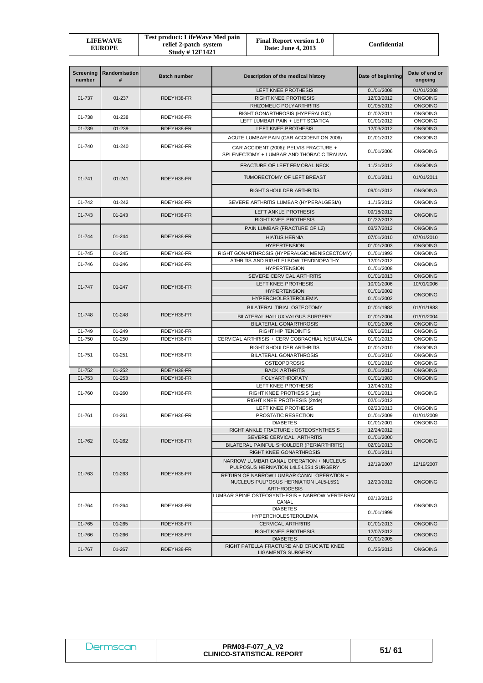| <b>Screening</b><br>number | Randomisation<br># | <b>Batch number</b> | Description of the medical history                                                                | Date of beginning        | Date of end or<br>ongoing        |
|----------------------------|--------------------|---------------------|---------------------------------------------------------------------------------------------------|--------------------------|----------------------------------|
|                            |                    |                     | LEFT KNEE PROTHESIS                                                                               | 01/01/2008               | 01/01/2008                       |
| 01-737                     | 01-237             | RDEYH38-FR          | <b>RIGHT KNEE PROTHESIS</b>                                                                       | 12/03/2012               | <b>ONGOING</b>                   |
|                            |                    |                     | RHIZOMELIC POLYARTHRITIS                                                                          | 01/05/2012               | <b>ONGOING</b>                   |
| 01-738                     | 01-238             | RDEYH36-FR          | RIGHT GONARTHROSIS (HYPERALGIC)                                                                   | 01/02/2011               | <b>ONGOING</b>                   |
|                            |                    |                     | LEFT LUMBAR PAIN + LEFT SCIATICA                                                                  | 01/01/2012               | <b>ONGOING</b>                   |
| 01-739                     | 01-239             | RDEYH38-FR          | LEFT KNEE PROTHESIS                                                                               | 12/03/2012               | <b>ONGOING</b>                   |
|                            |                    |                     | ACUTE LUMBAR PAIN (CAR ACCIDENT ON 2006)                                                          | 01/01/2012               | <b>ONGOING</b>                   |
| 01-740                     | 01-240             | RDEYH36-FR          | CAR ACCIDENT (2006): PELVIS FRACTURE +<br>SPLENECTOMY + LUMBAR AND THORACIC TRAUMA                | 01/01/2006               | <b>ONGOING</b>                   |
|                            |                    |                     | FRACTURE OF LEFT FEMORAL NECK                                                                     | 11/21/2012               | <b>ONGOING</b>                   |
| 01-741                     | $01 - 241$         | RDEYH38-FR          | TUMORECTOMY OF LEFT BREAST                                                                        | 01/01/2011               | 01/01/2011                       |
|                            |                    |                     | RIGHT SHOULDER ARTHRITIS                                                                          | 09/01/2012               | <b>ONGOING</b>                   |
| 01-742                     | 01-242             | RDEYH36-FR          | SEVERE ARTHRITIS LUMBAR (HYPERALGESIA)                                                            | 11/15/2012               | <b>ONGOING</b>                   |
| 01-743                     | 01-243             | RDEYH38-FR          | LEFT ANKLE PROTHESIS                                                                              | 09/18/2012               | <b>ONGOING</b>                   |
|                            |                    |                     | <b>RIGHT KNEE PROTHESIS</b>                                                                       | 01/22/2013               |                                  |
|                            |                    |                     | PAIN LUMBAR (FRACTURE OF L2)                                                                      | 03/27/2012               | <b>ONGOING</b>                   |
| 01-744                     | 01-244             | RDEYH38-FR          | <b>HIATUS HERNIA</b>                                                                              | 07/01/2010               | 07/01/2010                       |
|                            |                    |                     | <b>HYPERTENSION</b>                                                                               | 01/01/2003               | <b>ONGOING</b>                   |
| 01-745                     | 01-245             | RDEYH36-FR          | RIGHT GONARTHROSIS (HYPERALGIC MENISCECTOMY)                                                      | 01/01/1993               | <b>ONGOING</b>                   |
| 01-746                     | 01-246             | RDEYH36-FR          | ATHRITIS AND RIGHT ELBOW TENDINOPATHY                                                             | 12/01/2012               | <b>ONGOING</b>                   |
|                            |                    |                     | <b>HYPERTENSION</b>                                                                               | 01/01/2008               |                                  |
|                            |                    |                     | SEVERE CERVICAL ARTHRITIS                                                                         | 01/01/2013               | <b>ONGOING</b>                   |
| 01-747                     | $01 - 247$         | RDEYH38-FR          | LEFT KNEE PROTHESIS                                                                               | 10/01/2006               | 10/01/2006                       |
|                            |                    |                     | <b>HYPERTENSION</b>                                                                               | 01/01/2002               | <b>ONGOING</b>                   |
|                            |                    |                     | <b>HYPERCHOLESTEROLEMIA</b>                                                                       | 01/01/2002               |                                  |
|                            |                    |                     | BILATERAL TIBIAL OSTEOTOMY                                                                        | 01/01/1983               | 01/01/1983                       |
| 01-748                     | 01-248             | RDEYH38-FR          | BILATERAL HALLUX VALGUS SURGERY                                                                   | 01/01/2004               | 01/01/2004                       |
|                            |                    |                     | <b>BILATERAL GONARTHROSIS</b>                                                                     | 01/01/2006               | <b>ONGOING</b>                   |
| 01-749                     | 01-249             | RDEYH36-FR          | <b>RIGHT HIP TENDINITIS</b>                                                                       | 09/01/2012               | <b>ONGOING</b>                   |
| 01-750                     | 01-250             | RDEYH36-FR          | CERVICAL ARTHRISIS + CERVICOBRACHIAL NEURALGIA                                                    | 01/01/2013               | <b>ONGOING</b>                   |
|                            |                    |                     | RIGHT SHOULDER ARTHRITIS                                                                          | 01/01/2010               | <b>ONGOING</b>                   |
| 01-751                     | $01 - 251$         | RDEYH36-FR          | <b>BILATERAL GONARTHROSIS</b>                                                                     | 01/01/2010               | <b>ONGOING</b>                   |
| 01-752                     | $01 - 252$         | RDEYH38-FR          | <b>OSTEOPOROSIS</b><br><b>BACK ARTHRITIS</b>                                                      | 01/01/2010<br>01/01/2012 | <b>ONGOING</b><br><b>ONGOING</b> |
| 01-753                     | 01-253             | RDEYH38-FR          | POLYARTHROPATY                                                                                    | 01/01/1983               | <b>ONGOING</b>                   |
|                            |                    |                     | LEFT KNEE PROTHESIS                                                                               | 12/04/2012               |                                  |
| 01-760                     | 01-260             | RDEYH36-FR          | RIGHT KNEE PROTHESIS (1st)                                                                        | 01/01/2011               | <b>ONGOING</b>                   |
|                            |                    |                     | RIGHT KNEE PROTHESIS (2nde)                                                                       | 02/01/2012               |                                  |
|                            |                    |                     | LEFT KNEE PROTHESIS                                                                               | 02/20/2013               | <b>ONGOING</b>                   |
| 01-761                     | $01 - 261$         | RDEYH36-FR          | PROSTATIC RESECTION                                                                               | 01/01/2009               | 01/01/2009                       |
|                            |                    |                     | <b>DIABETES</b>                                                                                   | 01/01/2001               | <b>ONGOING</b>                   |
|                            |                    |                     | RIGHT ANKLE FRACTURE : OSTEOSYNTHESIS                                                             | 12/24/2012               |                                  |
| 01-762                     | 01-262             | RDEYH38-FR          | SEVERE CERVICAL ARTHRITIS                                                                         | 01/01/2000               | <b>ONGOING</b>                   |
|                            |                    |                     | BILATERAL PAINFUL SHOULDER (PERIARTHRITIS)                                                        | 02/01/2013               |                                  |
|                            |                    |                     | <b>RIGHT KNEE GONARTHROSIS</b>                                                                    | 01/01/2011               |                                  |
|                            |                    |                     | NARROW LUMBAR CANAL OPERATION + NUCLEUS<br>PULPOSUS HERNIATION L4L5-L5S1 SURGERY                  | 12/19/2007               | 12/19/2007                       |
| 01-763                     | 01-263             | RDEYH38-FR          | RETURN OF NARROW LUMBAR CANAL OPERATION +<br>NUCLEUS PULPOSUS HERNIATION L4L5-L5S1<br>ARTHRODESIS | 12/20/2012               | <b>ONGOING</b>                   |
|                            |                    |                     | LUMBAR SPINE OSTEOSYNTHESIS + NARROW VERTEBRAL                                                    | 02/12/2013               |                                  |
| 01-764                     | 01-264             | RDEYH36-FR          | CANAL                                                                                             |                          | <b>ONGOING</b>                   |
|                            |                    |                     | <b>DIABETES</b><br><b>HYPERCHOLESTEROLEMIA</b>                                                    | 01/01/1999               |                                  |
| 01-765                     | 01-265             | RDEYH38-FR          | <b>CERVICAL ARTHRITIS</b>                                                                         | 01/01/2013               | <b>ONGOING</b>                   |
| 01-766                     | 01-266             | RDEYH38-FR          | <b>RIGHT KNEE PROTHESIS</b><br>12/07/2012                                                         |                          | <b>ONGOING</b>                   |
|                            |                    |                     | <b>DIABETES</b><br>01/01/2005                                                                     |                          |                                  |
| 01-767                     | 01-267             | RDEYH38-FR          | RIGHT PATELLA FRACTURE AND CRUCIATE KNEE<br><b>LIGAMENTS SURGERY</b>                              | 01/25/2013               | ONGOING                          |

| <i><b>Dermscan</b></i> | <b>PRM03-F-077 A V2</b><br><b>CLINICO-STATISTICAL REPORT</b> | 51/61 |
|------------------------|--------------------------------------------------------------|-------|
|------------------------|--------------------------------------------------------------|-------|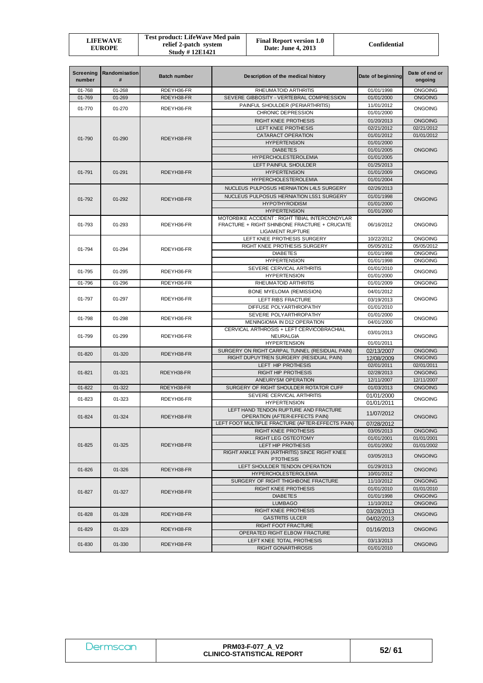| LIFEWAVE<br><b>EUROPE</b> | <b>Test product: LifeWave Med pain</b><br>relief 2-patch system<br><b>Study #12E1421</b> | <b>Final Report version 1.0</b><br>Date: June 4, 2013 | Confidential |
|---------------------------|------------------------------------------------------------------------------------------|-------------------------------------------------------|--------------|
|---------------------------|------------------------------------------------------------------------------------------|-------------------------------------------------------|--------------|

| <b>Screening</b><br>number | Randomisation<br># | <b>Batch number</b> | Description of the medical history                                                                                         | Date of beginning               | Date of end or<br>ongoing        |  |
|----------------------------|--------------------|---------------------|----------------------------------------------------------------------------------------------------------------------------|---------------------------------|----------------------------------|--|
| 01-768                     | 01-268             | RDEYH36-FR          | RHEUMATOID ARTHRITIS                                                                                                       | 01/01/1998                      | <b>ONGOING</b>                   |  |
| 01-769                     | 01-269             | RDEYH38-FR          | SEVERE GIBBOSITY - VERTEBRAL COMPRESSION                                                                                   | 01/01/2000                      | <b>ONGOING</b>                   |  |
| 01-770                     | 01-270             | RDEYH36-FR          | PAINFUL SHOULDER (PERIARTHRITIS)                                                                                           | 11/01/2012                      | <b>ONGOING</b>                   |  |
|                            |                    |                     | CHRONIC DEPRESSION                                                                                                         | 01/01/2000                      |                                  |  |
|                            |                    |                     | <b>RIGHT KNEE PROTHESIS</b>                                                                                                | 01/20/2013                      | <b>ONGOING</b>                   |  |
|                            |                    | LEFT KNEE PROTHESIS | 02/21/2012                                                                                                                 | 02/21/2012                      |                                  |  |
| 01-790                     | $01 - 290$         | RDEYH38-FR          | CATARACT OPERATION                                                                                                         | 01/01/2012                      | 01/01/2012                       |  |
|                            |                    |                     | <b>HYPERTENSION</b>                                                                                                        | 01/01/2000                      |                                  |  |
|                            |                    |                     | <b>DIABETES</b>                                                                                                            | 01/01/2005                      | <b>ONGOING</b>                   |  |
|                            |                    |                     | <b>HYPERCHOLESTEROLEMIA</b>                                                                                                | 01/01/2005                      |                                  |  |
|                            |                    |                     | LEFT PAINFUL SHOULDER                                                                                                      | 01/25/2013                      |                                  |  |
| 01-791                     | $01 - 291$         | RDEYH38-FR          | <b>HYPERTENSION</b>                                                                                                        | 01/01/2009                      | <b>ONGOING</b>                   |  |
|                            |                    |                     | <b>HYPERCHOLESTEROLEMIA</b>                                                                                                | 01/01/2004                      |                                  |  |
|                            |                    |                     | NUCLEUS PULPOSUS HERNIATION L4L5 SURGERY                                                                                   | 02/26/2013                      |                                  |  |
| 01-792                     | 01-292             | RDEYH38-FR          | NUCLEUS PULPOSUS HERNIATION L5S1 SURGERY                                                                                   | 01/01/1998                      | <b>ONGOING</b>                   |  |
|                            |                    |                     | <b>HYPOTHYROIDISM</b>                                                                                                      | 01/01/2000                      |                                  |  |
|                            |                    |                     | <b>HYPERTENSION</b>                                                                                                        | 01/01/2000                      |                                  |  |
| 01-793                     | 01-293             | RDEYH36-FR          | MOTORBIKE ACCIDENT: RIGHT TIBIAL INTERCONDYLAR<br>FRACTURE + RIGHT SHINBONE FRACTURE + CRUCIATE<br><b>LIGAMENT RUPTURE</b> | 06/16/2012                      | <b>ONGOING</b>                   |  |
|                            |                    |                     | LEFT KNEE PROTHESIS SURGERY                                                                                                | 10/22/2012                      | <b>ONGOING</b>                   |  |
| 01-794                     | 01-294             | RDEYH36-FR          | RIGHT KNEE PROTHESIS SURGERY                                                                                               | 05/05/2012                      | 05/05/2012                       |  |
|                            |                    |                     | <b>DIABETES</b>                                                                                                            | 01/01/1998                      | <b>ONGOING</b>                   |  |
|                            |                    |                     | <b>HYPERTENSION</b>                                                                                                        | 01/01/1998                      | <b>ONGOING</b>                   |  |
| 01-795                     | 01-295             | RDEYH36-FR          | SEVERE CERVICAL ARTHRITIS                                                                                                  | 01/01/2010                      | <b>ONGOING</b>                   |  |
|                            |                    |                     | <b>HYPERTENSION</b>                                                                                                        | 01/01/2000                      |                                  |  |
| 01-796                     | 01-296             | RDEYH36-FR          | RHEUMATOID ARTHRITIS                                                                                                       | 01/01/2009                      | <b>ONGOING</b>                   |  |
| 01-797                     |                    |                     |                                                                                                                            | <b>BONE MYELOMA (REMISSION)</b> | 04/01/2012                       |  |
|                            | 01-297             | RDEYH36-FR          | LEFT RIBS FRACTURE                                                                                                         | 03/19/2013                      | <b>ONGOING</b>                   |  |
|                            |                    |                     | DIFFUSE POLYARTHROPATHY                                                                                                    | 01/01/2010                      |                                  |  |
| 01-798                     | 01-298             | RDEYH36-FR          | SEVERE POLYARTHROPATHY                                                                                                     | 01/01/2000                      | <b>ONGOING</b>                   |  |
|                            |                    |                     | MENINGIOMA IN D12 OPERATION                                                                                                | 04/01/2000                      |                                  |  |
|                            |                    |                     | CERVICAL ARTHROSIS + LEFT CERVICOBRACHIAL                                                                                  | 03/01/2013                      |                                  |  |
| 01-799                     | 01-299             | RDEYH36-FR          | <b>NEURALGIA</b>                                                                                                           |                                 | <b>ONGOING</b>                   |  |
|                            |                    |                     | <b>HYPERTENSION</b>                                                                                                        | 01/01/2011                      |                                  |  |
| 01-820                     | 01-320             | RDEYH38-FR          | SURGERY ON RIGHT CARPAL TUNNEL (RESIDUAL PAIN)                                                                             | 02/13/2007                      | <b>ONGOING</b><br><b>ONGOING</b> |  |
|                            |                    |                     | RIGHT DUPUYTREN SURGERY (RESIDUAL PAIN)<br>LEFT HIP PROTHESIS                                                              | 12/08/2009<br>02/01/2011        | 02/01/2011                       |  |
| $01 - 821$                 | 01-321             | RDEYH38-FR          | <b>RIGHT HIP PROTHESIS</b>                                                                                                 | 02/28/2013                      | <b>ONGOING</b>                   |  |
|                            |                    |                     | ANEURYSM OPERATION                                                                                                         | 12/11/2007                      | 12/11/2007                       |  |
| 01-822                     | 01-322             | RDEYH38-FR          | SURGERY OF RIGHT SHOULDER ROTATOR CUFF                                                                                     | 01/03/2013                      | <b>ONGOING</b>                   |  |
|                            |                    |                     | SEVERE CERVICAL ARTHRITIS                                                                                                  | 01/01/2000                      |                                  |  |
| 01-823                     | 01-323             | RDEYH36-FR          | <b>HYPERTENSION</b>                                                                                                        | 01/01/2011                      | <b>ONGOING</b>                   |  |
|                            |                    |                     | LEFT HAND TENDON RUPTURE AND FRACTURE                                                                                      |                                 |                                  |  |
| 01-824                     | 01-324             | RDEYH38-FR          | OPERATION (AFTER-EFFECTS PAIN)                                                                                             | 11/07/2012                      | <b>ONGOING</b>                   |  |
|                            |                    |                     | LEFT FOOT MULTIPLE FRACTURE (AFTER-EFFECTS PAIN)                                                                           | 07/28/2012                      |                                  |  |
|                            |                    |                     | <b>RIGHT KNEE PROTHESIS</b>                                                                                                | 03/05/2013                      | <b>ONGOING</b>                   |  |
|                            |                    |                     | RIGHT LEG OSTEOTOMY                                                                                                        | 01/01/2001                      | 01/01/2001                       |  |
| 01-825                     | $01 - 325$         | RDEYH38-FR          | LEFT HIP PROTHESIS                                                                                                         | 01/01/2002                      | 01/01/2002                       |  |
|                            |                    |                     | RIGHT ANKLE PAIN (ARTHRITIS) SINCE RIGHT KNEE<br><b>PTOTHESIS</b>                                                          | 03/05/2013                      | <b>ONGOING</b>                   |  |
| 01-826                     | 01-326             | RDEYH38-FR          | LEFT SHOULDER TENDON OPERATION                                                                                             | 01/29/2013                      | <b>ONGOING</b>                   |  |
|                            |                    |                     | <b>HYPERCHOLESTEROLEMIA</b>                                                                                                | 10/01/2012                      |                                  |  |
|                            |                    |                     | SURGERY OF RIGHT THIGHBONE FRACTURE                                                                                        | 11/10/2012                      | <b>ONGOING</b>                   |  |
| 01-827                     | 01-327             | RDEYH38-FR          | RIGHT KNEE PROTHESIS                                                                                                       | 01/01/2010                      | 01/01/2010                       |  |
|                            |                    |                     | <b>DIABETES</b>                                                                                                            | 01/01/1998                      | <b>ONGOING</b>                   |  |
|                            |                    |                     | <b>LUMBAGO</b>                                                                                                             | 11/10/2012                      | <b>ONGOING</b>                   |  |
| 01-828                     | 01-328             | RDEYH38-FR          | RIGHT KNEE PROTHESIS                                                                                                       | 03/28/2013                      | <b>ONGOING</b>                   |  |
|                            |                    |                     | <b>GASTRITIS ULCER</b>                                                                                                     | 04/02/2013                      |                                  |  |
| 01-829                     | 01-329             | RDEYH38-FR          | RIGHT FOOT FRACTURE<br>OPERATED RIGHT ELBOW FRACTURE                                                                       | 01/16/2013                      | <b>ONGOING</b>                   |  |
| 01-830                     | 01-330             | RDEYH38-FR          | LEFT KNEE TOTAL PROTHESIS                                                                                                  | 03/13/2013                      | ONGOING                          |  |
|                            |                    |                     | RIGHT GONARTHROSIS                                                                                                         | 01/01/2010                      |                                  |  |

| Dermscan | <b>PRM03-F-077 A V2</b><br><b>CLINICO-STATISTICAL REPORT</b> | 52/61 |
|----------|--------------------------------------------------------------|-------|
|----------|--------------------------------------------------------------|-------|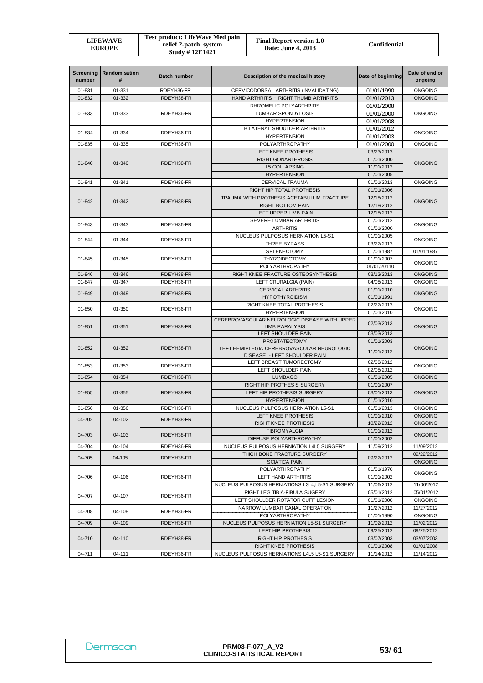| LIFEWAVE<br><b>EUROPE</b> | Test product: LifeWave Med pain<br>relief 2-patch system<br><b>Study #12E1421</b> | <b>Final Report version 1.0</b><br>Date: June 4, 2013 | Confidential |
|---------------------------|-----------------------------------------------------------------------------------|-------------------------------------------------------|--------------|
|---------------------------|-----------------------------------------------------------------------------------|-------------------------------------------------------|--------------|

| <b>Screening</b><br>number | Randomisation<br>#                                   | <b>Batch number</b>      | Description of the medical history                                                | Date of beginning        | Date of end or<br>ongoing        |  |
|----------------------------|------------------------------------------------------|--------------------------|-----------------------------------------------------------------------------------|--------------------------|----------------------------------|--|
| 01-831                     | 01-331                                               | RDEYH36-FR               | CERVICODORSAL ARTHRITIS (INVALIDATING)                                            | 01/01/1990               | <b>ONGOING</b>                   |  |
| 01-832                     | 01-332                                               | RDEYH38-FR               | HAND ARTHRITIS + RIGHT THUMB ARTHRITIS                                            | 01/01/2013               | <b>ONGOING</b>                   |  |
|                            |                                                      | RHIZOMELIC POLYARTHRITIS | 01/01/2008                                                                        |                          |                                  |  |
| 01-833                     | 01-333                                               | RDEYH36-FR               | LUMBAR SPONDYLOSIS                                                                | 01/01/2000               | ONGOING                          |  |
|                            |                                                      |                          | <b>HYPERTENSION</b>                                                               | 01/01/2008               |                                  |  |
| 01-834                     | BILATERAL SHOULDER ARTHRITIS<br>01-334<br>RDEYH36-FR |                          | 01/01/2012                                                                        | <b>ONGOING</b>           |                                  |  |
|                            |                                                      |                          | <b>HYPERTENSION</b>                                                               | 01/01/2003               |                                  |  |
| 01-835                     | 01-335                                               | RDEYH36-FR               | POLYARTHROPATHY                                                                   | 01/01/2000               | <b>ONGOING</b>                   |  |
|                            |                                                      |                          | LEFT KNEE PROTHESIS                                                               | 03/23/2013               |                                  |  |
| 01-840                     | 01-340                                               | RDEYH38-FR               | <b>RIGHT GONARTHROSIS</b>                                                         | 01/01/2000               | <b>ONGOING</b>                   |  |
|                            |                                                      |                          | <b>L5 COLLAPSING</b>                                                              | 11/01/2012               |                                  |  |
|                            |                                                      |                          | <b>HYPERTENSION</b>                                                               | 01/01/2005               |                                  |  |
| 01-841                     | 01-341                                               | RDEYH36-FR               | <b>CERVICAL TRAUMA</b>                                                            | 01/01/2013               | ONGOING                          |  |
|                            |                                                      |                          | RIGHT HIP TOTAL PROTHESIS                                                         | 01/01/2006               |                                  |  |
| 01-842                     | 01-342                                               | RDEYH38-FR               | TRAUMA WITH PROTHESIS ACETABULUM FRACTURE                                         | 12/18/2012               | <b>ONGOING</b>                   |  |
|                            |                                                      |                          | <b>RIGHT BOTTOM PAIN</b>                                                          | 12/18/2012               |                                  |  |
|                            |                                                      |                          | LEFT UPPER LIMB PAIN                                                              | 12/18/2012               |                                  |  |
| 01-843                     | 01-343                                               | RDEYH36-FR               | SEVERE LUMBAR ARTHRITIS                                                           | 01/01/2012               | <b>ONGOING</b>                   |  |
|                            |                                                      |                          | <b>ARTHRITIS</b>                                                                  | 01/01/2000               |                                  |  |
| 01-844                     | 01-344                                               | RDEYH36-FR               | NUCLEUS PULPOSUS HERNIATION L5-S1                                                 | 01/01/2005               | <b>ONGOING</b>                   |  |
|                            |                                                      |                          | THREE BYPASS                                                                      | 03/22/2013               |                                  |  |
|                            |                                                      |                          | SPLENECTOMY                                                                       | 01/01/1987               | 01/01/1987                       |  |
| 01-845                     | $01 - 345$                                           | RDEYH36-FR               | <b>THYROIDECTOMY</b>                                                              | 01/01/2007               | <b>ONGOING</b>                   |  |
|                            |                                                      |                          | <b>POLYARTHROPATHY</b>                                                            | 01/01/20110              |                                  |  |
| 01-846<br>01-847           | 01-346<br>01-347                                     | RDEYH38-FR<br>RDEYH36-FR | RIGHT KNEE FRACTURE OSTEOSYNTHESIS<br>LEFT CRURALGIA (PAIN)                       | 03/12/2013<br>04/08/2013 | <b>ONGOING</b><br><b>ONGOING</b> |  |
|                            |                                                      |                          |                                                                                   | 01/01/2010               |                                  |  |
| 01-849                     | 01-349                                               | RDEYH38-FR               | <b>CERVICAL ARTHRITIS</b><br><b>HYPOTHYROIDISM</b>                                | 01/01/1991               | <b>ONGOING</b>                   |  |
|                            |                                                      |                          | RIGHT KNEE TOTAL PROTHESIS                                                        | 02/22/2013               |                                  |  |
| 01-850                     | 01-350                                               | RDEYH36-FR               | <b>HYPERTENSION</b>                                                               | 01/01/2010               | <b>ONGOING</b>                   |  |
|                            |                                                      |                          | CEREBROVASCULAR NEUROLOGIC DISEASE WITH UPPER                                     |                          |                                  |  |
| 01-851                     | 01-351                                               | RDEYH38-FR               | <b>LIMB PARALYSIS</b>                                                             | 02/03/2013               | <b>ONGOING</b>                   |  |
|                            |                                                      |                          | LEFT SHOULDER PAIN                                                                | 03/03/2013               |                                  |  |
|                            |                                                      |                          | <b>PROSTATECTOMY</b>                                                              | 01/01/2003               |                                  |  |
| 01-852                     | 01-352                                               | RDEYH38-FR               | LEFT HEMIPLEGIA CEREBROVASCULAR NEUROLOGIC                                        | 11/01/2012               | <b>ONGOING</b>                   |  |
|                            |                                                      |                          | DISEASE - LEFT SHOULDER PAIN                                                      |                          |                                  |  |
| 01-853                     | 01-353                                               | RDEYH36-FR               | LEFT BREAST TUMORECTOMY                                                           | 02/08/2012               | <b>ONGOING</b>                   |  |
|                            |                                                      |                          | LEFT SHOULDER PAIN                                                                | 02/08/2012               |                                  |  |
| 01-854                     | 01-354                                               | RDEYH38-FR               | <b>LUMBAGO</b>                                                                    | 01/01/2005               | <b>ONGOING</b>                   |  |
|                            |                                                      |                          | RIGHT HIP PROTHESIS SURGERY                                                       | 01/01/2007               |                                  |  |
| 01-855                     | 01-355                                               | RDEYH38-FR               | LEFT HIP PROTHESIS SURGERY                                                        | 03/01/2013               | <b>ONGOING</b>                   |  |
|                            |                                                      |                          | <b>HYPERTENSION</b>                                                               | 01/01/2010               |                                  |  |
| 01-856                     | 01-356                                               | RDEYH36-FR               | NUCLEUS PULPOSUS HERNIATION L5-S1                                                 | 01/01/2013               | <b>ONGOING</b>                   |  |
| 04-702                     | 04-102                                               | RDEYH38-FR               | LEFT KNEE PROTHESIS                                                               | 01/01/2010               | <b>ONGOING</b>                   |  |
|                            |                                                      |                          | RIGHT KNEE PROTHESIS                                                              | 10/22/2012               | ONGOING                          |  |
| 04-703                     | 04-103                                               | RDEYH38-FR               | <b>FIBROMYALGIA</b>                                                               | 01/01/2012               | <b>ONGOING</b>                   |  |
|                            |                                                      |                          | DIFFUSE POLYARTHROPATHY                                                           | 01/01/2002               |                                  |  |
| 04-704                     | 04-104                                               | RDEYH36-FR               | NUCLEUS PULPOSUS HERNIATION L4L5 SURGERY                                          | 11/09/2012               | 11/09/2012                       |  |
| 04-705                     | 04-105                                               | RDEYH38-FR               | THIGH BONE FRACTURE SURGERY<br><b>SCIATICA PAIN</b>                               | 09/22/2012               | 09/22/2012<br><b>ONGOING</b>     |  |
|                            |                                                      |                          |                                                                                   |                          |                                  |  |
| 04-706                     | 04-106                                               |                          | <b>POLYARTHROPATHY</b><br>LEFT HAND ARTHRITIS                                     | 01/01/1970<br>01/01/2002 | ONGOING                          |  |
|                            |                                                      | RDEYH36-FR               |                                                                                   |                          |                                  |  |
|                            |                                                      |                          | NUCLEUS PULPOSUS HERNIATIONS L3L4, L5-S1 SURGERY<br>RIGHT LEG TIBIA-FIBULA SUGERY | 11/06/2012               | 11/06/2012<br>05/01/2012         |  |
| 04-707                     | 04-107                                               | RDEYH36-FR               | LEFT SHOULDER ROTATOR CUFF LESION                                                 | 05/01/2012<br>01/01/2000 | <b>ONGOING</b>                   |  |
|                            |                                                      |                          |                                                                                   |                          |                                  |  |
| 04-708                     | 04-108                                               | RDEYH36-FR               | NARROW LUMBAR CANAL OPERATION<br>POLYARTHROPATHY                                  | 11/27/2012<br>01/01/1990 | 11/27/2012<br><b>ONGOING</b>     |  |
| 04-709                     | 04-109                                               | RDEYH38-FR               | NUCLEUS PULPOSUS HERNIATION L5-S1 SURGERY                                         |                          | 11/02/2012                       |  |
|                            |                                                      |                          | LEFT HIP PROTHESIS                                                                | 11/02/2012<br>09/25/2012 | 09/25/2012                       |  |
| 04-710                     |                                                      | RDEYH38-FR               | RIGHT HIP PROTHESIS                                                               | 03/07/2003               |                                  |  |
|                            | 04-110                                               |                          | RIGHT KNEE PROTHESIS                                                              | 01/01/2008               | 03/07/2003<br>01/01/2008         |  |
| 04-711                     | 04-111                                               | RDEYH36-FR               | NUCLEUS PULPOSUS HERNIATIONS L4L5 L5-S1 SURGERY                                   | 11/14/2012               | 11/14/2012                       |  |
|                            |                                                      |                          |                                                                                   |                          |                                  |  |

| Jermscan | <b>PRM03-F-077 A V2</b><br><b>CLINICO-STATISTICAL REPORT</b> | 53/61 |
|----------|--------------------------------------------------------------|-------|
|----------|--------------------------------------------------------------|-------|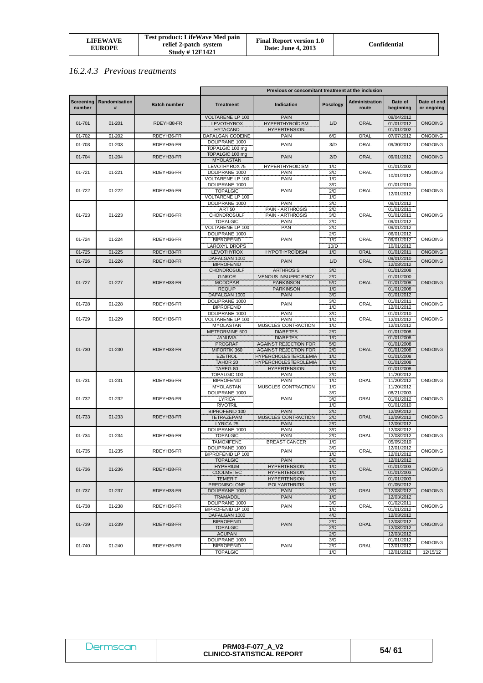| LIFEWAVE<br><b>EUROPE</b> | Test product: LifeWave Med pain<br>relief 2-patch system<br><b>Study #12E1421</b> | <b>Final Report version 1.0</b><br>Date: June 4, 2013 | Confidential |
|---------------------------|-----------------------------------------------------------------------------------|-------------------------------------------------------|--------------|
|---------------------------|-----------------------------------------------------------------------------------|-------------------------------------------------------|--------------|

## *16.2.4.3 Previous treatments*

|                            |                    |                     | Previous or concomitant treatment at the inclusion |                                                      |            |                         |                          |                           |
|----------------------------|--------------------|---------------------|----------------------------------------------------|------------------------------------------------------|------------|-------------------------|--------------------------|---------------------------|
| <b>Screening</b><br>number | Randomisation<br># | <b>Batch number</b> | <b>Treatment</b>                                   | Indication                                           | Posology   | Administration<br>route | Date of<br>beginning     | Date of end<br>or ongoing |
|                            |                    |                     | VOLTARENE LP 100                                   | <b>PAIN</b>                                          |            |                         | 09/04/2012               |                           |
| $01 - 701$                 | $01 - 201$         | RDEYH38-FR          | LEVOTHYROX                                         | <b>HYPERTHYROÏDISM</b>                               | 1/D        | <b>ORAL</b>             | 01/01/2012               | <b>ONGOING</b>            |
|                            |                    |                     | <b>HYTACAND</b>                                    | <b>HYPERTENSION</b>                                  |            |                         | 01/01/2002               |                           |
| 01-702                     | 01-202             | RDEYH36-FR          | DAFALGAN CODEINE<br>DOLIPRANE 1000                 | <b>PAIN</b>                                          | 6/D        | ORAL                    | 07/07/2012               | <b>ONGOING</b>            |
| 01-703                     | 01-203             | RDEYH36-FR          | TOPALGIC 100 mg                                    | PAIN                                                 | 3/D        | ORAL                    | 09/30/2012               | <b>ONGOING</b>            |
|                            |                    |                     | TOPALGIC 100 mg                                    |                                                      |            |                         |                          |                           |
| 01-704                     | 01-204             | RDEYH38-FR          | <b>MYOLASTAN</b>                                   | <b>PAIN</b>                                          | 2/D        | <b>ORAL</b>             | 09/01/2012               | ONGOING                   |
|                            |                    |                     | LEVOTHYROX 75                                      | <b>HYPERTHYROIDISM</b>                               | 1/D        |                         | 01/01/2002               |                           |
| 01-721                     | 01-221             | RDEYH36-FR          | DOLIPRANE 1000                                     | PAIN                                                 | 3/D        | ORAL                    | 10/01/2012               | ONGOING                   |
|                            |                    |                     | <b>VOLTARENE LP 100</b><br>DOLIPRANE 1000          | PAIN                                                 | 1/D<br>3/D |                         | 01/01/2010               |                           |
| 01-722                     | 01-222             | RDEYH36-FR          | <b>TOPALGIC</b>                                    | PAIN                                                 | 2/D        | ORAL                    |                          | <b>ONGOING</b>            |
|                            |                    |                     | VOLTARENE LP 100                                   |                                                      | 1/D        |                         | 12/01/2012               |                           |
|                            |                    |                     | DOLIPRANE 1000                                     | PAIN                                                 | 3/D        |                         | 09/01/2012               |                           |
|                            |                    |                     | <b>ART 50</b>                                      | <b>PAIN - ARTHROSIS</b>                              | 2/D        |                         | 01/01/2011               |                           |
| 01-723                     | 01-223             | RDEYH36-FR          | <b>CHONDROSULF</b>                                 | PAIN - ARTHROSIS                                     | 3/D        | ORAL                    | 01/01/2011               | <b>ONGOING</b>            |
|                            |                    |                     | <b>TOPALGIC</b><br><b>VOLTARENE LP 100</b>         | PAIN<br>PAN                                          | 2/D<br>2/D |                         | 09/01/2012<br>09/01/2012 |                           |
|                            |                    |                     | DOLIPRANE 1000                                     |                                                      | 2/D        |                         | 06/01/2012               |                           |
| 01-724                     | 01-224             | RDEYH36-FR          | <b>BIPROFENID</b>                                  | <b>PAIN</b>                                          | 1/D        | ORAL                    | 09/01/2012               | <b>ONGOING</b>            |
|                            |                    |                     | <b>LAROXYL DROPS</b>                               |                                                      | 10/D       |                         | 10/01/2012               |                           |
| $01 - 725$                 | 01-225             | RDEYH38-FR          | LEVOTHYROX                                         | <b>HYPOTHYROIDISM</b>                                | 1/D        | ORAL                    | 01/01/2011               | <b>ONGOING</b>            |
| 01-726                     | 01-226             | RDEYH38-FR          | DAFALGAN 1000                                      | <b>PAIN</b>                                          | 1/D        | <b>ORAL</b>             | 09/01/2010               | <b>ONGOING</b>            |
|                            |                    |                     | <b>BIPROFENID</b><br><b>CHONDROSULF</b>            | <b>ARTHROSIS</b>                                     | 3/D        |                         | 12/03/2012<br>01/01/2008 |                           |
|                            |                    |                     | <b>GINKOR</b>                                      | <b>VENOUS INSUFFICIENCY</b>                          | 2/D        |                         | 01/01/2000               |                           |
| 01-727                     | 01-227             | RDEYH38-FR          | <b>MODOPAR</b>                                     | <b>PARKINSON</b>                                     | 5/D        | ORAL                    | 01/01/2008               | <b>ONGOING</b>            |
|                            |                    |                     | <b>REQUIP</b>                                      | <b>PARKINSON</b>                                     | 1/D        |                         | 01/01/2008               |                           |
|                            |                    |                     | DAFALGAN 1000                                      | <b>PAIN</b>                                          | 3/D        |                         | 01/01/2012               |                           |
| 01-728                     | 01-228             | RDEYH36-FR          | DOLIPRANE 1000                                     | PAIN                                                 | 3/D        | ORAL                    | 01/01/2011               | <b>ONGOING</b>            |
|                            |                    |                     | <b>BIPROFENID</b>                                  |                                                      | 1/D        |                         | 12/01/2012               |                           |
| 01-729                     | 01-229             | RDEYH36-FR          | DOLIPRANE 1000<br>VOLTARENE LP 100                 | PAIN<br>PAIN                                         | 3/D<br>1/D | ORAL                    | 01/01/2010<br>12/01/2012 | <b>ONGOING</b>            |
|                            |                    |                     | <b>MYOLASTAN</b>                                   | <b>MUSCLES CONTRACTION</b>                           | 1/D        |                         | 12/01/2012               |                           |
|                            |                    |                     | METFORMINE 500                                     | <b>DIABETES</b>                                      | 2/D        |                         | 01/01/2008               |                           |
|                            |                    |                     | <b>JANUVIA</b>                                     | <b>DIABETES</b>                                      | 1/D        |                         | 01/01/2008               |                           |
|                            |                    |                     | <b>PROGRAF</b>                                     | <b>AGAINST REJECTION FOR</b>                         | 5/D        |                         | 01/01/2008               |                           |
| 01-730                     | 01-230             | RDEYH38-FR          | MIFORTIK 360<br><b>EZETROL</b>                     | AGAINST REJECTION FOR<br><b>HYPERCHOLESTEROLEMIA</b> | 2/D<br>1/D | ORAL                    | 01/01/2008<br>01/01/2008 | <b>ONGOING</b>            |
|                            |                    |                     | <b>TAHOR 20</b>                                    | <b>HYPERCHOLESTEROLEMIA</b>                          | 1/D        |                         | 01/01/2008               |                           |
|                            |                    |                     | TAREG 80                                           | <b>HYPERTENSION</b>                                  | 1/D        |                         | 01/01/2008               |                           |
|                            |                    |                     | TOPALGIC 100                                       | <b>PAIN</b>                                          | 2/D        |                         | 11/20/2012               |                           |
| 01-731                     | 01-231             | RDEYH36-FR          | <b>BIPROFENID</b>                                  | PAIN                                                 | 1/D        | ORAL                    | 11/20/2012               | <b>ONGOING</b>            |
|                            |                    |                     | <b>MYOLASTAN</b>                                   | MUSCLES CONTRACTION                                  | 1/D        |                         | 11/20/2012               |                           |
| 01-732                     | 01-232             | RDEYH36-FR          | DOLIPRANE 1000<br><b>LYRICA</b>                    | PAIN                                                 | 3/D<br>3/D | ORAL                    | 08/21/2003<br>01/01/2012 | ONGOING                   |
|                            |                    |                     | <b>RIVOTRIL</b>                                    |                                                      | 1/D        |                         | 01/01/2010               |                           |
|                            |                    |                     | <b>BIPROFENID 100</b>                              | <b>PAIN</b>                                          | 2/D        |                         | 12/09/2012               |                           |
| 01-733                     | 01-233             | RDEYH38-FR          | <b>TETRAZEPAM</b>                                  | <b>MUSCLES CONTRACTION</b>                           | 2/D        | <b>ORAL</b>             | 12/09/2012               | <b>ONGOING</b>            |
|                            |                    |                     | LYRICA <sub>25</sub>                               | <b>PAIN</b>                                          | 2/D        |                         | 12/09/2012               |                           |
|                            |                    |                     | DOLIPRANE 1000                                     | <b>PAIN</b>                                          | 3/D        | ORAL                    | 12/03/2012               |                           |
| 01-734                     | 01-234             | RDEYH36-FR          | <b>TOPALGIC</b><br><b>TAMOXIFENE</b>               | PAIN<br><b>BREAST CANCER</b>                         | 2/D<br>1/D |                         | 12/03/2012<br>05/05/2010 | <b>ONGOING</b>            |
|                            |                    |                     | DOLIPRANE 1000                                     |                                                      | 3/D        |                         | 12/01/2012               |                           |
| 01-735                     | 01-235             | RDEYH36-FR          | BIPROFENID LP 100                                  | PAIN                                                 | 1/D        | ORAL                    | 12/01/2012               | <b>ONGOING</b>            |
|                            |                    |                     | <b>TOPALGIC</b>                                    | <b>PAIN</b>                                          | 2/D        |                         | 12/01/2012               |                           |
| 01-736                     | 01-236             | RDEYH38-FR          | <b>HYPERIUM</b>                                    | <b>HYPERTENSION</b>                                  | 1/D        | <b>ORAL</b>             | 01/01/2003               | <b>ONGOING</b>            |
|                            |                    |                     | <b>COOLMETEC</b>                                   | <b>HYPERTENSION</b>                                  | 1/D        |                         | 01/01/2003               |                           |
|                            |                    |                     | <b>TEMERIT</b><br>PREDNISOLONE                     | <b>HYPERTENSION</b><br><b>POLYARTHRITIS</b>          | 1/D<br>1/D |                         | 01/01/2003<br>01/05/2012 |                           |
| 01-737                     | 01-237             | RDEYH38-FR          | DOLIPRANE 1000                                     | <b>PAIN</b>                                          | 3/D        | <b>ORAL</b>             | 12/03/2012               | <b>ONGOING</b>            |
|                            |                    |                     | <b>TRAMADOL</b>                                    | PAIN                                                 | 1/D        |                         | 12/03/2012               |                           |
| 01-738                     | 01-238             | RDEYH36-FR          | DOLIPRANE 1000                                     | PAIN                                                 | 3/D        | ORAL                    | 01/02/2011               | ONGOING                   |
|                            |                    |                     | <b>BIPROFENID LP 100</b>                           |                                                      | 1/D        |                         | 01/01/2012               |                           |
|                            |                    |                     | DAFALGAN 1000                                      |                                                      | 4/D        |                         | 12/03/2012               |                           |
| 01-739                     | 01-239             | RDEYH38-FR          | <b>BIPROFENID</b><br><b>TOPALGIC</b>               | <b>PAIN</b>                                          | 2/D<br>2/D | <b>ORAL</b>             | 12/03/2012<br>12/03/2012 | <b>ONGOING</b>            |
|                            |                    |                     | <b>ACUPAN</b>                                      |                                                      | 2/D        |                         | 12/03/2012               |                           |
|                            |                    |                     | DOLIPRANE 1000                                     |                                                      | 3/D        |                         | 01/01/2012               | ONGOING                   |
| 01-740                     | 01-240             | RDEYH36-FR          | <b>BIPROFENID</b>                                  | PAIN                                                 | 2/D        | ORAL                    | 12/01/2012               |                           |
|                            |                    |                     | <b>TOPALGIC</b>                                    |                                                      | 1/D        |                         | 12/01/2012               | 12/15/12                  |

| <i>J</i> ermscan | <b>PRM03-F-077 A V2</b><br><b>CLINICO-STATISTICAL REPORT</b> | 54/61 |
|------------------|--------------------------------------------------------------|-------|
|------------------|--------------------------------------------------------------|-------|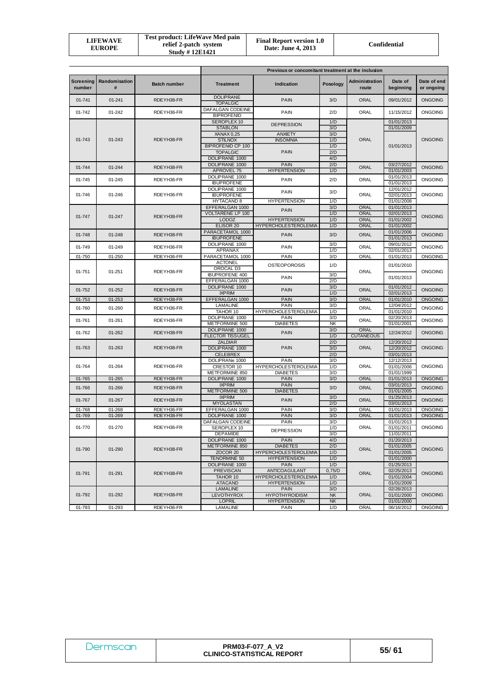| LIFEWAVE<br><b>EUROPE</b> | Test product: LifeWave Med pain<br>relief 2-patch system<br><b>Study #12E1421</b> | <b>Final Report version 1.0</b><br>Date: June 4, 2013 | Confidential |
|---------------------------|-----------------------------------------------------------------------------------|-------------------------------------------------------|--------------|
|---------------------------|-----------------------------------------------------------------------------------|-------------------------------------------------------|--------------|

|                            |                    |                     | Previous or concomitant treatment at the inclusion                                                |                                                                                           |                                 |                                 |                                                                    |                           |
|----------------------------|--------------------|---------------------|---------------------------------------------------------------------------------------------------|-------------------------------------------------------------------------------------------|---------------------------------|---------------------------------|--------------------------------------------------------------------|---------------------------|
| <b>Screening</b><br>number | Randomisation<br># | <b>Batch number</b> | <b>Treatment</b>                                                                                  | Indication                                                                                | Posology                        | Administration<br>route         | Date of<br>beginning                                               | Date of end<br>or ongoing |
| 01-741                     | 01-241             | RDEYH38-FR          | <b>DOLIPRANE</b><br><b>TOPALGIC</b>                                                               | <b>PAIN</b>                                                                               | 3/D                             | ORAL                            | 09/01/2012                                                         | <b>ONGOING</b>            |
| 01-742                     | 01-242             | RDEYH36-FR          | DAFALGAN CODEINE<br><b>BIPROFENID</b>                                                             | PAIN                                                                                      | 2/D                             | ORAL                            | 11/15/2012                                                         | <b>ONGOING</b>            |
|                            |                    |                     | SEROPLEX 10<br><b>STABLON</b>                                                                     | <b>DEPRESSION</b>                                                                         | 1/D<br>3/D                      |                                 | 01/01/2013<br>01/01/2009                                           |                           |
| 01-743                     | 01-243             | RDEYH38-FR          | XANAX 0,25<br><b>STILNOX</b><br><b>BIPROFENID CP 100</b>                                          | <b>ANXIETY</b><br><b>INSOMNIA</b>                                                         | 3/D<br>1/D                      | <b>ORAL</b>                     | 01/01/2013                                                         | <b>ONGOING</b>            |
|                            |                    |                     | <b>TOPALGIC</b><br>DOLIPRANE 1000                                                                 | <b>PAIN</b>                                                                               | 1/D<br>2/D<br>4/D               |                                 |                                                                    |                           |
| 01-744                     | 01-244             | RDEYH38-FR          | DOLIPRANE 1000<br><b>APROVEL 75</b>                                                               | <b>PAIN</b><br><b>HYPERTENSION</b>                                                        | 2/D<br>1/D                      | <b>ORAL</b>                     | 03/27/2012<br>01/01/2003                                           | <b>ONGOING</b>            |
| 01-745                     | 01-245             | RDEYH36-FR          | DOLIPRANE 1000<br><b>IBUPROFENE</b>                                                               | <b>PAIN</b>                                                                               | 2/D                             | ORAL                            | 01/01/2013<br>01/01/2013                                           | <b>ONGOING</b>            |
| 01-746                     | 01-246             | RDEYH36-FR          | DOLIPRANE 1000<br><b>IBUPROFENE</b>                                                               | PAIN                                                                                      | 3/D                             | ORAL                            | 12/01/2012<br>02/01/2013                                           | <b>ONGOING</b>            |
|                            |                    |                     | HYTACAND 8<br>EFFERALGAN 1000<br>VOLTARENE LP 100                                                 | <b>HYPERTENSION</b><br><b>PAIN</b>                                                        | 1/D<br>3/D<br>1/D               | <b>ORAL</b><br><b>ORAL</b>      | 01/01/2008<br>01/01/2013<br>02/01/2013                             |                           |
| 01-747                     | 01-247             | RDEYH38-FR          | <b>LODOZ</b>                                                                                      | <b>HYPERTENSION</b>                                                                       | 1/D                             | <b>ORAL</b>                     | 01/01/2002                                                         | <b>ONGOING</b>            |
|                            |                    |                     | ELISOR 20                                                                                         | <b>HYPERCHOLESTEROLEMIA</b>                                                               | 1/D                             | ORAL                            | 01/01/2002                                                         |                           |
| 01-748                     | 01-248             | RDEYH38-FR          | PARACETAMOL 1000<br><b>IBUPROFENE</b>                                                             | <b>PAIN</b>                                                                               | 3/D                             | <b>ORAL</b>                     | 01/01/2006<br>01/01/2013                                           | <b>ONGOING</b>            |
| 01-749                     | 01-249             | RDEYH36-FR          | DOLIPRANE 1000<br><b>APRANAX</b>                                                                  | <b>PAIN</b>                                                                               | 3/D<br>1/D                      | ORAL                            | 09/01/2012<br>02/01/2013                                           | <b>ONGOING</b>            |
| 01-750                     | 01-250             | RDEYH36-FR          | PARACETAMOL 1000                                                                                  | <b>PAIN</b>                                                                               | 3/D                             | ORAL                            | 01/01/2013                                                         | <b>ONGOING</b>            |
| 01-751                     | $01 - 251$         | RDEYH36-FR          | <b>ACTONEL</b><br>OROCAL D3                                                                       | <b>OSTEOPOROSIS</b>                                                                       | 1/D                             | ORAL                            | 01/01/2010                                                         | <b>ONGOING</b>            |
|                            |                    |                     | <b>IBUPROFENE 400</b><br>EFFERALGAN 1000                                                          | PAIN                                                                                      | 3/D<br>2/D                      |                                 | 01/01/2013                                                         |                           |
| 01-752                     | 01-252             | RDEYH38-FR          | DOLIPRANE 1000<br><b>IXPRIM</b>                                                                   | <b>PAIN</b>                                                                               | 3/D<br>1/D                      | <b>ORAL</b>                     | 01/01/2012<br>02/01/2013                                           | <b>ONGOING</b>            |
| 01-753                     | 01-253             | RDEYH38-FR          | EFFERALGAN 1000                                                                                   | <b>PAIN</b>                                                                               | 3/D                             | <b>ORAL</b>                     | 01/01/2010                                                         | <b>ONGOING</b>            |
| 01-760                     | 01-260             | RDEYH36-FR          | LAMALINE<br>TAHOR 10                                                                              | PAIN<br><b>HYPERCHOLESTEROLEMIA</b>                                                       | 3/D<br>1/D                      | ORAL                            | 12/04/2012<br>01/01/2010                                           | ONGOING                   |
| 01-761                     | 01-261             | RDEYH36-FR          | DOLIPRANE 1000<br>METFORMINE 500                                                                  | <b>PAIN</b><br><b>DIABETES</b>                                                            | 3/D<br><b>NK</b>                | ORAL                            | 02/20/2013<br>01/01/2001                                           | <b>ONGOING</b>            |
| 01-762                     | 01-262             | RDEYH38-FR          | DOLIPRANE 1000<br><b>FLECTOR TISSUGEL</b><br><b>ZALDIAR</b>                                       | <b>PAIN</b>                                                                               | 3/D<br>1/D<br>2/D               | <b>ORAL</b><br><b>CUTANEOUS</b> | 12/24/2012                                                         | <b>ONGOING</b>            |
| 01-763                     | 01-263             | RDEYH38-FR          | DOLIPRANE 1000<br><b>CELEBREX</b>                                                                 | <b>PAIN</b>                                                                               | 3/D<br>2/D                      | ORAL                            | 12/20/2012<br>12/20/2012<br>03/01/2013                             | <b>ONGOING</b>            |
| 01-764                     | 01-264             | RDEYH36-FR          | DOLIPRANe 1000<br>CRESTOR 10<br>METFORMINE 850                                                    | PAIN<br><b>HYPERCHOLESTEROLEMIA</b><br><b>DIABETES</b>                                    | 3/D<br>1/D<br>3/D               | ORAL                            | 12/12/2013<br>01/01/2006<br>01/01/1999                             | <b>ONGOING</b>            |
| 01-765                     | 01-265             | RDEYH38-FR          | DOLIPRANE 1000                                                                                    | <b>PAIN</b>                                                                               | 3/D                             | ORAL                            | 01/01/2013                                                         | <b>ONGOING</b>            |
| 01-766                     | 01-266             | RDEYH38-FR          | <b>IXPRIM</b><br>METFORMINE 500                                                                   | <b>PAIN</b><br><b>DIABETES</b>                                                            | 3/D                             | <b>ORAL</b>                     | 03/01/2013<br>01/01/2005                                           | <b>ONGOING</b>            |
| 01-767                     | 01-267             | RDEYH38-FR          | <b>IXPRIM</b><br><b>MYOLASTAN</b>                                                                 | <b>PAIN</b>                                                                               | 3/D<br>2/D                      | <b>ORAL</b>                     | 01/25/2013<br>03/01/2013                                           | <b>ONGOING</b>            |
| 01-768                     | 01-268             | RDEYH36-FR          | EFFERALGAN 1000                                                                                   | <b>PAIN</b>                                                                               | 3/D                             | ORAL                            | 01/01/2013                                                         | <b>ONGOING</b>            |
| 01-769                     | 01-269             | RDEYH38-FR          | DOLIPRANE 1000                                                                                    | <b>PAIN</b>                                                                               | 3/D                             | <b>ORAL</b>                     | 01/01/2013                                                         | <b>ONGOING</b>            |
| 01-770                     | 01-270             | RDEYH36-FR          | DAFALGAN CODEINE<br>SEROPLEX 10                                                                   | <b>PAIN</b><br><b>DEPRESSION</b>                                                          | 3/D<br>1/D                      | ORAL                            | 01/01/2013<br>01/01/2011                                           | ONGOING                   |
| 01-790                     | 01-290             | RDEYH38-FR          | <b>DEPAMIDE</b><br>DOLIPRANE 1000<br>METFORMINE 850<br>ZOCOR <sub>20</sub><br><b>TENORMINE 50</b> | PAIN<br><b>DIABETES</b><br><b>HYPERCHOLESTEROLEMIA</b><br><b>HYPERTENSION</b>             | 3/D<br>4/D<br>2/D<br>1/D<br>1/D | ORAL                            | 11/01/2011<br>01/20/2013<br>01/01/2005<br>01/01/2005<br>01/01/2000 | <b>ONGOING</b>            |
| 01-791                     | 01-291             | RDEYH38-FR          | DOLIPRANE 1000<br><b>PREVISCAN</b><br>TAHOR 10<br><b>ATACAND</b>                                  | <b>PAIN</b><br><b>ANTICOAGULANT</b><br><b>HYPERCHOLESTEROLEMIA</b><br><b>HYPERTENSION</b> | 1/D<br>0,75/D<br>1/D<br>1/D     | ORAL                            | 01/25/2013<br>02/25/2013<br>01/01/2004<br>01/01/2009               | <b>ONGOING</b>            |
| 01-792                     | 01-292             | RDEYH38-FR          | <b>LAMALINE</b><br>LEVOTHYROX<br><b>LOPRIL</b>                                                    | <b>PAIN</b><br><b>HYPOTHYROIDISM</b><br><b>HYPERTENSION</b>                               | 3/D<br><b>NK</b><br>$N\!K$      | <b>ORAL</b>                     | 02/26/2013<br>01/01/2000<br>01/01/2000                             | <b>ONGOING</b>            |
| 01-793                     | 01-293             | RDEYH36-FR          | LAMALINE                                                                                          | PAIN                                                                                      | 1/D                             | ORAL                            | 06/16/2012                                                         | <b>ONGOING</b>            |

| Dermscan | <b>PRM03-F-077 A V2</b><br><b>CLINICO-STATISTICAL REPORT</b> | 55/61 |
|----------|--------------------------------------------------------------|-------|
|----------|--------------------------------------------------------------|-------|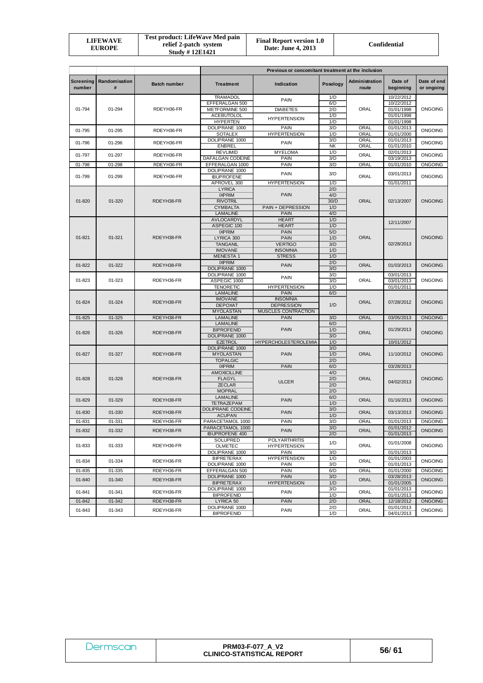|  | <b>LIFEWAVE</b><br>EUROPE | Test product: LifeWave Med pain<br>relief 2-patch system<br><b>Study #12E1421</b> | <b>Final Report version 1.0</b><br>Date: June 4, 2013 | Confidential |
|--|---------------------------|-----------------------------------------------------------------------------------|-------------------------------------------------------|--------------|
|--|---------------------------|-----------------------------------------------------------------------------------|-------------------------------------------------------|--------------|

|            |                              |                     | Previous or concomitant treatment at the inclusion |                                             |                  |                         |                          |                           |  |
|------------|------------------------------|---------------------|----------------------------------------------------|---------------------------------------------|------------------|-------------------------|--------------------------|---------------------------|--|
| number     | Screening Randomisation<br># | <b>Batch number</b> | <b>Treatment</b>                                   | Indication                                  | Posology         | Administration<br>route | Date of<br>beginning     | Date of end<br>or ongoing |  |
|            |                              |                     | <b>TRAMADOL</b>                                    | PAIN                                        | 1/D              |                         | 10/22/2012               |                           |  |
| 01-794     | 01-294                       | RDEYH36-FR          | EFFERALGAN 500                                     | <b>DIABETES</b>                             | 6/D<br>2/D       | ORAL                    | 10/22/2012               | <b>ONGOING</b>            |  |
|            |                              |                     | METFORMINE 500<br><b>ACEBUTOLOL</b>                |                                             | 1/D              |                         | 01/01/1998<br>01/01/1998 |                           |  |
|            |                              |                     | <b>HYPERTEN</b>                                    | <b>HYPERTENSION</b>                         | 1/D              |                         | 01/01/1998               |                           |  |
| 01-795     | 01-295                       | RDEYH36-FR          | DOLIPRANE 1000                                     | PAIN                                        | 3/D              | ORAL                    | 01/01/2013               | <b>ONGOING</b>            |  |
|            |                              |                     | <b>SOTALEX</b>                                     | <b>HYPERTENSION</b>                         | 1/D              | ORAL                    | 01/01/2000               |                           |  |
| 01-796     | 01-296                       | RDEYH36-FR          | DOLIPRANE 1000                                     | <b>PAIN</b>                                 | 3/D              | ORAL                    | 01/01/2013               | <b>ONGOING</b>            |  |
|            |                              |                     | ENBREL<br><b>REVLIMID</b>                          | <b>MYELOMA</b>                              | <b>NK</b><br>1/D | ORAL                    | 01/01/2010<br>02/01/2013 |                           |  |
| 01-797     | 01-297                       | RDEYH36-FR          | DAFALGAN CODEINE                                   | <b>PAIN</b>                                 | 3/D              | ORAL                    | 03/19/2013               | <b>ONGOING</b>            |  |
| 01-798     | 01-298                       | RDEYH36-FR          | EFFERALGAN 1000                                    | PAIN                                        | 3/D              | ORAL                    | 01/01/2010               | ONGOING                   |  |
|            |                              |                     | DOLIPRANE 1000                                     | <b>PAIN</b>                                 | 3/D              |                         | 03/01/2013               |                           |  |
| 01-799     | 01-299                       | RDEYH36-FR          | <b>IBUPROFENE</b>                                  |                                             |                  | ORAL                    |                          | ONGOING                   |  |
|            |                              |                     | APROVEL 300<br><b>LYRICA</b>                       | <b>HYPERTENSION</b>                         | 1/D<br>2/D       |                         | 01/01/2011               |                           |  |
|            |                              |                     | <b>IXPRIM</b>                                      | <b>PAIN</b>                                 | 4/D              |                         |                          |                           |  |
| $01 - 820$ | 01-320                       | RDEYH38-FR          | <b>RIVOTRIL</b>                                    |                                             | 30/D             | <b>ORAL</b>             | 02/13/2007               | <b>ONGOING</b>            |  |
|            |                              |                     | <b>CYMBALTA</b>                                    | PAIN + DEPRESSION                           | 1/D              |                         |                          |                           |  |
|            |                              |                     | LAMALINE                                           | <b>PAIN</b>                                 | 4/D              |                         |                          |                           |  |
|            |                              |                     | AVLOCARDYL<br>ASPEGIC 100                          | <b>HEART</b><br><b>HEART</b>                | 1/D<br>1/D       |                         | 12/11/2007               |                           |  |
|            |                              |                     | <b>IXPRIM</b>                                      | <b>PAIN</b>                                 | 5/D              |                         |                          |                           |  |
| $01 - 821$ | 01-321                       | RDEYH38-FR          | LYRICA 300                                         | <b>PAIN</b>                                 | 1/D              | <b>ORAL</b>             |                          | <b>ONGOING</b>            |  |
|            |                              |                     | <b>TANGANIL</b>                                    | <b>VERTIGO</b>                              | 3/D              |                         | 02/28/2013               |                           |  |
|            |                              |                     | <b>IMOVANE</b>                                     | <b>INSOMNIA</b>                             | 1/D              |                         |                          |                           |  |
|            |                              |                     | <b>MENESTA1</b><br><b>IXPRIM</b>                   | <b>STRESS</b>                               | 1/D              |                         |                          |                           |  |
| $01 - 822$ | 01-322                       | RDEYH38-FR          | DOLIPRANE 1000                                     | <b>PAIN</b>                                 | 2/D<br>3/D       | <b>ORAL</b>             | 01/03/2013               | <b>ONGOING</b>            |  |
|            |                              |                     | DOLIPRANE 1000                                     |                                             | 3/D              |                         |                          | 03/01/2013                |  |
| 01-823     | 01-323                       | RDEYH36-FR          | ASPEGIC 1000                                       | <b>PAIN</b>                                 | 3/D              | <b>ORAL</b>             | 03/01/2013               | <b>ONGOING</b>            |  |
|            |                              |                     | <b>TENORETIC</b>                                   | <b>HYPERTENSION</b>                         | 1/D              |                         | 01/01/2011               |                           |  |
|            |                              |                     | LAMALINE<br><b>IMOVANE</b>                         | <b>PAIN</b><br><b>INSOMNIA</b>              | 6/D              |                         |                          |                           |  |
| 01-824     | 01-324                       | RDEYH38-FR          | <b>DEPOXAT</b>                                     | <b>DEPRESSION</b>                           | 1/D              | <b>ORAL</b>             | 07/28/2012               | <b>ONGOING</b>            |  |
|            |                              |                     | <b>MYOLASTAN</b>                                   | MUSCLES CONTRACTION                         |                  |                         |                          |                           |  |
| 01-825     | 01-325                       | RDEYH38-FR          | LAMALINE                                           | <b>PAIN</b>                                 | 3/D              | ORAL                    | 03/05/2013               | <b>ONGOING</b>            |  |
|            |                              |                     | <b>LAMALINE</b>                                    |                                             | 6/D              |                         |                          |                           |  |
| 01-826     | 01-326                       | RDEYH38-FR          | <b>BIPROFENID</b><br>DOLIPRANE 1000                | <b>PAIN</b>                                 | 1/D<br>3/D       | <b>ORAL</b>             | 01/29/2013               | <b>ONGOING</b>            |  |
|            |                              |                     | <b>EZETROL</b>                                     | HYPERCHOLESTEROLEMIA                        | 1/D              |                         | 10/01/2012               |                           |  |
|            |                              |                     | DOLIPRANE 1000                                     |                                             | 3/D              |                         |                          |                           |  |
| $01 - 827$ | 01-327                       | RDEYH38-FR          | <b>MYOLASTAN</b>                                   | <b>PAIN</b>                                 | 1/D              | <b>ORAL</b>             | 11/10/2012               | <b>ONGOING</b>            |  |
|            |                              |                     | <b>TOPALGIC</b>                                    |                                             | 2/D              |                         |                          |                           |  |
|            |                              |                     | <b>IXPRIM</b><br><b>AMOXICILLINE</b>               | <b>PAIN</b>                                 | 6/D<br>4/D       |                         | 03/28/2013               | <b>ONGOING</b>            |  |
| $01 - 828$ | 01-328                       | RDEYH38-FR          | <b>FLAGYL</b>                                      |                                             | 2/D              | <b>ORAL</b>             |                          |                           |  |
|            |                              |                     | <b>ZECLAR</b>                                      | <b>ULCER</b>                                | 2/D              |                         | 04/02/2013               |                           |  |
|            |                              |                     | <b>MOPRAL</b>                                      |                                             | 2/D              |                         |                          |                           |  |
| 01-829     | 01-329                       | RDEYH38-FR          | <b>LAMALINE</b>                                    | <b>PAIN</b>                                 | 6/D              | <b>ORAL</b>             | 01/16/2013               | <b>ONGOING</b>            |  |
|            |                              |                     | <b>TETRAZEPAM</b><br>DOLIPRANE CODEINE             |                                             | 1/D<br>3/D       |                         |                          |                           |  |
| 01-830     | 01-330                       | RDEYH38-FR          | <b>ACUPAN</b>                                      | <b>PAIN</b>                                 | 1/D              | ORAL                    | 03/13/2013               | <b>ONGOING</b>            |  |
| 01-831     | 01-331                       | RDEYH36-FR          | PARACETAMOL 1000                                   | <b>PAIN</b>                                 | 3/D              | <b>ORAL</b>             | 01/01/2013               | <b>ONGOING</b>            |  |
| 01-832     | 01-332                       | RDEYH38-FR          | PARACETAMOL 1000                                   | <b>PAIN</b>                                 | 3/D              | ORAL                    | 01/01/2012               | <b>ONGOING</b>            |  |
|            |                              |                     | <b>IBUPROFENE 400</b>                              |                                             | 2/D              | 01/01/2013              |                          |                           |  |
| 01-833     | 01-333                       | RDEYH36-FR          | SOLUPRED<br><b>OLMETEC</b>                         | <b>POLYARTHRITIS</b><br><b>HYPERTENSION</b> | 1/D              | ORAL                    | 01/01/2008               | <b>ONGOING</b>            |  |
|            |                              |                     | DOLIPRANE 1000                                     | PAIN                                        | 3/D              |                         | 01/01/2013               |                           |  |
| 01-834     | 01-334                       | RDEYH36-FR          | <b>BIPRETERAX</b>                                  | <b>HYPERTENSION</b>                         | 1/D              | 01/01/2003<br>ORAL      |                          | <b>ONGOING</b>            |  |
|            |                              |                     | DOLIPRANE 1000                                     | PAIN                                        | 3/D              |                         | 01/01/2013               |                           |  |
| 01-835     | 01-335                       | RDEYH36-FR          | EFFERALGAN 500                                     | PAIN                                        | 6/D              | ORAL<br>01/01/2000      |                          | ONGOING                   |  |
| 01-840     | 01-340                       | RDEYH38-FR          | DOLIPRANE 1000<br><b>BIPRETERAX</b>                | <b>PAIN</b><br><b>HYPERTENSION</b>          | 3/D<br>1/D       | <b>ORAL</b>             | 03/28/2013<br>01/01/2005 | <b>ONGOING</b>            |  |
|            |                              |                     | DOLIPRANE 1000                                     |                                             | 3/D              |                         | 01/01/2013               |                           |  |
| 01-841     | 01-341                       | RDEYH36-FR          | <b>BIPROFENID</b>                                  | <b>PAIN</b>                                 | 1/D              | ORAL                    | 01/01/2013               | <b>ONGOING</b>            |  |
| 01-842     | 01-342                       | RDEYH38-FR          | LYRICA 50                                          | <b>PAIN</b>                                 | 2/D              | <b>ORAL</b>             | 12/18/2012               | <b>ONGOING</b>            |  |
| 01-843     | 01-343                       | RDEYH36-FR          | DOLIPRANE 1000                                     | PAIN                                        | 2/D              | ORAL                    | 01/01/2013               | <b>ONGOING</b>            |  |
|            |                              |                     | <b>BIPROFENID</b>                                  |                                             | 1/D              |                         | 04/01/2013               |                           |  |

| <u>, Jermscar</u> | <b>PRM03-F-077 A V2</b><br><b>CLINICO-STATISTICAL REPORT</b> | 56/61 |
|-------------------|--------------------------------------------------------------|-------|
|-------------------|--------------------------------------------------------------|-------|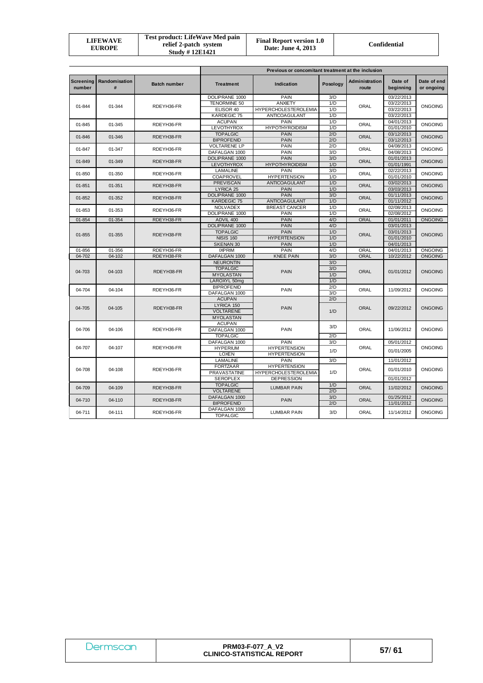|  | LIFEWAVE<br><b>EUROPE</b> | <b>Test product: LifeWave Med pain</b><br>relief 2-patch system<br><b>Study #12E1421</b> | <b>Final Report version 1.0</b><br>Date: June 4, 2013 | Confidential |
|--|---------------------------|------------------------------------------------------------------------------------------|-------------------------------------------------------|--------------|
|--|---------------------------|------------------------------------------------------------------------------------------|-------------------------------------------------------|--------------|

|                            |                      |                     | Previous or concomitant treatment at the inclusion |                                      |            |                         |                          |                           |                |  |  |  |  |
|----------------------------|----------------------|---------------------|----------------------------------------------------|--------------------------------------|------------|-------------------------|--------------------------|---------------------------|----------------|--|--|--|--|
| <b>Screening</b><br>number | Randomisation<br>#   | <b>Batch number</b> | <b>Treatment</b>                                   | Indication                           | Posology   | Administration<br>route | Date of<br>beginning     | Date of end<br>or ongoing |                |  |  |  |  |
|                            |                      |                     | DOLIPRANE 1000                                     | PAIN                                 | 3/D        |                         | 03/22/2013               |                           |                |  |  |  |  |
| $01 - 844$                 | 01-344               | RDEYH36-FR          | <b>TENORMINE 50</b>                                | <b>ANXIETY</b>                       | 1/D        | ORAL                    | 03/22/2013               | <b>ONGOING</b>            |                |  |  |  |  |
|                            |                      |                     | ELISOR 40                                          | <b>HYPERCHOLESTEROLEMIA</b>          | 1/D        |                         | 03/22/2013               |                           |                |  |  |  |  |
|                            |                      |                     | KARDEGIC 75                                        | ANTICOAGULANT                        | 1/D        |                         | 03/22/2013               |                           |                |  |  |  |  |
| $01 - 845$                 | 01-345               | RDEYH36-FR          | <b>ACUPAN</b>                                      | PAIN                                 | 1/D        | ORAL                    | 04/01/2013               | <b>ONGOING</b>            |                |  |  |  |  |
|                            |                      |                     | LEVOTHYROX                                         | <b>HYPOTHYROIDISM</b>                | 1/D        |                         | 01/01/2010               |                           |                |  |  |  |  |
| 01-846                     | 01-346               | RDEYH38-FR          | <b>TOPALGIC</b>                                    | <b>PAIN</b>                          | 2/D        | <b>ORAL</b>             | 03/12/2013               | <b>ONGOING</b>            |                |  |  |  |  |
|                            |                      |                     | <b>BIPROFENID</b>                                  | <b>PAIN</b>                          | 2/D        |                         | 03/12/2013               |                           |                |  |  |  |  |
| 01-847                     | 01-347               | RDEYH36-FR          | <b>VOLTARENE LP</b>                                | PAIN                                 | 2/D        | ORAL                    | 04/08/2013               | <b>ONGOING</b>            |                |  |  |  |  |
|                            |                      |                     | DAFALGAN 1000                                      | <b>PAIN</b>                          | 3/D        |                         | 04/08/2013               |                           |                |  |  |  |  |
| 01-849                     | 01-349               | RDEYH38-FR          | DOLIPRANE 1000                                     | <b>PAIN</b><br><b>HYPOTHYROIDISM</b> | 3/D        | <b>ORAL</b>             | 01/01/2013<br>01/01/1991 | <b>ONGOING</b>            |                |  |  |  |  |
|                            |                      |                     | <b>LEVOTHYROX</b><br>LAMALINE                      | PAIN                                 | 1/D<br>3/D |                         | 02/22/2013               |                           |                |  |  |  |  |
| 01-850                     | 01-350               | RDEYH36-FR          | COAPROVEL                                          | <b>HYPERTENSION</b>                  | 1/D        | ORAL                    | 01/01/2010               | ONGOING                   |                |  |  |  |  |
|                            |                      |                     | <b>PREVISCAN</b>                                   | <b>ANTICOAGULANT</b>                 | 1/D        |                         | 03/02/2013               |                           |                |  |  |  |  |
| $01 - 851$                 | 01-351               | RDEYH38-FR          | LYRICA 25                                          | <b>PAIN</b>                          | 1/D        | <b>ORAL</b>             | 03/03/2013               | <b>ONGOING</b>            |                |  |  |  |  |
|                            |                      |                     | DOLIPRANE 1000                                     | <b>PAIN</b>                          | 3/D        |                         | 01/11/2013               |                           |                |  |  |  |  |
| 01-852                     | 01-352               | RDEYH38-FR          | KARDEGIC 75                                        | ANTICOAGULANT                        | 1/D        | <b>ORAL</b>             | 01/11/2012               | <b>ONGOING</b>            |                |  |  |  |  |
|                            |                      |                     | NOLVADEX                                           | <b>BREAST CANCER</b>                 | 1/D        |                         | 02/08/2013               |                           |                |  |  |  |  |
| $01 - 853$                 | 01-353               | RDEYH36-FR          | DOLIPRANE 1000                                     | PAIN                                 | 1/D        |                         | ORAL                     | 02/08/2012                | <b>ONGOING</b> |  |  |  |  |
| 01-854                     | 01-354               | RDEYH38-FR          | ADVIL 400                                          | <b>PAIN</b>                          | 4/D        | <b>ORAL</b>             | 01/01/2011               | <b>ONGOING</b>            |                |  |  |  |  |
|                            |                      |                     | DOLIPRANE 1000                                     | <b>PAIN</b>                          | 4/D        |                         | 03/01/2013               |                           |                |  |  |  |  |
|                            |                      | RDEYH38-FR          | <b>TOPALGIC</b>                                    | <b>PAIN</b>                          | 1/D        | <b>ORAL</b>             | 03/01/2013               | <b>ONGOING</b>            |                |  |  |  |  |
|                            | $01 - 855$<br>01-355 |                     | <b>NISIS 160</b>                                   | <b>HYPERTENSION</b>                  | 1/D        |                         | 01/01/2010               |                           |                |  |  |  |  |
|                            |                      |                     | SKENAN 30                                          | <b>PAIN</b>                          | 1/D        |                         | 04/01/2013               |                           |                |  |  |  |  |
| 01-856                     | 01-356               | RDEYH36-FR          | <b>IXPRIM</b>                                      | PAIN                                 | 4/D        | ORAL                    | 04/01/2013               | <b>ONGOING</b>            |                |  |  |  |  |
| 04-702                     | 04-102               | RDEYH38-FR          | DAFALGAN 1000                                      | <b>KNEE PAIN</b>                     | 3/D        | ORAL                    | 10/22/2012               | <b>ONGOING</b>            |                |  |  |  |  |
|                            |                      |                     | <b>NEURONTIN</b>                                   |                                      | 3/D        |                         |                          |                           |                |  |  |  |  |
|                            |                      |                     | <b>TOPALGIC</b>                                    |                                      | 3/D        |                         |                          |                           |                |  |  |  |  |
| 04-703                     | 04-103               | RDEYH38-FR          | <b>MYOLASTAN</b>                                   | <b>PAIN</b>                          | 1/D        | <b>ORAL</b>             | 01/01/2012               | <b>ONGOING</b>            |                |  |  |  |  |
|                            |                      |                     | LAROXYL 50mg                                       |                                      | 1/D        |                         |                          |                           |                |  |  |  |  |
|                            |                      |                     | <b>BIPROFENID</b>                                  |                                      | 2/D        |                         |                          |                           |                |  |  |  |  |
| 04-704                     | 04-104               | RDEYH36-FR          | DAFALGAN 1000                                      | PAIN                                 | 3/D        | ORAL                    | 11/09/2012               | <b>ONGOING</b>            |                |  |  |  |  |
|                            |                      |                     | <b>ACUPAN</b>                                      |                                      | 2/D        |                         |                          |                           |                |  |  |  |  |
| 04-705                     | 04-105               | RDEYH38-FR          | LYRICA 150                                         | <b>PAIN</b>                          |            | <b>ORAL</b>             | 09/22/2012               | <b>ONGOING</b>            |                |  |  |  |  |
|                            |                      |                     | <b>VOLTARENE</b>                                   |                                      | 1/D        |                         |                          |                           |                |  |  |  |  |
|                            |                      |                     | <b>MYOLASTAN</b>                                   |                                      |            |                         |                          |                           |                |  |  |  |  |
|                            |                      |                     | <b>ACUPAN</b>                                      |                                      | 3/D        |                         |                          |                           |                |  |  |  |  |
| 04-706                     | 04-106               | RDEYH36-FR          | DAFALGAN 1000                                      | PAIN                                 |            | ORAL                    | 11/06/2012               | <b>ONGOING</b>            |                |  |  |  |  |
|                            |                      |                     | <b>TOPALGIC</b>                                    |                                      | 2/D        |                         |                          |                           |                |  |  |  |  |
|                            |                      |                     | DAFALGAN 1000                                      | PAIN                                 | 3/D        |                         | 05/01/2012               |                           |                |  |  |  |  |
| 04-707                     | 04-107               | RDEYH36-FR          | <b>HYPERIUM</b>                                    | <b>HYPERTENSION</b>                  | 1/D        | ORAL                    | 01/01/2005               | <b>ONGOING</b>            |                |  |  |  |  |
|                            |                      |                     | <b>LOXEN</b>                                       | <b>HYPERTENSION</b>                  |            |                         |                          |                           |                |  |  |  |  |
|                            |                      |                     | LAMALINE                                           | PAIN                                 | 3/D        |                         | 11/01/2012               |                           |                |  |  |  |  |
| 04-708                     | 04-108               | RDEYH36-FR          | <b>FORTZAAR</b>                                    | <b>HYPERTENSION</b>                  |            | ORAL                    | 01/01/2010               | <b>ONGOING</b>            |                |  |  |  |  |
|                            |                      |                     | <b>PRAVASTATINE</b>                                | <b>HYPERCHOLESTEROLEMIA</b>          | 1/D        |                         |                          |                           |                |  |  |  |  |
|                            |                      |                     | <b>SEROPLEX</b>                                    | <b>DEPRESSION</b>                    |            |                         | 01/01/2012               |                           |                |  |  |  |  |
| 04-709                     | 04-109               | RDEYH38-FR          | <b>TOPALGIC</b>                                    | <b>LUMBAR PAIN</b>                   | 1/D        | <b>ORAL</b>             | 11/02/2012               | <b>ONGOING</b>            |                |  |  |  |  |
|                            |                      |                     | <b>VOLTARENE</b>                                   |                                      | 2/D        |                         |                          |                           |                |  |  |  |  |
| 04-710                     | 04-110               | RDEYH38-FR          | DAFALGAN 1000                                      | <b>PAIN</b>                          | 3/D        | <b>ORAL</b>             | 01/25/2012               | <b>ONGOING</b>            |                |  |  |  |  |
|                            |                      |                     | <b>BIPROFENID</b>                                  |                                      | 2/D        |                         | 11/01/2012               |                           |                |  |  |  |  |
| 04-711                     | 04-111               | RDEYH36-FR          | DAFALGAN 1000                                      | <b>LUMBAR PAIN</b>                   | 3/D        | ORAL                    | 11/14/2012               | <b>ONGOING</b>            |                |  |  |  |  |
|                            |                      |                     | <b>TOPALGIC</b>                                    |                                      |            |                         |                          |                           |                |  |  |  |  |

| Dermscan | <b>PRM03-F-077 A V2</b><br><b>CLINICO-STATISTICAL REPORT</b> | 57/61 |
|----------|--------------------------------------------------------------|-------|
|----------|--------------------------------------------------------------|-------|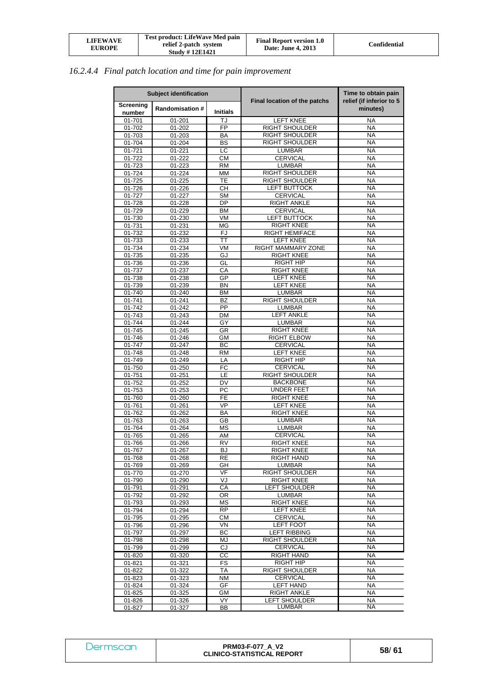| <b>LIFEWAVE</b><br><b>EUROPE</b> | Test product: LifeWave Med pain<br>relief 2-patch system<br><b>Study #12E1421</b> | <b>Final Report version 1.0</b><br>Date: June 4, 2013 | Confidential |
|----------------------------------|-----------------------------------------------------------------------------------|-------------------------------------------------------|--------------|
|----------------------------------|-----------------------------------------------------------------------------------|-------------------------------------------------------|--------------|

# *16.2.4.4 Final patch location and time for pain improvement*

| <b>Subject identification</b> |                        |                 |                                                | Time to obtain pain                  |
|-------------------------------|------------------------|-----------------|------------------------------------------------|--------------------------------------|
| Screening<br>number           | <b>Randomisation #</b> | <b>Initials</b> | Final location of the patchs                   | relief (if inferior to 5<br>minutes) |
| 01-701                        | 01-201                 | TJ              | <b>LEFT KNEE</b>                               | <b>NA</b>                            |
| 01-702                        | 01-202                 | FP              | <b>RIGHT SHOULDER</b>                          | <b>NA</b>                            |
| 01-703                        | 01-203                 | ΒA              | <b>RIGHT SHOULDER</b>                          | <b>NA</b>                            |
| 01-704                        | 01-204                 | BS              | <b>RIGHT SHOULDER</b>                          | <b>NA</b>                            |
| 01-721                        | 01-221                 | LC              | LUMBAR                                         | <b>NA</b>                            |
| 01-722                        | 01-222                 | <b>CM</b>       | <b>CERVICAL</b>                                | <b>NA</b>                            |
| 01-723                        | 01-223                 | RM              | <b>LUMBAR</b>                                  | <b>NA</b>                            |
| 01-724<br>01-725              | 01-224<br>$01 - 225$   | МM<br>TE        | <b>RIGHT SHOULDER</b><br><b>RIGHT SHOULDER</b> | <b>NA</b><br><b>NA</b>               |
| 01-726                        | 01-226                 | CН              | <b>LEFT BUTTOCK</b>                            | <b>NA</b>                            |
| 01-727                        | 01-227                 | SM              | <b>CERVICAL</b>                                | <b>NA</b>                            |
| 01-728                        | 01-228                 | DP              | <b>RIGHT ANKLE</b>                             | <b>NA</b>                            |
| 01-729                        | 01-229                 | BM              | <b>CERVICAL</b>                                | NA                                   |
| 01-730                        | 01-230                 | VM              | <b>LEFT BUTTOCK</b>                            | <b>NA</b>                            |
| $01 - 731$                    | 01-231                 | <b>MG</b>       | <b>RIGHT KNEE</b>                              | <b>NA</b>                            |
| 01-732                        | 01-232                 | <b>FJ</b>       | <b>RIGHT HEMIFACE</b>                          | <b>NA</b>                            |
| 01-733                        | 01-233                 | ТT              | <b>LEFT KNEE</b>                               | <b>NA</b>                            |
| 01-734                        | 01-234                 | VM              | RIGHT MAMMARY ZONE                             | <b>NA</b>                            |
| 01-735                        | 01-235                 | GJ              | <b>RIGHT KNEE</b>                              | <b>NA</b>                            |
| 01-736                        | 01-236                 | GL              | <b>RIGHT HIP</b>                               | <b>NA</b>                            |
| 01-737                        | 01-237                 | СA              | RIGHT KNEE                                     | <b>NA</b>                            |
| 01-738                        | 01-238                 | GP              | <b>LEFT KNEE</b><br><b>LEFT KNEE</b>           | NA<br><b>NA</b>                      |
| 01-739<br>01-740              | 01-239<br>01-240       | BN<br>ВM        | <b>LUMBAR</b>                                  | <b>NA</b>                            |
| 01-741                        | 01-241                 | BZ              | <b>RIGHT SHOULDER</b>                          | <b>NA</b>                            |
| 01-742                        | 01-242                 | PP              | <b>LUMBAR</b>                                  | <b>NA</b>                            |
| 01-743                        | 01-243                 | DM              | <b>LEFT ANKLE</b>                              | <b>NA</b>                            |
| 01-744                        | 01-244                 | GY              | <b>LUMBAR</b>                                  | <b>NA</b>                            |
| 01-745                        | 01-245                 | <b>GR</b>       | <b>RIGHT KNEE</b>                              | <b>NA</b>                            |
| 01-746                        | 01-246                 | <b>GM</b>       | <b>RIGHT ELBOW</b>                             | <b>NA</b>                            |
| 01-747                        | 01-247                 | BC              | CERVICAL                                       | <b>NA</b>                            |
| 01-748                        | 01-248                 | <b>RM</b>       | <b>LEFT KNEE</b>                               | <b>NA</b>                            |
| 01-749                        | 01-249                 | LA              | <b>RIGHT HIP</b>                               | <b>NA</b>                            |
| 01-750                        | 01-250                 | FC              | <b>CERVICAL</b>                                | <b>NA</b>                            |
| 01-751<br>01-752              | 01-251<br>01-252       | LE<br>DV        | <b>RIGHT SHOULDER</b><br><b>BACKBONE</b>       | <b>NA</b><br><b>NA</b>               |
| $01 - 753$                    | 01-253                 | РC              | UNDER FEET                                     | <b>NA</b>                            |
| 01-760                        | 01-260                 | FE              | <b>RIGHT KNEE</b>                              | <b>NA</b>                            |
| 01-761                        | $01 - 261$             | VP              | <b>LEFT KNEE</b>                               | NA                                   |
| 01-762                        | 01-262                 | BA              | <b>RIGHT KNEE</b>                              | <b>NA</b>                            |
| 01-763                        | 01-263                 | GB              | <b>LUMBAR</b>                                  | <b>NA</b>                            |
| 01-764                        | 01-264                 | ΜS              | <b>LUMBAR</b>                                  | <b>NA</b>                            |
| 01-765                        | 01-265                 | AM              | CERVICAL                                       | NA                                   |
| 01-766                        | 01-266                 | <b>RV</b>       | RIGHT KNEE                                     | <b>NA</b>                            |
| 01-767                        | 01-267                 | BJ              | <b>RIGHT KNEE</b>                              | NA                                   |
| 01-768                        | 01-268                 | RE              | <b>RIGHT HAND</b>                              | <b>NA</b>                            |
| 01-769                        | 01-269                 | GH<br>VF        | <b>LUMBAR</b>                                  | <b>NA</b>                            |
| 01-770<br>01-790              | 01-270<br>01-290       | VJ              | RIGHT SHOULDER<br><b>RIGHT KNEE</b>            | NA<br><b>NA</b>                      |
| 01-791                        | 01-291                 | СA              | LEFT SHOULDER                                  | <b>NA</b>                            |
| 01-792                        | 01-292                 | 0R              | <b>LUMBAR</b>                                  | <b>NA</b>                            |
| 01-793                        | 01-293                 | МS              | <b>RIGHT KNEE</b>                              | <b>NA</b>                            |
| 01-794                        | 01-294                 | <b>RP</b>       | <b>LEFT KNEE</b>                               | <b>NA</b>                            |
| 01-795                        | 01-295                 | CМ              | <b>CERVICAL</b>                                | <b>NA</b>                            |
| 01-796                        | 01-296                 | VN              | <b>LEFT FOOT</b>                               | <b>NA</b>                            |
| 01-797                        | 01-297                 | ВC              | <b>LEFT RIBBING</b>                            | <b>NA</b>                            |
| 01-798                        | 01-298                 | MJ              | <b>RIGHT SHOULDER</b>                          | <b>NA</b>                            |
| 01-799                        | 01-299                 | CJ              | <b>CERVICAL</b>                                | <b>NA</b>                            |
| 01-820                        | 01-320                 | CС              | <b>RIGHT HAND</b>                              | <b>NA</b>                            |
| 01-821                        | 01-321                 | FS              | RIGHT HIP                                      | <b>NA</b>                            |
| 01-822                        | 01-322                 | ТA              | RIGHT SHOULDER                                 | <b>NA</b>                            |
| 01-823<br>01-824              | 01-323<br>01-324       | ΝM<br>GF        | <b>CERVICAL</b><br><b>LEFT HAND</b>            | NA<br>NA                             |
| 01-825                        | 01-325                 | GМ              | RIGHT ANKLE                                    | <b>NA</b>                            |
| 01-826                        | 01-326                 | VY.             | LEFT SHOULDER                                  | <b>NA</b>                            |
| 01-827                        | 01-327                 | ВB              | LUMBAR                                         | NA                                   |

| Dermscan | <b>PRM03-F-077 A V2</b><br><b>CLINICO-STATISTICAL REPORT</b> | 58/61 |
|----------|--------------------------------------------------------------|-------|
|----------|--------------------------------------------------------------|-------|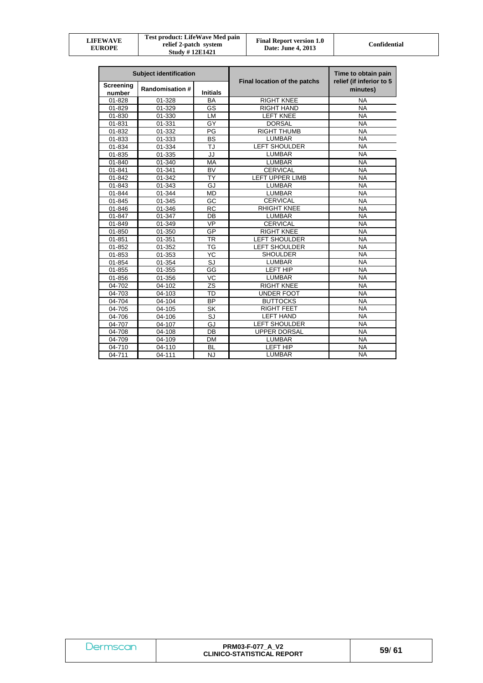| LIFEWAVE<br><b>EUROPE</b> | Test product: LifeWave Med pain<br>relief 2-patch system<br><b>Study #12E1421</b> | <b>Final Report version 1.0</b><br>Date: June 4, 2013 | <b>Confidential</b> |
|---------------------------|-----------------------------------------------------------------------------------|-------------------------------------------------------|---------------------|
|---------------------------|-----------------------------------------------------------------------------------|-------------------------------------------------------|---------------------|

| <b>Subject identification</b> |                        | Final location of the patchs | Time to obtain pain<br>relief (if inferior to 5 |           |
|-------------------------------|------------------------|------------------------------|-------------------------------------------------|-----------|
| Screening<br>number           | <b>Randomisation #</b> | <b>Initials</b>              |                                                 | minutes)  |
| 01-828                        | 01-328                 | BA                           | <b>RIGHT KNEE</b>                               | <b>NA</b> |
| 01-829                        | 01-329                 | GS                           | <b>RIGHT HAND</b>                               | <b>NA</b> |
| 01-830                        | 01-330                 | LM                           | <b>LEFT KNEE</b>                                | <b>NA</b> |
| 01-831                        | 01-331                 | GY                           | <b>DORSAL</b>                                   | <b>NA</b> |
| 01-832                        | 01-332                 | PG                           | <b>RIGHT THUMB</b>                              | <b>NA</b> |
| $01 - 833$                    | 01-333                 | <b>BS</b>                    | <b>LUMBAR</b>                                   | <b>NA</b> |
| 01-834                        | 01-334                 | TJ                           | <b>LEFT SHOULDER</b>                            | <b>NA</b> |
| 01-835                        | 01-335                 | JJ                           | <b>LUMBAR</b>                                   | <b>NA</b> |
| 01-840                        | 01-340                 | <b>MA</b>                    | <b>LUMBAR</b>                                   | <b>NA</b> |
| 01-841                        | 01-341                 | <b>BV</b>                    | <b>CERVICAL</b>                                 | <b>NA</b> |
| 01-842                        | 01-342                 | <b>TY</b>                    | <b>LEFT UPPER LIMB</b>                          | <b>NA</b> |
| 01-843                        | 01-343                 | GJ                           | <b>LUMBAR</b>                                   | <b>NA</b> |
| 01-844                        | 01-344                 | <b>MD</b>                    | <b>LUMBAR</b>                                   | <b>NA</b> |
| 01-845                        | 01-345                 | GC                           | <b>CERVICAL</b>                                 | <b>NA</b> |
| 01-846                        | 01-346                 | <b>RC</b>                    | <b>RHIGHT KNEE</b>                              | <b>NA</b> |
| 01-847                        | 01-347                 | DB                           | <b>LUMBAR</b>                                   | <b>NA</b> |
| 01-849                        | $\overline{0}$ 1-349   | <b>VP</b>                    | <b>CERVICAL</b>                                 | <b>NA</b> |
| 01-850                        | 01-350                 | GP                           | <b>RIGHT KNEE</b>                               | <b>NA</b> |
| 01-851                        | 01-351                 | TR                           | <b>LEFT SHOULDER</b>                            | <b>NA</b> |
| 01-852                        | 01-352                 | <b>TG</b>                    | <b>LEFT SHOULDER</b>                            | <b>NA</b> |
| 01-853                        | 01-353                 | YC                           | <b>SHOULDER</b>                                 | <b>NA</b> |
| 01-854                        | 01-354                 | SJ                           | <b>LUMBAR</b>                                   | <b>NA</b> |
| 01-855                        | 01-355                 | GG                           | <b>LEFT HIP</b>                                 | <b>NA</b> |
| $01 - 856$                    | 01-356                 | VC                           | <b>LUMBAR</b>                                   | <b>NA</b> |
| 04-702                        | 04-102                 | ZS                           | <b>RIGHT KNEE</b>                               | <b>NA</b> |
| 04-703                        | 04-103                 | <b>TD</b>                    | <b>UNDER FOOT</b>                               | <b>NA</b> |
| 04-704                        | 04-104                 | <b>BP</b>                    | <b>BUTTOCKS</b>                                 | <b>NA</b> |
| 04-705                        | 04-105                 | <b>SK</b>                    | <b>RIGHT FEET</b>                               | <b>NA</b> |
| 04-706                        | 04-106                 | SJ                           | <b>LEFT HAND</b>                                | <b>NA</b> |
| 04-707                        | 04-107                 | GJ                           | <b>LEFT SHOULDER</b>                            | <b>NA</b> |
| 04-708                        | 04-108                 | DB                           | <b>UPPER DORSAL</b>                             | <b>NA</b> |
| 04-709                        | 04-109                 | DM                           | <b>LUMBAR</b>                                   | <b>NA</b> |
| 04-710                        | 04-110                 | <b>BL</b>                    | <b>LEFT HIP</b>                                 | <b>NA</b> |
| 04-711                        | 04-111                 | <b>NJ</b>                    | <b>LUMBAR</b>                                   | <b>NA</b> |

| Dermscan | <b>PRM03-F-077 A V2</b><br><b>CLINICO-STATISTICAL REPORT</b> | 59/61 |
|----------|--------------------------------------------------------------|-------|
|----------|--------------------------------------------------------------|-------|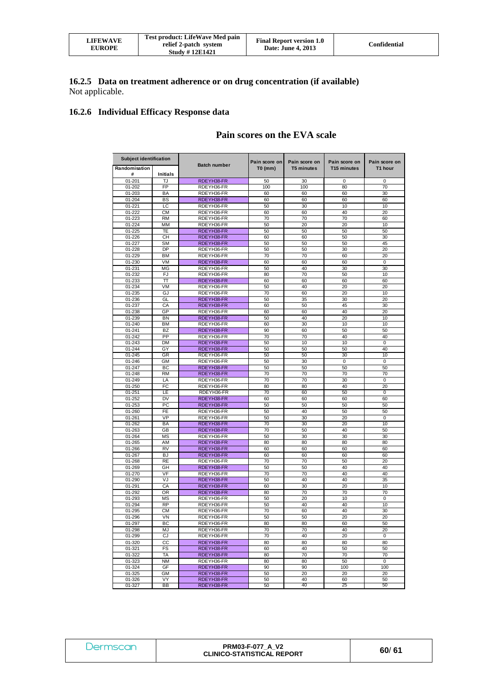| LIFEWAVE<br><b>EUROPE</b> | Test product: LifeWave Med pain<br>relief 2-patch system<br><b>Study #12E1421</b> | <b>Final Report version 1.0</b><br>Date: June 4, 2013 | Confidential |
|---------------------------|-----------------------------------------------------------------------------------|-------------------------------------------------------|--------------|
|---------------------------|-----------------------------------------------------------------------------------|-------------------------------------------------------|--------------|

#### **16.2.5 Data on treatment adherence or on drug concentration (if available)**  Not applicable.

## **16.2.6 Individual Efficacy Response data**

# **Pain scores on the EVA scale**

| <b>Subject identification</b> |                 |                          |                            |                                    |                                          |                          |
|-------------------------------|-----------------|--------------------------|----------------------------|------------------------------------|------------------------------------------|--------------------------|
| Randomisation<br>#            | <b>Initials</b> | <b>Batch number</b>      | Pain score on<br>$T0$ (mm) | Pain score on<br><b>T5 minutes</b> | Pain score on<br>T <sub>15</sub> minutes | Pain score on<br>T1 hour |
| 01-201                        | TJ              | RDEYH38-FR               | 50                         | 30                                 | 0                                        | 0                        |
| 01-202                        | <b>FP</b>       | RDEYH36-FR               | 100                        | 100                                | 80                                       | 70                       |
| 01-203                        | BA              | RDEYH36-FR               | 60                         | 60                                 | 60                                       | 30                       |
| $01 - 204$                    | <b>BS</b>       | RDEYH38-FR               | 60                         | 60                                 | 60                                       | 60                       |
| 01-221                        | LC              | RDEYH36-FR               | 50                         | 30                                 | 10                                       | 10                       |
| 01-222                        | <b>CM</b>       | RDEYH36-FR               | 60                         | 60                                 | 40                                       | 20                       |
| 01-223                        | <b>RM</b>       | RDEYH36-FR               | 70                         | 70                                 | 70                                       | 60                       |
| 01-224                        | MM              | RDEYH36-FR               | 50                         | 20                                 | 20                                       | 10                       |
| 01-225                        | TE              | RDEYH38-FR               | 50                         | 50                                 | 50                                       | 50                       |
| 01-226                        | <b>CH</b>       | RDEYH38-FR               | 60                         | 60                                 | 50                                       | 30                       |
| 01-227                        | <b>SM</b>       | RDEYH38-FR               | 50                         | 50                                 | 50                                       | 45                       |
| 01-228                        | <b>DP</b>       | RDEYH36-FR               | 50                         | 50                                 | 30                                       | 20                       |
| 01-229                        | BM              | RDEYH36-FR               | 70                         | 70                                 | 60                                       | 20                       |
| 01-230                        | VM<br>MG        | RDEYH38-FR<br>RDEYH36-FR | 60<br>50                   | 60<br>40                           | 60                                       | 0<br>30                  |
| 01-231<br>01-232              | FJ              | RDEYH36-FR               | 80                         | 70                                 | 30<br>50                                 | 10                       |
| 01-233                        | π               | RDEYH38-FR               | 60                         | 60                                 | 60                                       | 60                       |
| 01-234                        | VM              | RDEYH36-FR               | 50                         | 40                                 | 20                                       | 20                       |
| 01-235                        | GJ              | RDEYH36-FR               | 70                         | 60                                 | 20                                       | 10                       |
| 01-236                        | GL              | RDEYH38-FR               | 50                         | 35                                 | 30                                       | 20                       |
| 01-237                        | CA              | RDEYH38-FR               | 60                         | 50                                 | 45                                       | 30                       |
| 01-238                        | GP              | RDEYH36-FR               | 60                         | 60                                 | 40                                       | 20                       |
| 01-239                        | <b>BN</b>       | RDEYH38-FR               | 50                         | 40                                 | 20                                       | 10                       |
| 01-240                        | <b>BM</b>       | RDEYH36-FR               | 60                         | 30                                 | 10                                       | 10                       |
| $01 - 241$                    | BZ              | RDEYH38-FR               | 90                         | 60                                 | 50                                       | 50                       |
| 01-242                        | PP              | RDEYH36-FR               | 70                         | 70                                 | 40                                       | 40                       |
| 01-243                        | DM              | RDEYH38-FR               | 50                         | 10                                 | 10                                       | 0                        |
| 01-244                        | GY              | RDEYH38-FR               | 50                         | 50                                 | 50                                       | 40                       |
| $01 - 245$                    | GR              | RDEYH36-FR               | 50                         | 50                                 | 30                                       | 10                       |
| 01-246                        | GМ              | RDEYH36-FR               | 50                         | 30                                 | 0                                        | 0                        |
| 01-247<br>01-248              | BC<br><b>RM</b> | RDEYH38-FR               | 50<br>70                   | 50<br>70                           | 50<br>70                                 | 50<br>70                 |
| 01-249                        | LA              | RDEYH38-FR<br>RDEYH36-FR | 70                         | 70                                 | 30                                       | 0                        |
| 01-250                        | FC              | RDEYH36-FR               | 80                         | 80                                 | 40                                       | 20                       |
| 01-251                        | LE              | RDEYH36-FR               | 70                         | 60                                 | 50                                       | 0                        |
| 01-252                        | <b>DV</b>       | RDEYH38-FR               | 60                         | 60                                 | 60                                       | 60                       |
| 01-253                        | PC              | RDEYH38-FR               | 50                         | 50                                 | 50                                       | 50                       |
| 01-260                        | FE              | RDEYH36-FR               | 50                         | 40                                 | 50                                       | 50                       |
| $01 - 261$                    | VP              | RDEYH36-FR               | 50                         | 30                                 | 20                                       | 0                        |
| 01-262                        | BA              | RDEYH38-FR               | 70                         | 30                                 | 20                                       | 10                       |
| 01-263                        | GB              | RDEYH38-FR               | 70                         | 50                                 | 40                                       | 50                       |
| 01-264                        | MS              | RDEYH36-FR               | 50                         | 30                                 | 30                                       | 30                       |
| 01-265                        | AM              | RDEYH38-FR               | 80                         | 80                                 | 80                                       | 80                       |
| 01-266                        | <b>RV</b>       | RDEYH38-FR               | 60                         | 60                                 | 60                                       | 60                       |
| 01-267                        | <b>BJ</b>       | RDEYH38-FR               | 60                         | 60                                 | 60                                       | 60                       |
| 01-268                        | <b>RE</b>       | RDEYH36-FR               | 70                         | 70                                 | 50                                       | 20                       |
| 01-269                        | GH<br>VF        | RDEYH38-FR               | 50<br>70                   | 50<br>70                           | 40<br>40                                 | 40<br>40                 |
| 01-270<br>01-290              | VJ              | RDEYH36-FR<br>RDEYH38-FR | 50                         | 40                                 | 40                                       | 35                       |
| 01-291                        | CA              | RDEYH38-FR               | 60                         | 30                                 | 20                                       | 10                       |
| 01-292                        | OR              | RDEYH38-FR               | 80                         | 70                                 | 70                                       | 70                       |
| 01-293                        | MS              | RDEYH36-FR               | 50                         | 20                                 | 10                                       | 0                        |
| 01-294                        | <b>RP</b>       | RDEYH36-FR               | 50                         | 40                                 | 40                                       | 10                       |
| 01-295                        | <b>CM</b>       | RDEYH36-FR               | 70                         | 60                                 | 40                                       | 30                       |
| 01-296                        | VN              | RDEYH36-FR               | 50                         | 50                                 | 20                                       | 20                       |
| 01-297                        | BC              | RDEYH36-FR               | 80                         | 80                                 | 60                                       | 50                       |
| 01-298                        | MJ              | RDEYH36-FR               | 70                         | 70                                 | 40                                       | 20                       |
| 01-299                        | CJ              | RDEYH36-FR               | 70                         | 40                                 | 20                                       | 0                        |
| 01-320                        | CC              | RDEYH38-FR               | 80                         | 80                                 | 80                                       | 80                       |
| 01-321                        | FS              | RDEYH38-FR               | 60                         | 40                                 | 50                                       | 50                       |
| 01-322                        | TA              | RDEYH38-FR               | 80                         | 70                                 | 70                                       | 70                       |
| 01-323                        | <b>NM</b>       | RDEYH36-FR               | 80                         | 80                                 | 50                                       | 0                        |
| 01-324                        | GF              | RDEYH38-FR               | 90                         | 90                                 | 100                                      | 100                      |
| 01-325<br>01-326              | GМ<br>VY        | RDEYH38-FR<br>RDEYH38-FR | 50<br>50                   | 20<br>40                           | 20<br>60                                 | 20<br>50                 |
| $01 - 327$                    | <b>BB</b>       | RDEYH38-FR               | 50                         | 40                                 | 25                                       | 50                       |

| Dermscan | <b>PRM03-F-077 A V2</b><br><b>CLINICO-STATISTICAL REPORT</b> | 60/61 |
|----------|--------------------------------------------------------------|-------|
|----------|--------------------------------------------------------------|-------|